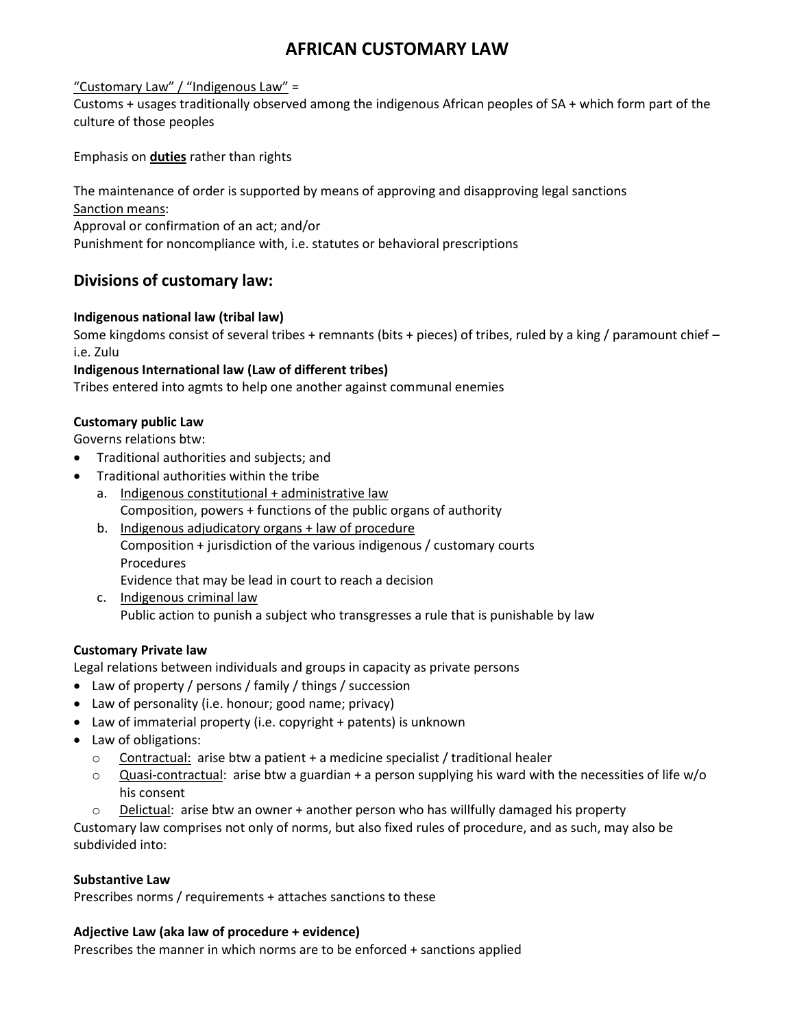# **AFRICAN CUSTOMARY LAW**

## "Customary Law" / "Indigenous Law" =

Customs + usages traditionally observed among the indigenous African peoples of SA + which form part of the culture of those peoples

Emphasis on **duties** rather than rights

The maintenance of order is supported by means of approving and disapproving legal sanctions Sanction means: Approval or confirmation of an act; and/or Punishment for noncompliance with, i.e. statutes or behavioral prescriptions

# **Divisions of customary law:**

## **Indigenous national law (tribal law)**

Some kingdoms consist of several tribes + remnants (bits + pieces) of tribes, ruled by a king / paramount chief – i.e. Zulu

## **Indigenous International law (Law of different tribes)**

Tribes entered into agmts to help one another against communal enemies

#### **Customary public Law**

Governs relations btw:

- Traditional authorities and subjects; and
- Traditional authorities within the tribe
	- a. Indigenous constitutional + administrative law Composition, powers + functions of the public organs of authority
	- b. Indigenous adjudicatory organs + law of procedure Composition + jurisdiction of the various indigenous / customary courts Procedures Evidence that may be lead in court to reach a decision
	- c. Indigenous criminal law Public action to punish a subject who transgresses a rule that is punishable by law

# **Customary Private law**

Legal relations between individuals and groups in capacity as private persons

- Law of property / persons / family / things / succession
- Law of personality (i.e. honour; good name; privacy)
- Law of immaterial property (i.e. copyright + patents) is unknown
- Law of obligations:
	- $\circ$  Contractual: arise btw a patient + a medicine specialist / traditional healer
	- $\circ$  Quasi-contractual: arise btw a guardian + a person supplying his ward with the necessities of life w/o his consent
	- $\circ$  Delictual: arise btw an owner + another person who has willfully damaged his property

Customary law comprises not only of norms, but also fixed rules of procedure, and as such, may also be subdivided into:

#### **Substantive Law**

Prescribes norms / requirements + attaches sanctions to these

#### **Adjective Law (aka law of procedure + evidence)**

Prescribes the manner in which norms are to be enforced + sanctions applied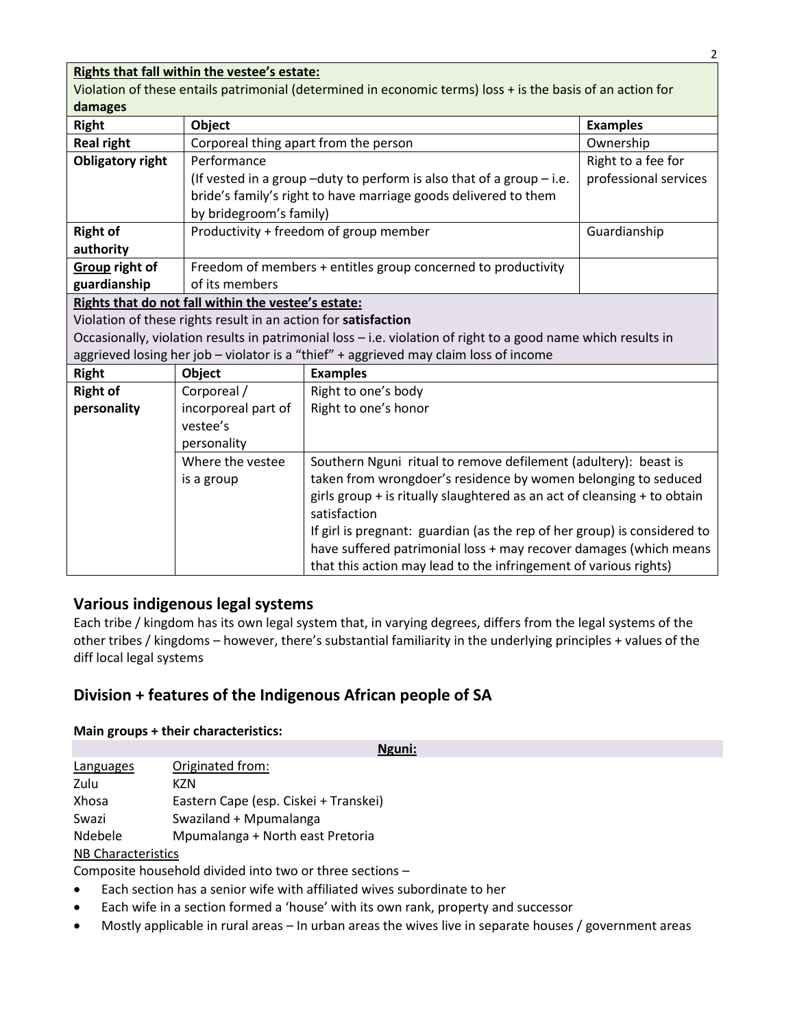# **Rights that fall within the vestee's estate:**

Violation of these entails patrimonial (determined in economic terms) loss + is the basis of an action for **damages**

| <b>Right</b>                                                                                                  | Object                                                        | <b>Examples</b>                                                            |                       |  |
|---------------------------------------------------------------------------------------------------------------|---------------------------------------------------------------|----------------------------------------------------------------------------|-----------------------|--|
| <b>Real right</b>                                                                                             | Corporeal thing apart from the person                         | Ownership                                                                  |                       |  |
| <b>Obligatory right</b>                                                                                       | Performance                                                   |                                                                            |                       |  |
|                                                                                                               |                                                               | (If vested in a group $-$ duty to perform is also that of a group $-$ i.e. | professional services |  |
|                                                                                                               |                                                               | bride's family's right to have marriage goods delivered to them            |                       |  |
|                                                                                                               | by bridegroom's family)                                       |                                                                            |                       |  |
| <b>Right of</b>                                                                                               | Productivity + freedom of group member<br>Guardianship        |                                                                            |                       |  |
| authority                                                                                                     |                                                               |                                                                            |                       |  |
| Group right of                                                                                                | Freedom of members + entitles group concerned to productivity |                                                                            |                       |  |
| guardianship                                                                                                  | of its members                                                |                                                                            |                       |  |
| Rights that do not fall within the vestee's estate:                                                           |                                                               |                                                                            |                       |  |
| Violation of these rights result in an action for satisfaction                                                |                                                               |                                                                            |                       |  |
| Occasionally, violation results in patrimonial loss - i.e. violation of right to a good name which results in |                                                               |                                                                            |                       |  |
| aggrieved losing her job - violator is a "thief" + aggrieved may claim loss of income                         |                                                               |                                                                            |                       |  |
| <b>Right</b>                                                                                                  | <b>Object</b>                                                 | <b>Examples</b>                                                            |                       |  |
| <b>Right of</b>                                                                                               | Corporeal /<br>Right to one's body                            |                                                                            |                       |  |
| personality                                                                                                   | incorporeal part of<br>Right to one's honor                   |                                                                            |                       |  |

| vestee's<br>personality        |                                                                                                                                                                                                                                                                                                                                                                                                                                                    |
|--------------------------------|----------------------------------------------------------------------------------------------------------------------------------------------------------------------------------------------------------------------------------------------------------------------------------------------------------------------------------------------------------------------------------------------------------------------------------------------------|
| Where the vestee<br>is a group | Southern Nguni ritual to remove defilement (adultery): beast is<br>taken from wrongdoer's residence by women belonging to seduced<br>girls group + is ritually slaughtered as an act of cleansing + to obtain<br>satisfaction<br>If girl is pregnant: guardian (as the rep of her group) is considered to<br>have suffered patrimonial loss + may recover damages (which means<br>that this action may lead to the infringement of various rights) |

# **Various indigenous legal systems**

Each tribe / kingdom has its own legal system that, in varying degrees, differs from the legal systems of the other tribes / kingdoms – however, there's substantial familiarity in the underlying principles + values of the diff local legal systems

# **Division + features of the Indigenous African people of SA**

#### **Main groups + their characteristics:**

|                           | Nguni:                                |  |
|---------------------------|---------------------------------------|--|
| Languages                 | Originated from:                      |  |
| Zulu                      | KZN                                   |  |
| Xhosa                     | Eastern Cape (esp. Ciskei + Transkei) |  |
| Swazi                     | Swaziland + Mpumalanga                |  |
| Ndebele                   | Mpumalanga + North east Pretoria      |  |
| <b>NB Characteristics</b> |                                       |  |

Composite household divided into two or three sections –

- Each section has a senior wife with affiliated wives subordinate to her
- Each wife in a section formed a 'house' with its own rank, property and successor
- Mostly applicable in rural areas In urban areas the wives live in separate houses / government areas

2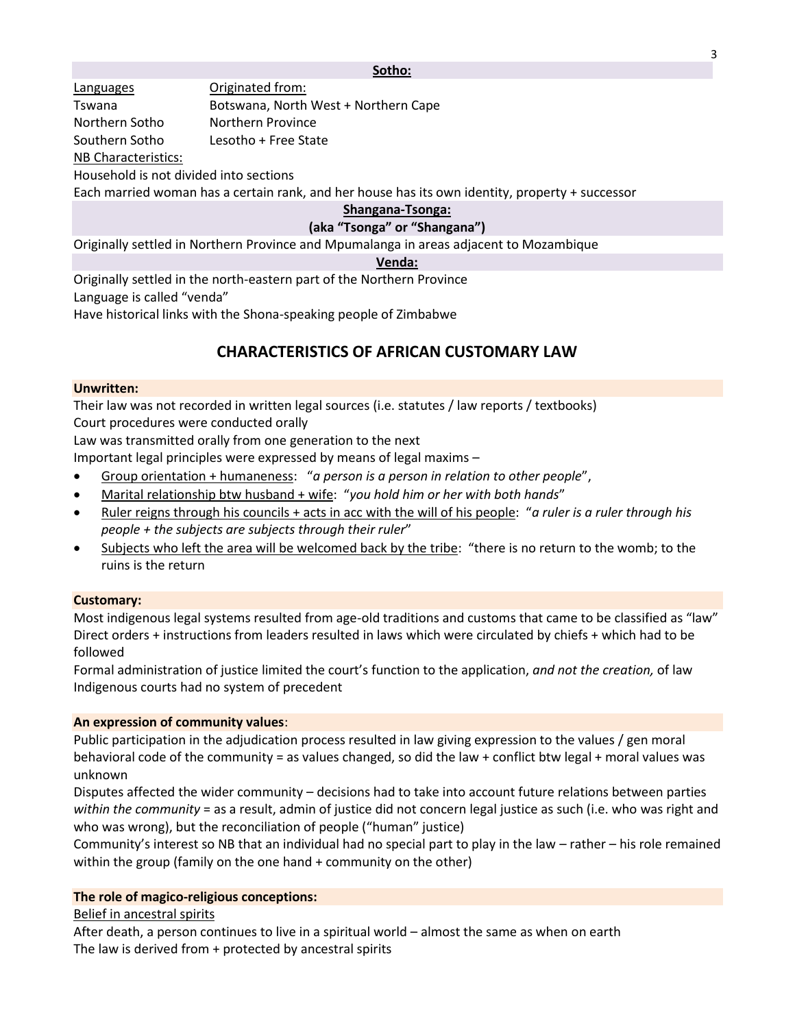#### **Sotho:**

Languages **Originated from:** Tswana Botswana, North West + Northern Cape Northern Sotho Northern Province Southern Sotho Lesotho + Free State NB Characteristics:

Household is not divided into sections

Each married woman has a certain rank, and her house has its own identity, property + successor

#### **Shangana-Tsonga:**

#### **(aka "Tsonga" or "Shangana")**

Originally settled in Northern Province and Mpumalanga in areas adjacent to Mozambique

#### **Venda:**

Originally settled in the north-eastern part of the Northern Province Language is called "venda" Have historical links with the Shona-speaking people of Zimbabwe

# **CHARACTERISTICS OF AFRICAN CUSTOMARY LAW**

#### **Unwritten:**

Their law was not recorded in written legal sources (i.e. statutes / law reports / textbooks) Court procedures were conducted orally

Law was transmitted orally from one generation to the next

Important legal principles were expressed by means of legal maxims –

- Group orientation + humaneness: "*a person is a person in relation to other people*",
- Marital relationship btw husband + wife: "*you hold him or her with both hands*"
- Ruler reigns through his councils + acts in acc with the will of his people: "*a ruler is a ruler through his people + the subjects are subjects through their ruler*"
- Subjects who left the area will be welcomed back by the tribe: "there is no return to the womb; to the ruins is the return

#### **Customary:**

Most indigenous legal systems resulted from age-old traditions and customs that came to be classified as "law" Direct orders + instructions from leaders resulted in laws which were circulated by chiefs + which had to be followed

Formal administration of justice limited the court's function to the application, *and not the creation,* of law Indigenous courts had no system of precedent

#### **An expression of community values**:

Public participation in the adjudication process resulted in law giving expression to the values / gen moral behavioral code of the community = as values changed, so did the law + conflict btw legal + moral values was unknown

Disputes affected the wider community – decisions had to take into account future relations between parties *within the community* = as a result, admin of justice did not concern legal justice as such (i.e. who was right and who was wrong), but the reconciliation of people ("human" justice)

Community's interest so NB that an individual had no special part to play in the law – rather – his role remained within the group (family on the one hand + community on the other)

#### **The role of magico-religious conceptions:**

Belief in ancestral spirits

After death, a person continues to live in a spiritual world – almost the same as when on earth The law is derived from + protected by ancestral spirits

3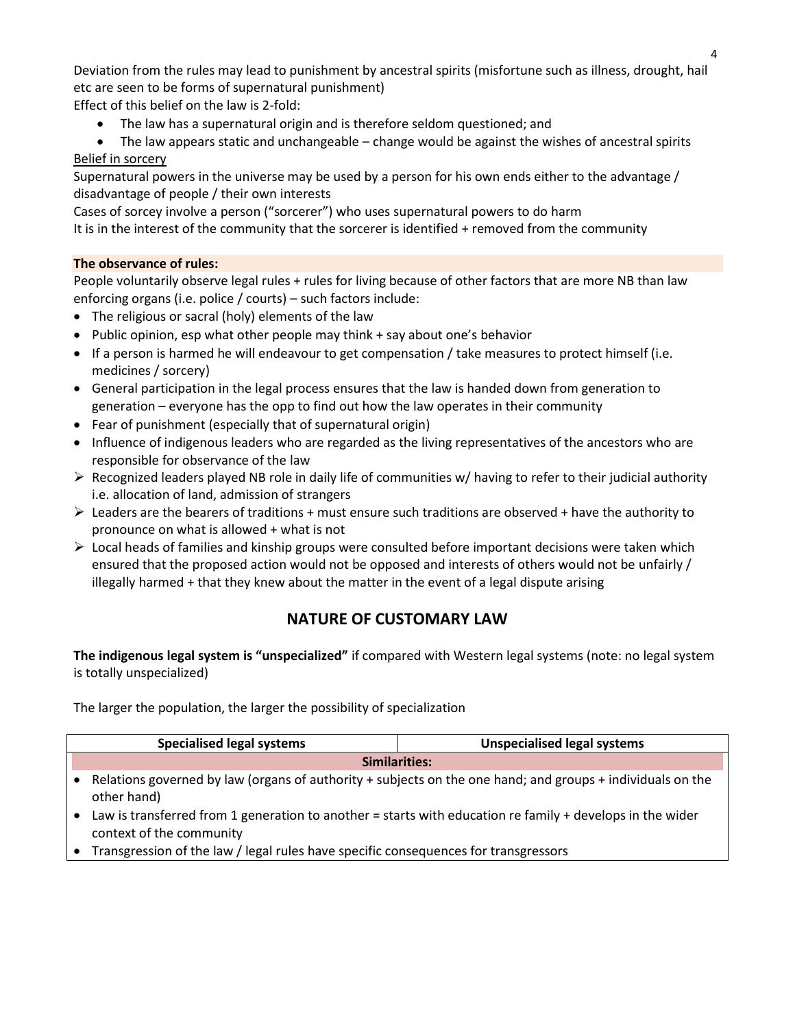Deviation from the rules may lead to punishment by ancestral spirits (misfortune such as illness, drought, hail etc are seen to be forms of supernatural punishment)

Effect of this belief on the law is 2-fold:

The law has a supernatural origin and is therefore seldom questioned; and

 The law appears static and unchangeable – change would be against the wishes of ancestral spirits Belief in sorcery

Supernatural powers in the universe may be used by a person for his own ends either to the advantage / disadvantage of people / their own interests

Cases of sorcey involve a person ("sorcerer") who uses supernatural powers to do harm

It is in the interest of the community that the sorcerer is identified + removed from the community

# **The observance of rules:**

People voluntarily observe legal rules + rules for living because of other factors that are more NB than law enforcing organs (i.e. police / courts) – such factors include:

- The religious or sacral (holy) elements of the law
- Public opinion, esp what other people may think + say about one's behavior
- If a person is harmed he will endeavour to get compensation / take measures to protect himself (i.e. medicines / sorcery)
- General participation in the legal process ensures that the law is handed down from generation to generation – everyone has the opp to find out how the law operates in their community
- Fear of punishment (especially that of supernatural origin)
- Influence of indigenous leaders who are regarded as the living representatives of the ancestors who are responsible for observance of the law
- $\triangleright$  Recognized leaders played NB role in daily life of communities w/ having to refer to their judicial authority i.e. allocation of land, admission of strangers
- $\triangleright$  Leaders are the bearers of traditions + must ensure such traditions are observed + have the authority to pronounce on what is allowed + what is not
- $\triangleright$  Local heads of families and kinship groups were consulted before important decisions were taken which ensured that the proposed action would not be opposed and interests of others would not be unfairly / illegally harmed + that they knew about the matter in the event of a legal dispute arising

# **NATURE OF CUSTOMARY LAW**

**The indigenous legal system is "unspecialized"** if compared with Western legal systems (note: no legal system is totally unspecialized)

The larger the population, the larger the possibility of specialization

| <b>Specialised legal systems</b>                                                                                                      | <b>Unspecialised legal systems</b>                                                                         |
|---------------------------------------------------------------------------------------------------------------------------------------|------------------------------------------------------------------------------------------------------------|
| Similarities:                                                                                                                         |                                                                                                            |
| other hand)                                                                                                                           | Relations governed by law (organs of authority + subjects on the one hand; and groups + individuals on the |
| Law is transferred from 1 generation to another = starts with education re family + develops in the wider<br>context of the community |                                                                                                            |

Transgression of the law / legal rules have specific consequences for transgressors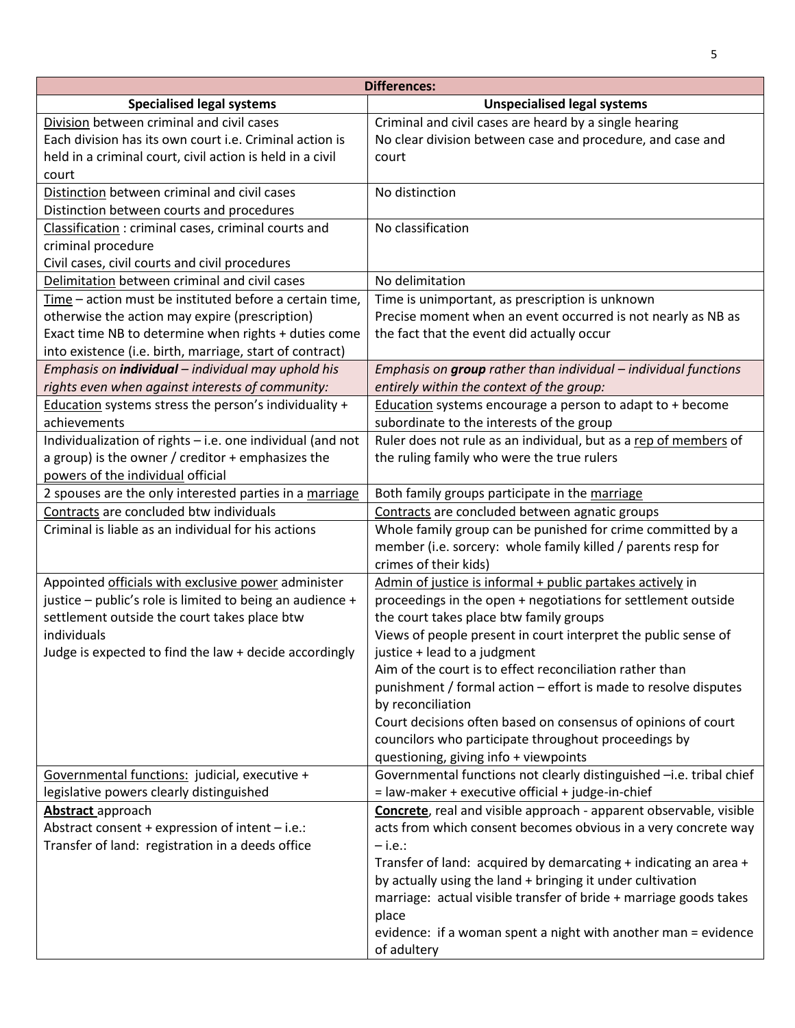| <b>Differences:</b>                                                  |                                                                                                                                      |  |  |
|----------------------------------------------------------------------|--------------------------------------------------------------------------------------------------------------------------------------|--|--|
| <b>Specialised legal systems</b>                                     | <b>Unspecialised legal systems</b>                                                                                                   |  |  |
| Division between criminal and civil cases                            | Criminal and civil cases are heard by a single hearing                                                                               |  |  |
| Each division has its own court i.e. Criminal action is              | No clear division between case and procedure, and case and                                                                           |  |  |
| held in a criminal court, civil action is held in a civil            | court                                                                                                                                |  |  |
| court                                                                |                                                                                                                                      |  |  |
| Distinction between criminal and civil cases                         | No distinction                                                                                                                       |  |  |
| Distinction between courts and procedures                            |                                                                                                                                      |  |  |
| Classification: criminal cases, criminal courts and                  | No classification                                                                                                                    |  |  |
| criminal procedure                                                   |                                                                                                                                      |  |  |
| Civil cases, civil courts and civil procedures                       |                                                                                                                                      |  |  |
| Delimitation between criminal and civil cases                        | No delimitation                                                                                                                      |  |  |
| Time - action must be instituted before a certain time,              | Time is unimportant, as prescription is unknown                                                                                      |  |  |
| otherwise the action may expire (prescription)                       | Precise moment when an event occurred is not nearly as NB as                                                                         |  |  |
| Exact time NB to determine when rights + duties come                 | the fact that the event did actually occur                                                                                           |  |  |
| into existence (i.e. birth, marriage, start of contract)             |                                                                                                                                      |  |  |
| Emphasis on <i>individual</i> - individual may uphold his            | Emphasis on group rather than individual - individual functions                                                                      |  |  |
| rights even when against interests of community:                     | entirely within the context of the group:                                                                                            |  |  |
| Education systems stress the person's individuality +                | Education systems encourage a person to adapt to + become                                                                            |  |  |
| achievements                                                         | subordinate to the interests of the group                                                                                            |  |  |
| Individualization of rights - i.e. one individual (and not           | Ruler does not rule as an individual, but as a rep of members of                                                                     |  |  |
| a group) is the owner / creditor + emphasizes the                    | the ruling family who were the true rulers                                                                                           |  |  |
| powers of the individual official                                    |                                                                                                                                      |  |  |
| 2 spouses are the only interested parties in a marriage              | Both family groups participate in the marriage                                                                                       |  |  |
| Contracts are concluded btw individuals                              | Contracts are concluded between agnatic groups                                                                                       |  |  |
| Criminal is liable as an individual for his actions                  | Whole family group can be punished for crime committed by a                                                                          |  |  |
|                                                                      | member (i.e. sorcery: whole family killed / parents resp for                                                                         |  |  |
|                                                                      | crimes of their kids)                                                                                                                |  |  |
| Appointed officials with exclusive power administer                  | Admin of justice is informal + public partakes actively in                                                                           |  |  |
| justice - public's role is limited to being an audience +            | proceedings in the open + negotiations for settlement outside                                                                        |  |  |
| settlement outside the court takes place btw                         | the court takes place btw family groups                                                                                              |  |  |
| individuals                                                          | Views of people present in court interpret the public sense of                                                                       |  |  |
| Judge is expected to find the law + decide accordingly               | justice + lead to a judgment                                                                                                         |  |  |
|                                                                      | Aim of the court is to effect reconciliation rather than                                                                             |  |  |
|                                                                      | punishment / formal action - effort is made to resolve disputes                                                                      |  |  |
|                                                                      | by reconciliation                                                                                                                    |  |  |
|                                                                      | Court decisions often based on consensus of opinions of court                                                                        |  |  |
|                                                                      | councilors who participate throughout proceedings by                                                                                 |  |  |
|                                                                      | questioning, giving info + viewpoints                                                                                                |  |  |
| Governmental functions: judicial, executive +                        | Governmental functions not clearly distinguished -i.e. tribal chief                                                                  |  |  |
| legislative powers clearly distinguished                             | = law-maker + executive official + judge-in-chief                                                                                    |  |  |
| Abstract approach<br>Abstract consent + expression of intent - i.e.: | Concrete, real and visible approach - apparent observable, visible<br>acts from which consent becomes obvious in a very concrete way |  |  |
| Transfer of land: registration in a deeds office                     | $-$ i.e.:                                                                                                                            |  |  |
|                                                                      | Transfer of land: acquired by demarcating + indicating an area +                                                                     |  |  |
|                                                                      | by actually using the land + bringing it under cultivation                                                                           |  |  |
|                                                                      | marriage: actual visible transfer of bride + marriage goods takes                                                                    |  |  |
|                                                                      | place                                                                                                                                |  |  |
|                                                                      | evidence: if a woman spent a night with another man = evidence                                                                       |  |  |
|                                                                      | of adultery                                                                                                                          |  |  |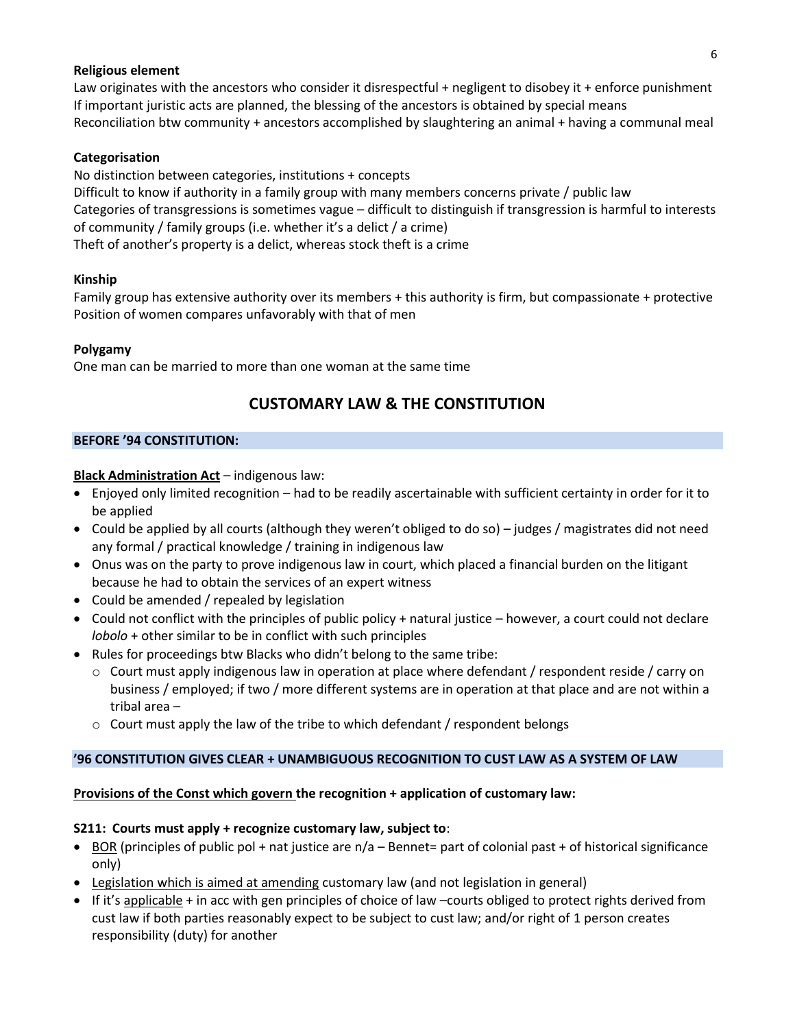#### **Religious element**

Law originates with the ancestors who consider it disrespectful + negligent to disobey it + enforce punishment If important juristic acts are planned, the blessing of the ancestors is obtained by special means Reconciliation btw community + ancestors accomplished by slaughtering an animal + having a communal meal

## **Categorisation**

No distinction between categories, institutions + concepts Difficult to know if authority in a family group with many members concerns private / public law Categories of transgressions is sometimes vague – difficult to distinguish if transgression is harmful to interests of community / family groups (i.e. whether it's a delict / a crime) Theft of another's property is a delict, whereas stock theft is a crime

#### **Kinship**

Family group has extensive authority over its members + this authority is firm, but compassionate + protective Position of women compares unfavorably with that of men

## **Polygamy**

One man can be married to more than one woman at the same time

# **CUSTOMARY LAW & THE CONSTITUTION**

#### **BEFORE '94 CONSTITUTION:**

## **Black Administration Act** – indigenous law:

- Enjoyed only limited recognition had to be readily ascertainable with sufficient certainty in order for it to be applied
- Could be applied by all courts (although they weren't obliged to do so) judges / magistrates did not need any formal / practical knowledge / training in indigenous law
- Onus was on the party to prove indigenous law in court, which placed a financial burden on the litigant because he had to obtain the services of an expert witness
- Could be amended / repealed by legislation
- Could not conflict with the principles of public policy + natural justice however, a court could not declare *lobolo* + other similar to be in conflict with such principles
- Rules for proceedings btw Blacks who didn't belong to the same tribe:
	- $\circ$  Court must apply indigenous law in operation at place where defendant / respondent reside / carry on business / employed; if two / more different systems are in operation at that place and are not within a tribal area –
	- $\circ$  Court must apply the law of the tribe to which defendant / respondent belongs

# **'96 CONSTITUTION GIVES CLEAR + UNAMBIGUOUS RECOGNITION TO CUST LAW AS A SYSTEM OF LAW**

#### **Provisions of the Const which govern the recognition + application of customary law:**

#### **S211: Courts must apply + recognize customary law, subject to**:

- **BOR** (principles of public pol + nat justice are  $n/a$  Bennet= part of colonial past + of historical significance only)
- Legislation which is aimed at amending customary law (and not legislation in general)
- If it's applicable + in acc with gen principles of choice of law –courts obliged to protect rights derived from cust law if both parties reasonably expect to be subject to cust law; and/or right of 1 person creates responsibility (duty) for another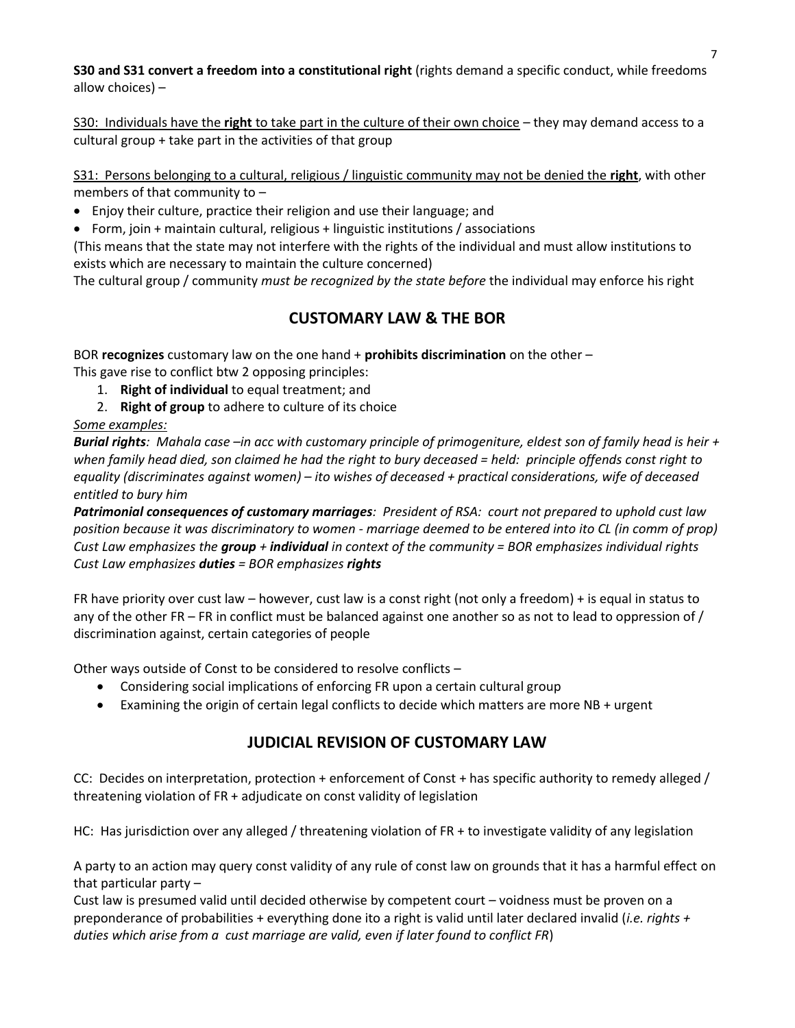**S30 and S31 convert a freedom into a constitutional right** (rights demand a specific conduct, while freedoms allow choices) –

S30: Individuals have the **right** to take part in the culture of their own choice – they may demand access to a cultural group + take part in the activities of that group

S31: Persons belonging to a cultural, religious / linguistic community may not be denied the **right**, with other members of that community to –

Enjoy their culture, practice their religion and use their language; and

Form, join + maintain cultural, religious + linguistic institutions / associations

(This means that the state may not interfere with the rights of the individual and must allow institutions to exists which are necessary to maintain the culture concerned)

The cultural group / community *must be recognized by the state before* the individual may enforce his right

# **CUSTOMARY LAW & THE BOR**

BOR **recognizes** customary law on the one hand + **prohibits discrimination** on the other –

This gave rise to conflict btw 2 opposing principles:

- 1. **Right of individual** to equal treatment; and
- 2. **Right of group** to adhere to culture of its choice

# *Some examples:*

*Burial rights: Mahala case –in acc with customary principle of primogeniture, eldest son of family head is heir + when family head died, son claimed he had the right to bury deceased = held: principle offends const right to equality (discriminates against women) – ito wishes of deceased + practical considerations, wife of deceased entitled to bury him*

*Patrimonial consequences of customary marriages: President of RSA: court not prepared to uphold cust law position because it was discriminatory to women - marriage deemed to be entered into ito CL (in comm of prop) Cust Law emphasizes the group + individual in context of the community = BOR emphasizes individual rights Cust Law emphasizes duties = BOR emphasizes rights*

FR have priority over cust law – however, cust law is a const right (not only a freedom) + is equal in status to any of the other FR – FR in conflict must be balanced against one another so as not to lead to oppression of / discrimination against, certain categories of people

Other ways outside of Const to be considered to resolve conflicts –

- Considering social implications of enforcing FR upon a certain cultural group
- Examining the origin of certain legal conflicts to decide which matters are more NB + urgent

# **JUDICIAL REVISION OF CUSTOMARY LAW**

CC: Decides on interpretation, protection + enforcement of Const + has specific authority to remedy alleged / threatening violation of FR + adjudicate on const validity of legislation

HC: Has jurisdiction over any alleged / threatening violation of FR + to investigate validity of any legislation

A party to an action may query const validity of any rule of const law on grounds that it has a harmful effect on that particular party –

Cust law is presumed valid until decided otherwise by competent court – voidness must be proven on a preponderance of probabilities + everything done ito a right is valid until later declared invalid (*i.e. rights + duties which arise from a cust marriage are valid, even if later found to conflict FR*)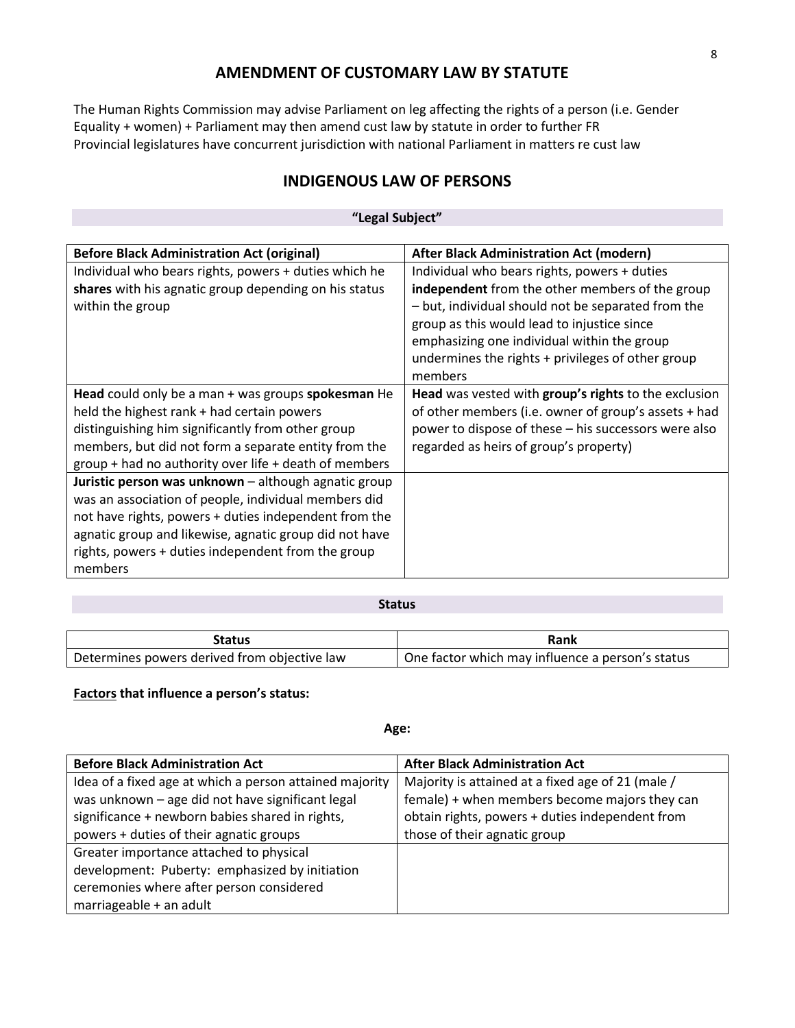# **AMENDMENT OF CUSTOMARY LAW BY STATUTE**

The Human Rights Commission may advise Parliament on leg affecting the rights of a person (i.e. Gender Equality + women) + Parliament may then amend cust law by statute in order to further FR Provincial legislatures have concurrent jurisdiction with national Parliament in matters re cust law

# **INDIGENOUS LAW OF PERSONS**

#### **"Legal Subject"**

| <b>Before Black Administration Act (original)</b>                                                                                                                                                                                                                                                | After Black Administration Act (modern)                                                                                                                                                                                                                                                                             |
|--------------------------------------------------------------------------------------------------------------------------------------------------------------------------------------------------------------------------------------------------------------------------------------------------|---------------------------------------------------------------------------------------------------------------------------------------------------------------------------------------------------------------------------------------------------------------------------------------------------------------------|
| Individual who bears rights, powers + duties which he<br>shares with his agnatic group depending on his status<br>within the group                                                                                                                                                               | Individual who bears rights, powers + duties<br>independent from the other members of the group<br>- but, individual should not be separated from the<br>group as this would lead to injustice since<br>emphasizing one individual within the group<br>undermines the rights + privileges of other group<br>members |
| Head could only be a man + was groups spokesman He<br>held the highest rank + had certain powers<br>distinguishing him significantly from other group<br>members, but did not form a separate entity from the<br>group + had no authority over life + death of members                           | Head was vested with group's rights to the exclusion<br>of other members (i.e. owner of group's assets + had<br>power to dispose of these – his successors were also<br>regarded as heirs of group's property)                                                                                                      |
| Juristic person was unknown - although agnatic group<br>was an association of people, individual members did<br>not have rights, powers + duties independent from the<br>agnatic group and likewise, agnatic group did not have<br>rights, powers + duties independent from the group<br>members |                                                                                                                                                                                                                                                                                                                     |

#### **Status**

| رtatus                                       | Rank                                             |
|----------------------------------------------|--------------------------------------------------|
| Determines powers derived from objective law | One factor which may influence a person's status |

#### **Factors that influence a person's status:**

#### **Age:**

| <b>Before Black Administration Act</b>                  | <b>After Black Administration Act</b>             |
|---------------------------------------------------------|---------------------------------------------------|
| Idea of a fixed age at which a person attained majority | Majority is attained at a fixed age of 21 (male / |
| was unknown - age did not have significant legal        | female) + when members become majors they can     |
| significance + newborn babies shared in rights,         | obtain rights, powers + duties independent from   |
| powers + duties of their agnatic groups                 | those of their agnatic group                      |
| Greater importance attached to physical                 |                                                   |
| development: Puberty: emphasized by initiation          |                                                   |
| ceremonies where after person considered                |                                                   |
| marriageable + an adult                                 |                                                   |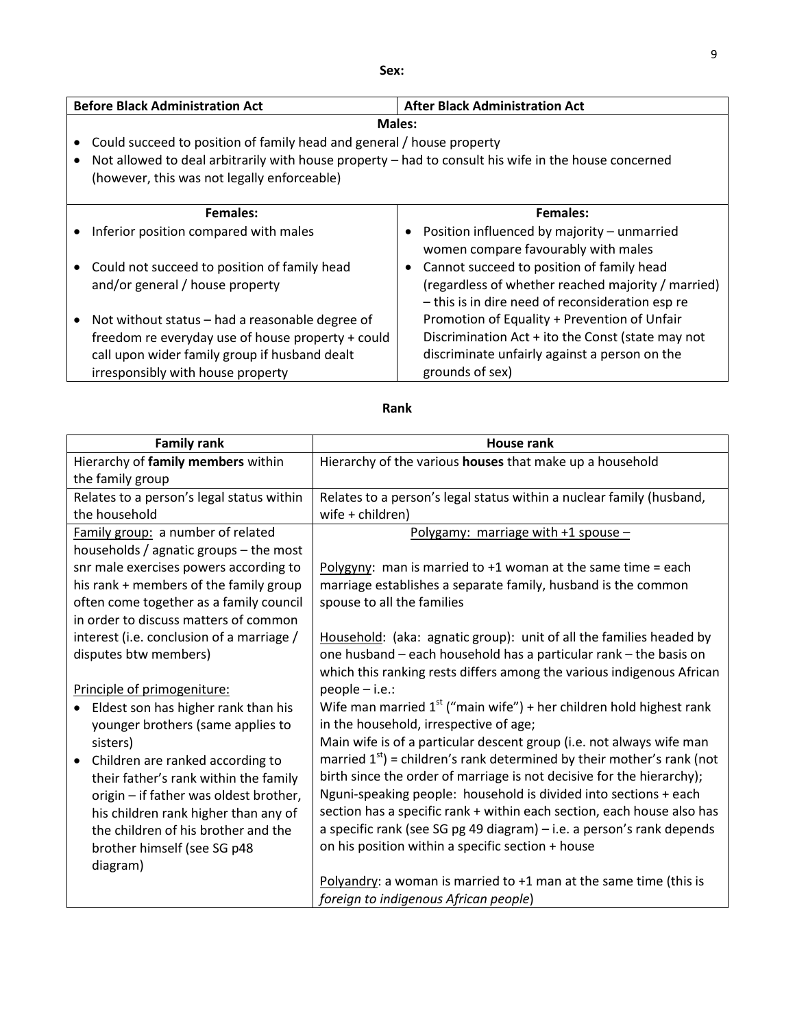| ×<br>۰.<br>×<br>×<br>v | $\sim$ |
|------------------------|--------|
|------------------------|--------|

| <b>Before Black Administration Act</b>                                                               |           | <b>After Black Administration Act</b>              |
|------------------------------------------------------------------------------------------------------|-----------|----------------------------------------------------|
| <b>Males:</b>                                                                                        |           |                                                    |
| Could succeed to position of family head and general / house property                                |           |                                                    |
| Not allowed to deal arbitrarily with house property - had to consult his wife in the house concerned |           |                                                    |
| (however, this was not legally enforceable)                                                          |           |                                                    |
|                                                                                                      |           |                                                    |
| <b>Females:</b>                                                                                      |           | Females:                                           |
| Inferior position compared with males                                                                |           | Position influenced by majority - unmarried        |
|                                                                                                      |           | women compare favourably with males                |
| Could not succeed to position of family head                                                         | $\bullet$ | Cannot succeed to position of family head          |
| and/or general / house property                                                                      |           | (regardless of whether reached majority / married) |
|                                                                                                      |           | - this is in dire need of reconsideration esp re   |
| Not without status – had a reasonable degree of                                                      |           | Promotion of Equality + Prevention of Unfair       |
| freedom re everyday use of house property + could                                                    |           | Discrimination Act + ito the Const (state may not  |
| call upon wider family group if husband dealt                                                        |           | discriminate unfairly against a person on the      |
| irresponsibly with house property                                                                    |           | grounds of sex)                                    |

| <b>Family rank</b>                            | House rank                                                               |
|-----------------------------------------------|--------------------------------------------------------------------------|
| Hierarchy of family members within            | Hierarchy of the various houses that make up a household                 |
| the family group                              |                                                                          |
| Relates to a person's legal status within     | Relates to a person's legal status within a nuclear family (husband,     |
| the household                                 | wife + children)                                                         |
| Family group: a number of related             | Polygamy: marriage with $+1$ spouse -                                    |
| households / agnatic groups - the most        |                                                                          |
| snr male exercises powers according to        | Polygyny: man is married to $+1$ woman at the same time = each           |
| his rank + members of the family group        | marriage establishes a separate family, husband is the common            |
| often come together as a family council       | spouse to all the families                                               |
| in order to discuss matters of common         |                                                                          |
| interest (i.e. conclusion of a marriage /     | Household: (aka: agnatic group): unit of all the families headed by      |
| disputes btw members)                         | one husband - each household has a particular rank - the basis on        |
|                                               | which this ranking rests differs among the various indigenous African    |
| Principle of primogeniture:                   | people - i.e.:                                                           |
| Eldest son has higher rank than his           | Wife man married $1st$ ("main wife") + her children hold highest rank    |
| younger brothers (same applies to             | in the household, irrespective of age;                                   |
| sisters)                                      | Main wife is of a particular descent group (i.e. not always wife man     |
| Children are ranked according to<br>$\bullet$ | married $1st$ ) = children's rank determined by their mother's rank (not |
| their father's rank within the family         | birth since the order of marriage is not decisive for the hierarchy);    |
| origin - if father was oldest brother,        | Nguni-speaking people: household is divided into sections + each         |
| his children rank higher than any of          | section has a specific rank + within each section, each house also has   |
| the children of his brother and the           | a specific rank (see SG pg 49 diagram) - i.e. a person's rank depends    |
| brother himself (see SG p48                   | on his position within a specific section + house                        |
| diagram)                                      |                                                                          |
|                                               | Polyandry: a woman is married to $+1$ man at the same time (this is      |
|                                               | foreign to indigenous African people)                                    |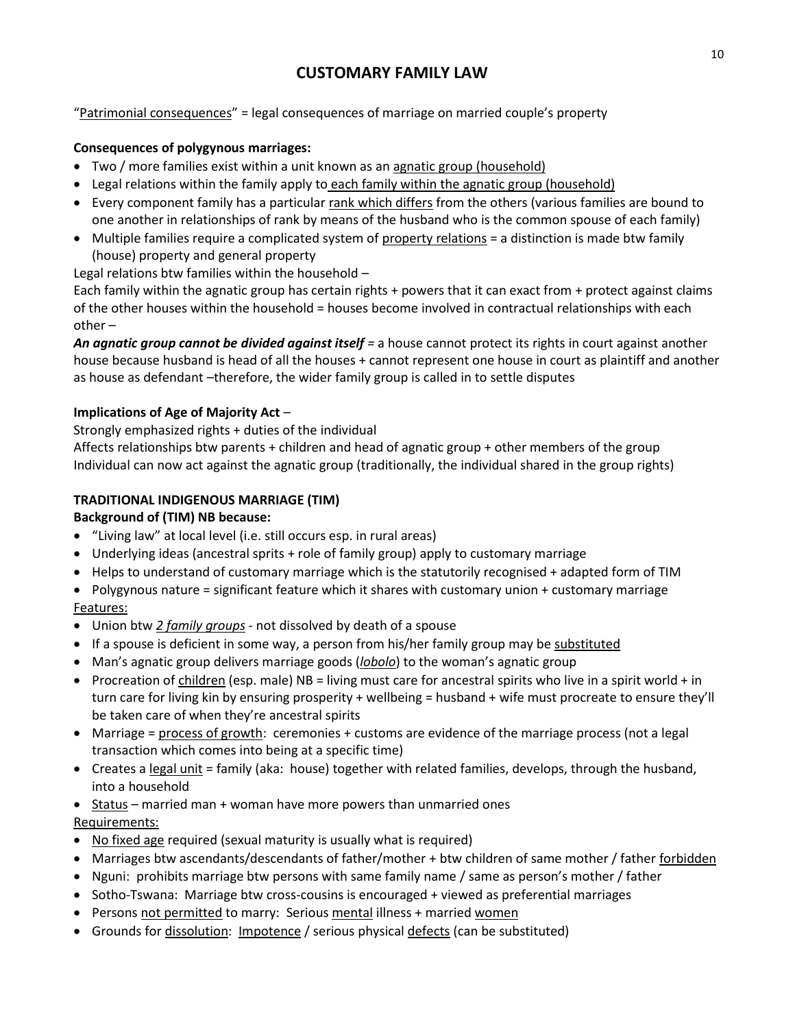# **CUSTOMARY FAMILY LAW**

"Patrimonial consequences" = legal consequences of marriage on married couple's property

# **Consequences of polygynous marriages:**

- Two / more families exist within a unit known as an agnatic group (household)
- Legal relations within the family apply to each family within the agnatic group (household)
- **E** Every component family has a particular rank which differs from the others (various families are bound to one another in relationships of rank by means of the husband who is the common spouse of each family)
- Multiple families require a complicated system of property relations = a distinction is made btw family (house) property and general property

Legal relations btw families within the household –

Each family within the agnatic group has certain rights + powers that it can exact from + protect against claims of the other houses within the household = houses become involved in contractual relationships with each other –

*An agnatic group cannot be divided against itself =* a house cannot protect its rights in court against another house because husband is head of all the houses + cannot represent one house in court as plaintiff and another as house as defendant –therefore, the wider family group is called in to settle disputes

# **Implications of Age of Majority Act** –

Strongly emphasized rights + duties of the individual

Affects relationships btw parents + children and head of agnatic group + other members of the group Individual can now act against the agnatic group (traditionally, the individual shared in the group rights)

# **TRADITIONAL INDIGENOUS MARRIAGE (TIM)**

# **Background of (TIM) NB because:**

- "Living law" at local level (i.e. still occurs esp. in rural areas)
- Underlying ideas (ancestral sprits + role of family group) apply to customary marriage
- Helps to understand of customary marriage which is the statutorily recognised + adapted form of TIM
- Polygynous nature = significant feature which it shares with customary union + customary marriage

# Features:

- Union btw *2 family groups* not dissolved by death of a spouse
- If a spouse is deficient in some way, a person from his/her family group may be substituted
- Man's agnatic group delivers marriage goods (*lobolo*) to the woman's agnatic group
- Procreation of children (esp. male) NB = living must care for ancestral spirits who live in a spirit world  $+$  in turn care for living kin by ensuring prosperity + wellbeing = husband + wife must procreate to ensure they'll be taken care of when they're ancestral spirits
- Marriage = process of growth: ceremonies + customs are evidence of the marriage process (not a legal transaction which comes into being at a specific time)
- Creates a legal unit = family (aka: house) together with related families, develops, through the husband, into a household
- Status married man + woman have more powers than unmarried ones
- Requirements:
- No fixed age required (sexual maturity is usually what is required)
- Marriages btw ascendants/descendants of father/mother + btw children of same mother / father forbidden
- Nguni: prohibits marriage btw persons with same family name / same as person's mother / father
- Sotho-Tswana: Marriage btw cross-cousins is encouraged + viewed as preferential marriages
- Persons not permitted to marry: Serious mental illness + married women
- Grounds for dissolution: Impotence / serious physical defects (can be substituted)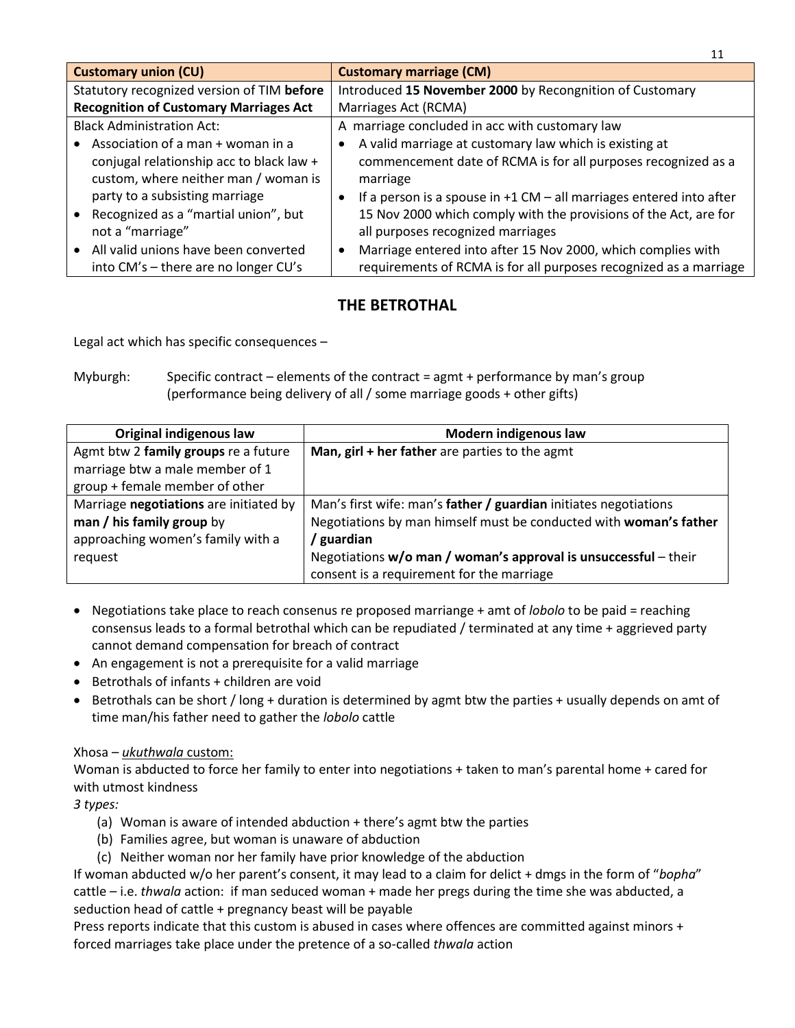| <b>Customary union (CU)</b>                   | <b>Customary marriage (CM)</b>                                            |
|-----------------------------------------------|---------------------------------------------------------------------------|
| Statutory recognized version of TIM before    | Introduced 15 November 2000 by Recongnition of Customary                  |
| <b>Recognition of Customary Marriages Act</b> | Marriages Act (RCMA)                                                      |
| <b>Black Administration Act:</b>              | A marriage concluded in acc with customary law                            |
| Association of a man + woman in a             | A valid marriage at customary law which is existing at                    |
| conjugal relationship acc to black law +      | commencement date of RCMA is for all purposes recognized as a             |
| custom, where neither man / woman is          | marriage                                                                  |
| party to a subsisting marriage                | If a person is a spouse in $+1$ CM $-$ all marriages entered into after   |
| Recognized as a "martial union", but          | 15 Nov 2000 which comply with the provisions of the Act, are for          |
| not a "marriage"                              | all purposes recognized marriages                                         |
| All valid unions have been converted          | Marriage entered into after 15 Nov 2000, which complies with<br>$\bullet$ |
| into CM's - there are no longer CU's          | requirements of RCMA is for all purposes recognized as a marriage         |

# **THE BETROTHAL**

Legal act which has specific consequences –

Myburgh: Specific contract – elements of the contract = agmt + performance by man's group (performance being delivery of all / some marriage goods + other gifts)

| Original indigenous law                | Modern indigenous law                                             |
|----------------------------------------|-------------------------------------------------------------------|
| Agmt btw 2 family groups re a future   | Man, girl + her father are parties to the agmt                    |
| marriage btw a male member of 1        |                                                                   |
| group + female member of other         |                                                                   |
| Marriage negotiations are initiated by | Man's first wife: man's father / guardian initiates negotiations  |
| man / his family group by              | Negotiations by man himself must be conducted with woman's father |
| approaching women's family with a      | / guardian                                                        |
| request                                | Negotiations $w/o$ man / woman's approval is unsuccessful – their |
|                                        | consent is a requirement for the marriage                         |

- Negotiations take place to reach consenus re proposed marriange + amt of *lobolo* to be paid = reaching consensus leads to a formal betrothal which can be repudiated / terminated at any time + aggrieved party cannot demand compensation for breach of contract
- An engagement is not a prerequisite for a valid marriage
- Betrothals of infants + children are void
- Betrothals can be short / long + duration is determined by agmt btw the parties + usually depends on amt of time man/his father need to gather the *lobolo* cattle

# Xhosa – *ukuthwala* custom:

Woman is abducted to force her family to enter into negotiations + taken to man's parental home + cared for with utmost kindness

*3 types:*

- (a) Woman is aware of intended abduction + there's agmt btw the parties
- (b) Families agree, but woman is unaware of abduction
- (c) Neither woman nor her family have prior knowledge of the abduction

If woman abducted w/o her parent's consent, it may lead to a claim for delict + dmgs in the form of "*bopha*" cattle – i.e. *thwala* action: if man seduced woman + made her pregs during the time she was abducted, a seduction head of cattle + pregnancy beast will be payable

Press reports indicate that this custom is abused in cases where offences are committed against minors + forced marriages take place under the pretence of a so-called *thwala* action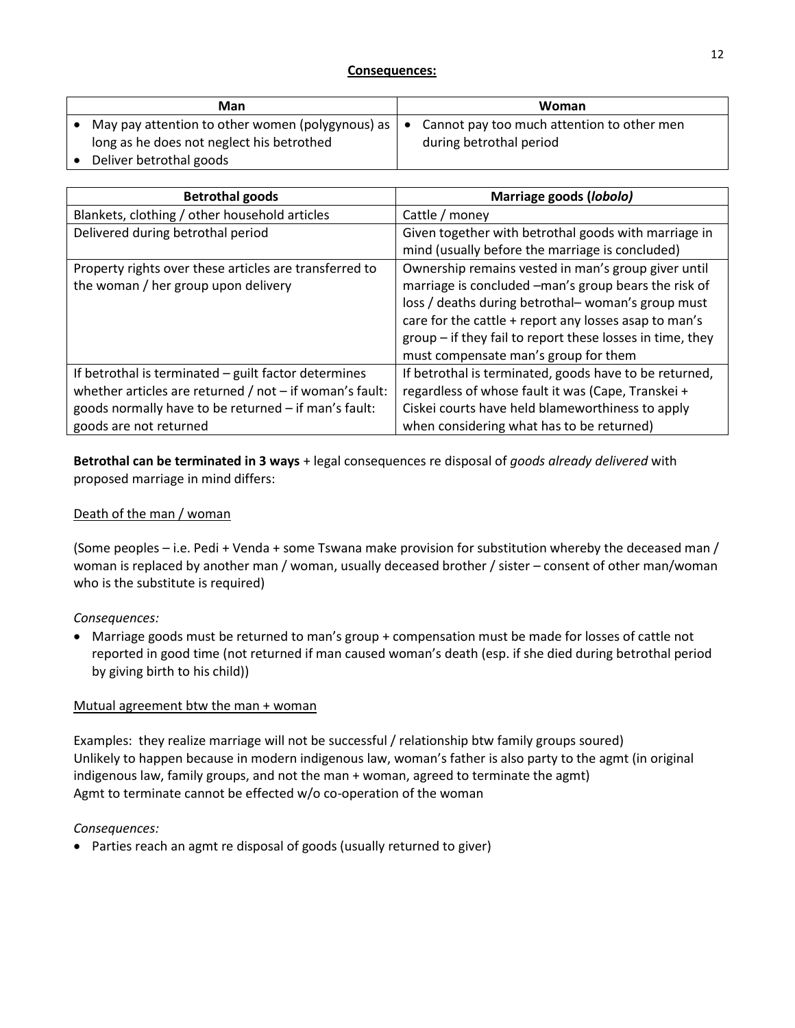| Man                                                            | Woman                                      |
|----------------------------------------------------------------|--------------------------------------------|
| May pay attention to other women (polygynous) as $  \bullet  $ | Cannot pay too much attention to other men |
| long as he does not neglect his betrothed                      | during betrothal period                    |
| Deliver betrothal goods                                        |                                            |

| <b>Betrothal goods</b>                                      | Marriage goods (lobolo)                                   |
|-------------------------------------------------------------|-----------------------------------------------------------|
| Blankets, clothing / other household articles               | Cattle / money                                            |
| Delivered during betrothal period                           | Given together with betrothal goods with marriage in      |
|                                                             | mind (usually before the marriage is concluded)           |
| Property rights over these articles are transferred to      | Ownership remains vested in man's group giver until       |
| the woman / her group upon delivery                         | marriage is concluded -man's group bears the risk of      |
|                                                             | loss / deaths during betrothal-woman's group must         |
|                                                             | care for the cattle + report any losses asap to man's     |
|                                                             | group - if they fail to report these losses in time, they |
|                                                             | must compensate man's group for them                      |
| If betrothal is terminated - guilt factor determines        | If betrothal is terminated, goods have to be returned,    |
| whether articles are returned $/$ not $-$ if woman's fault: | regardless of whose fault it was (Cape, Transkei +        |
| goods normally have to be returned - if man's fault:        | Ciskei courts have held blameworthiness to apply          |
| goods are not returned                                      | when considering what has to be returned)                 |

**Betrothal can be terminated in 3 ways** + legal consequences re disposal of *goods already delivered* with proposed marriage in mind differs:

# Death of the man / woman

(Some peoples – i.e. Pedi + Venda + some Tswana make provision for substitution whereby the deceased man / woman is replaced by another man / woman, usually deceased brother / sister – consent of other man/woman who is the substitute is required)

# *Consequences:*

 Marriage goods must be returned to man's group + compensation must be made for losses of cattle not reported in good time (not returned if man caused woman's death (esp. if she died during betrothal period by giving birth to his child))

# Mutual agreement btw the man + woman

Examples: they realize marriage will not be successful / relationship btw family groups soured) Unlikely to happen because in modern indigenous law, woman's father is also party to the agmt (in original indigenous law, family groups, and not the man + woman, agreed to terminate the agmt) Agmt to terminate cannot be effected w/o co-operation of the woman

# *Consequences:*

• Parties reach an agmt re disposal of goods (usually returned to giver)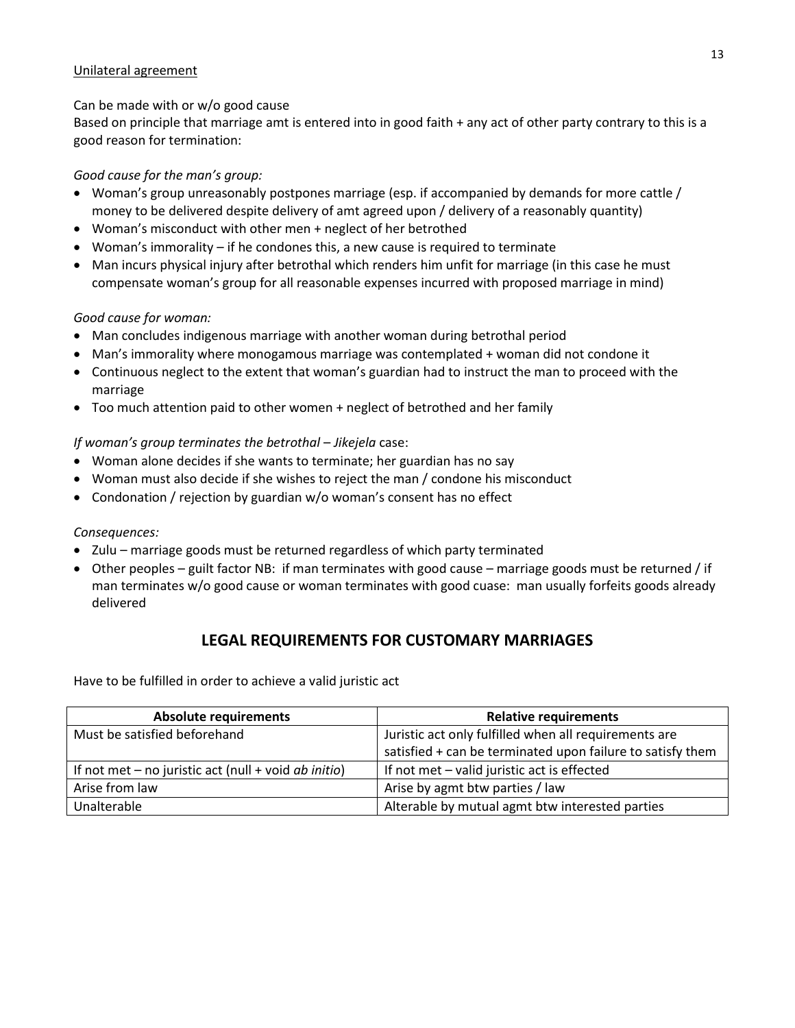#### Unilateral agreement

#### Can be made with or w/o good cause

Based on principle that marriage amt is entered into in good faith + any act of other party contrary to this is a good reason for termination:

# *Good cause for the man's group:*

- Woman's group unreasonably postpones marriage (esp. if accompanied by demands for more cattle / money to be delivered despite delivery of amt agreed upon / delivery of a reasonably quantity)
- Woman's misconduct with other men + neglect of her betrothed
- Woman's immorality if he condones this, a new cause is required to terminate
- Man incurs physical injury after betrothal which renders him unfit for marriage (in this case he must compensate woman's group for all reasonable expenses incurred with proposed marriage in mind)

# *Good cause for woman:*

- Man concludes indigenous marriage with another woman during betrothal period
- Man's immorality where monogamous marriage was contemplated + woman did not condone it
- Continuous neglect to the extent that woman's guardian had to instruct the man to proceed with the marriage
- Too much attention paid to other women + neglect of betrothed and her family

# *If woman's group terminates the betrothal* – *Jikejela* case:

- Woman alone decides if she wants to terminate; her guardian has no say
- Woman must also decide if she wishes to reject the man / condone his misconduct
- Condonation / rejection by guardian w/o woman's consent has no effect

#### *Consequences:*

- Zulu marriage goods must be returned regardless of which party terminated
- Other peoples guilt factor NB: if man terminates with good cause marriage goods must be returned / if man terminates w/o good cause or woman terminates with good cuase: man usually forfeits goods already delivered

# **LEGAL REQUIREMENTS FOR CUSTOMARY MARRIAGES**

Have to be fulfilled in order to achieve a valid juristic act

| <b>Absolute requirements</b>                           | <b>Relative requirements</b>                               |
|--------------------------------------------------------|------------------------------------------------------------|
| Must be satisfied beforehand                           | Juristic act only fulfilled when all requirements are      |
|                                                        | satisfied + can be terminated upon failure to satisfy them |
| If not met $-$ no juristic act (null + void ab initio) | If not met - valid juristic act is effected                |
| Arise from law                                         | Arise by agmt btw parties / law                            |
| Unalterable                                            | Alterable by mutual agmt btw interested parties            |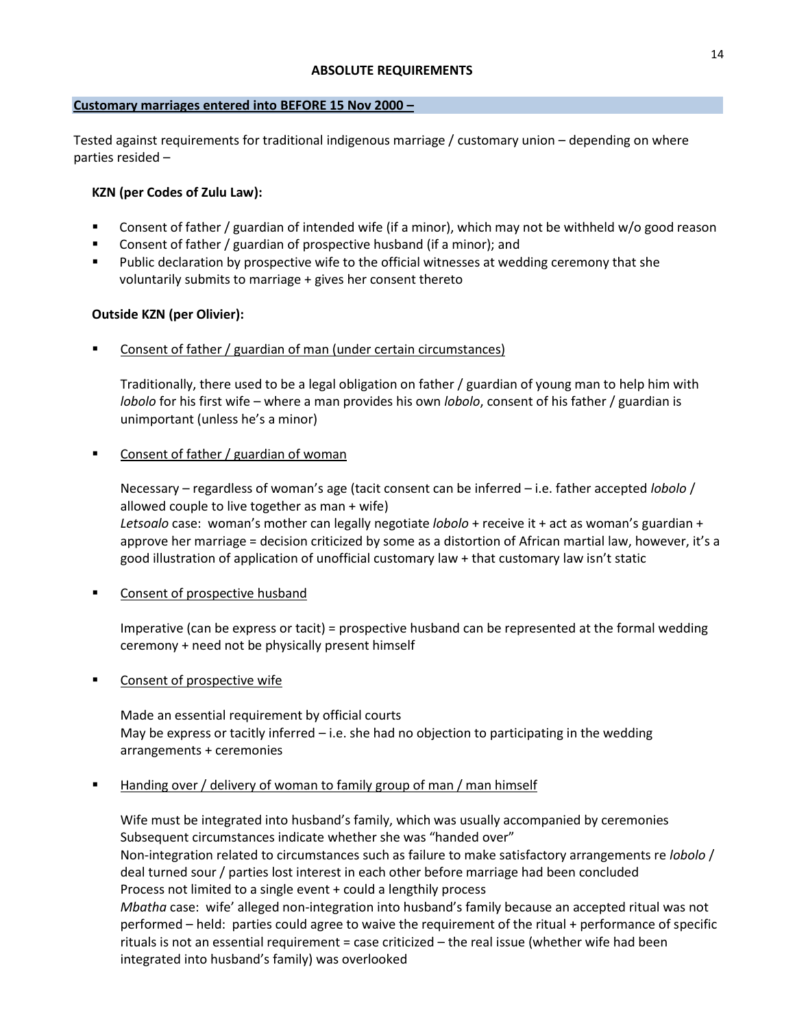### **Customary marriages entered into BEFORE 15 Nov 2000 –**

Tested against requirements for traditional indigenous marriage / customary union – depending on where parties resided –

# **KZN (per Codes of Zulu Law):**

- Consent of father / guardian of intended wife (if a minor), which may not be withheld w/o good reason
- **EXEDENT** Consent of father / guardian of prospective husband (if a minor); and
- Public declaration by prospective wife to the official witnesses at wedding ceremony that she voluntarily submits to marriage + gives her consent thereto

# **Outside KZN (per Olivier):**

Consent of father / guardian of man (under certain circumstances)

Traditionally, there used to be a legal obligation on father / guardian of young man to help him with *lobolo* for his first wife – where a man provides his own *lobolo*, consent of his father / guardian is unimportant (unless he's a minor)

# Consent of father / guardian of woman

Necessary – regardless of woman's age (tacit consent can be inferred – i.e. father accepted *lobolo* / allowed couple to live together as man + wife) *Letsoalo* case: woman's mother can legally negotiate *lobolo* + receive it + act as woman's guardian +

approve her marriage = decision criticized by some as a distortion of African martial law, however, it's a good illustration of application of unofficial customary law + that customary law isn't static

Consent of prospective husband

Imperative (can be express or tacit) = prospective husband can be represented at the formal wedding ceremony + need not be physically present himself

Consent of prospective wife

Made an essential requirement by official courts May be express or tacitly inferred  $-$  i.e. she had no objection to participating in the wedding arrangements + ceremonies

# Handing over / delivery of woman to family group of man / man himself

Wife must be integrated into husband's family, which was usually accompanied by ceremonies Subsequent circumstances indicate whether she was "handed over" Non-integration related to circumstances such as failure to make satisfactory arrangements re *lobolo* / deal turned sour / parties lost interest in each other before marriage had been concluded Process not limited to a single event + could a lengthily process *Mbatha* case: wife' alleged non-integration into husband's family because an accepted ritual was not performed – held: parties could agree to waive the requirement of the ritual + performance of specific rituals is not an essential requirement = case criticized – the real issue (whether wife had been integrated into husband's family) was overlooked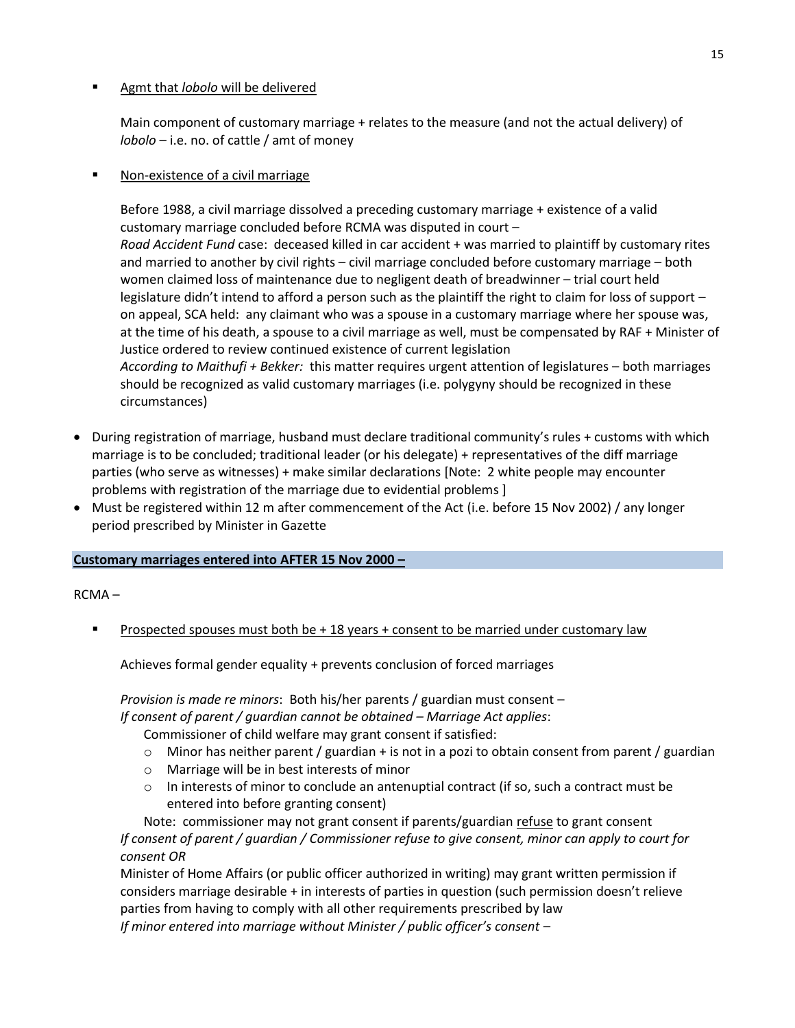#### Agmt that *lobolo* will be delivered

Main component of customary marriage + relates to the measure (and not the actual delivery) of *lobolo* – i.e. no. of cattle / amt of money

#### Non-existence of a civil marriage

Before 1988, a civil marriage dissolved a preceding customary marriage + existence of a valid customary marriage concluded before RCMA was disputed in court – *Road Accident Fund* case: deceased killed in car accident + was married to plaintiff by customary rites and married to another by civil rights – civil marriage concluded before customary marriage – both women claimed loss of maintenance due to negligent death of breadwinner – trial court held legislature didn't intend to afford a person such as the plaintiff the right to claim for loss of support – on appeal, SCA held: any claimant who was a spouse in a customary marriage where her spouse was, at the time of his death, a spouse to a civil marriage as well, must be compensated by RAF + Minister of Justice ordered to review continued existence of current legislation *According to Maithufi + Bekker:* this matter requires urgent attention of legislatures – both marriages should be recognized as valid customary marriages (i.e. polygyny should be recognized in these circumstances)

- During registration of marriage, husband must declare traditional community's rules + customs with which marriage is to be concluded; traditional leader (or his delegate) + representatives of the diff marriage parties (who serve as witnesses) + make similar declarations [Note: 2 white people may encounter problems with registration of the marriage due to evidential problems ]
- Must be registered within 12 m after commencement of the Act (i.e. before 15 Nov 2002) / any longer period prescribed by Minister in Gazette

#### **Customary marriages entered into AFTER 15 Nov 2000 –**

RCMA –

Prospected spouses must both be + 18 years + consent to be married under customary law

Achieves formal gender equality + prevents conclusion of forced marriages

*Provision is made re minors*: Both his/her parents / guardian must consent –

*If consent of parent / guardian cannot be obtained – Marriage Act applies*:

Commissioner of child welfare may grant consent if satisfied:

- $\circ$  Minor has neither parent / guardian + is not in a pozi to obtain consent from parent / guardian
- o Marriage will be in best interests of minor
- $\circ$  In interests of minor to conclude an antenuptial contract (if so, such a contract must be entered into before granting consent)

Note: commissioner may not grant consent if parents/guardian refuse to grant consent *If consent of parent / guardian / Commissioner refuse to give consent, minor can apply to court for consent OR* 

Minister of Home Affairs (or public officer authorized in writing) may grant written permission if considers marriage desirable + in interests of parties in question (such permission doesn't relieve parties from having to comply with all other requirements prescribed by law *If minor entered into marriage without Minister / public officer's consent –*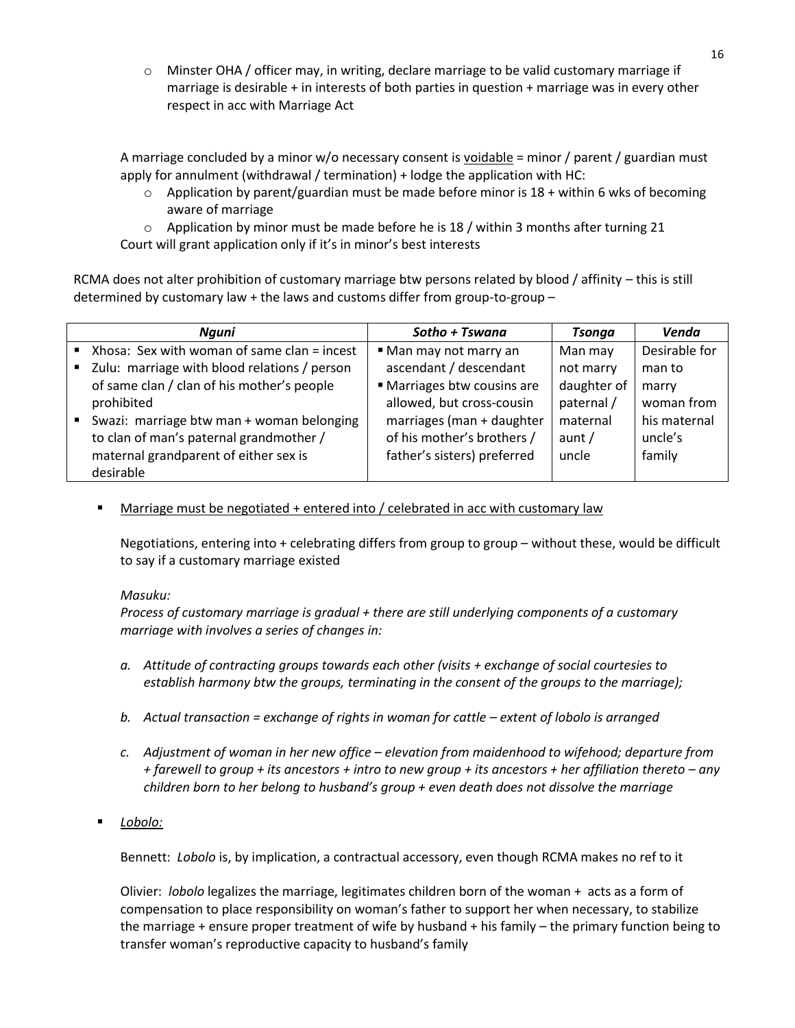o Minster OHA / officer may, in writing, declare marriage to be valid customary marriage if marriage is desirable + in interests of both parties in question + marriage was in every other respect in acc with Marriage Act

A marriage concluded by a minor w/o necessary consent is voidable = minor / parent / guardian must apply for annulment (withdrawal / termination) + lodge the application with HC:

 $\circ$  Application by parent/guardian must be made before minor is 18 + within 6 wks of becoming aware of marriage

 $\circ$  Application by minor must be made before he is 18 / within 3 months after turning 21 Court will grant application only if it's in minor's best interests

RCMA does not alter prohibition of customary marriage btw persons related by blood / affinity – this is still determined by customary law + the laws and customs differ from group-to-group –

|                | Nguni                                                      | Sotho + Tswana              | <b>Tsonga</b> | Venda         |
|----------------|------------------------------------------------------------|-----------------------------|---------------|---------------|
|                | $\blacksquare$ Xhosa: Sex with woman of same clan = incest | • Man may not marry an      | Man may       | Desirable for |
|                | ■ Zulu: marriage with blood relations / person             | ascendant / descendant      | not marry     | man to        |
|                | of same clan / clan of his mother's people                 | ■ Marriages btw cousins are | daughter of   | marry         |
|                | prohibited                                                 | allowed, but cross-cousin   | paternal /    | woman from    |
| $\mathbf{R}$ . | Swazi: marriage btw man + woman belonging                  | marriages (man + daughter   | maternal      | his maternal  |
|                | to clan of man's paternal grandmother /                    | of his mother's brothers /  | aunt $/$      | uncle's       |
|                | maternal grandparent of either sex is                      | father's sisters) preferred | uncle         | family        |
|                | desirable                                                  |                             |               |               |

Marriage must be negotiated + entered into / celebrated in acc with customary law

Negotiations, entering into + celebrating differs from group to group – without these, would be difficult to say if a customary marriage existed

#### *Masuku:*

*Process of customary marriage is gradual + there are still underlying components of a customary marriage with involves a series of changes in:*

- *a. Attitude of contracting groups towards each other (visits + exchange of social courtesies to establish harmony btw the groups, terminating in the consent of the groups to the marriage);*
- *b.* Actual transaction = exchange of rights in woman for cattle extent of lobolo is arranged
- *c. Adjustment of woman in her new office – elevation from maidenhood to wifehood; departure from + farewell to group + its ancestors + intro to new group + its ancestors + her affiliation thereto – any children born to her belong to husband's group + even death does not dissolve the marriage*
- *Lobolo:*

Bennett: *Lobolo* is, by implication, a contractual accessory, even though RCMA makes no ref to it

Olivier: *lobolo* legalizes the marriage, legitimates children born of the woman + acts as a form of compensation to place responsibility on woman's father to support her when necessary, to stabilize the marriage + ensure proper treatment of wife by husband + his family – the primary function being to transfer woman's reproductive capacity to husband's family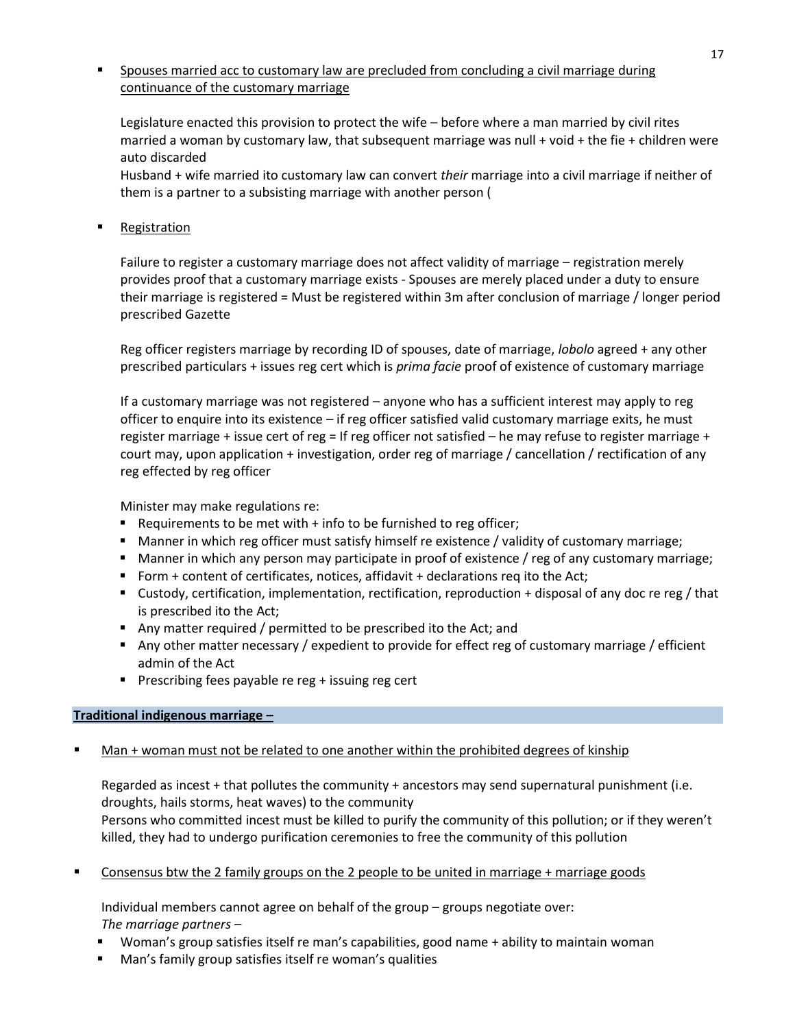## Spouses married acc to customary law are precluded from concluding a civil marriage during continuance of the customary marriage

Legislature enacted this provision to protect the wife – before where a man married by civil rites married a woman by customary law, that subsequent marriage was null + void + the fie + children were auto discarded

Husband + wife married ito customary law can convert *their* marriage into a civil marriage if neither of them is a partner to a subsisting marriage with another person (

## Registration

Failure to register a customary marriage does not affect validity of marriage – registration merely provides proof that a customary marriage exists - Spouses are merely placed under a duty to ensure their marriage is registered = Must be registered within 3m after conclusion of marriage / longer period prescribed Gazette

Reg officer registers marriage by recording ID of spouses, date of marriage, *lobolo* agreed + any other prescribed particulars + issues reg cert which is *prima facie* proof of existence of customary marriage

If a customary marriage was not registered – anyone who has a sufficient interest may apply to reg officer to enquire into its existence – if reg officer satisfied valid customary marriage exits, he must register marriage + issue cert of reg = If reg officer not satisfied – he may refuse to register marriage + court may, upon application + investigation, order reg of marriage / cancellation / rectification of any reg effected by reg officer

Minister may make regulations re:

- Requirements to be met with  $+$  info to be furnished to reg officer;
- Manner in which reg officer must satisfy himself re existence / validity of customary marriage;
- Manner in which any person may participate in proof of existence / reg of any customary marriage;
- Form + content of certificates, notices, affidavit + declarations req ito the Act;
- Custody, certification, implementation, rectification, reproduction + disposal of any doc re reg / that is prescribed ito the Act;
- Any matter required / permitted to be prescribed ito the Act; and
- Any other matter necessary / expedient to provide for effect reg of customary marriage / efficient admin of the Act
- **Prescribing fees payable re reg + issuing reg cert**

#### **Traditional indigenous marriage –**

Man + woman must not be related to one another within the prohibited degrees of kinship

Regarded as incest + that pollutes the community + ancestors may send supernatural punishment (i.e. droughts, hails storms, heat waves) to the community

Persons who committed incest must be killed to purify the community of this pollution; or if they weren't killed, they had to undergo purification ceremonies to free the community of this pollution

Consensus btw the 2 family groups on the 2 people to be united in marriage  $+$  marriage goods

Individual members cannot agree on behalf of the group – groups negotiate over: *The marriage partners –*

- Woman's group satisfies itself re man's capabilities, good name + ability to maintain woman
- Man's family group satisfies itself re woman's qualities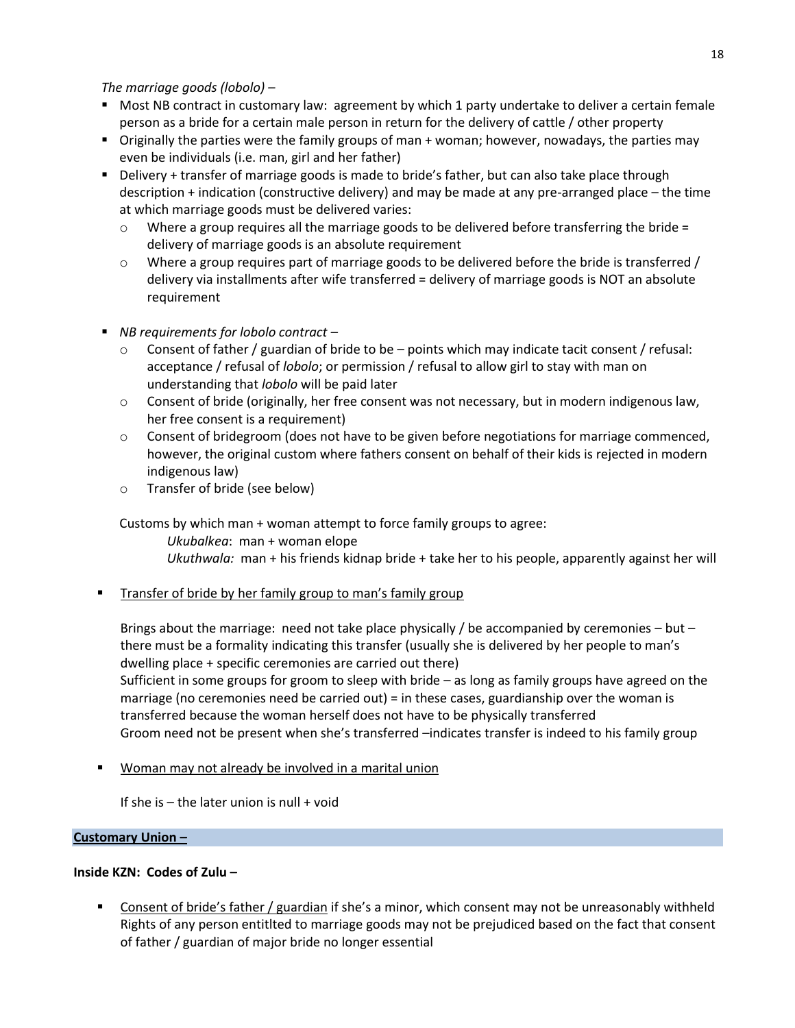*The marriage goods (lobolo) –*

- **Most NB contract in customary law: agreement by which 1 party undertake to deliver a certain female** person as a bride for a certain male person in return for the delivery of cattle / other property
- Originally the parties were the family groups of man + woman; however, nowadays, the parties may even be individuals (i.e. man, girl and her father)
- Delivery + transfer of marriage goods is made to bride's father, but can also take place through description + indication (constructive delivery) and may be made at any pre-arranged place – the time at which marriage goods must be delivered varies:
	- $\circ$  Where a group requires all the marriage goods to be delivered before transferring the bride = delivery of marriage goods is an absolute requirement
	- o Where a group requires part of marriage goods to be delivered before the bride is transferred / delivery via installments after wife transferred = delivery of marriage goods is NOT an absolute requirement
- *NB requirements for lobolo contract –*
	- $\circ$  Consent of father / guardian of bride to be points which may indicate tacit consent / refusal: acceptance / refusal of *lobolo*; or permission / refusal to allow girl to stay with man on understanding that *lobolo* will be paid later
	- o Consent of bride (originally, her free consent was not necessary, but in modern indigenous law, her free consent is a requirement)
	- $\circ$  Consent of bridegroom (does not have to be given before negotiations for marriage commenced, however, the original custom where fathers consent on behalf of their kids is rejected in modern indigenous law)
	- o Transfer of bride (see below)

Customs by which man + woman attempt to force family groups to agree:

*Ukubalkea*: man + woman elope *Ukuthwala:* man + his friends kidnap bride + take her to his people, apparently against her will

Transfer of bride by her family group to man's family group

Brings about the marriage: need not take place physically / be accompanied by ceremonies – but – there must be a formality indicating this transfer (usually she is delivered by her people to man's dwelling place + specific ceremonies are carried out there)

Sufficient in some groups for groom to sleep with bride – as long as family groups have agreed on the marriage (no ceremonies need be carried out) = in these cases, guardianship over the woman is transferred because the woman herself does not have to be physically transferred Groom need not be present when she's transferred –indicates transfer is indeed to his family group

Woman may not already be involved in a marital union

If she is  $-$  the later union is null  $+$  void

# **Customary Union –**

# **Inside KZN: Codes of Zulu –**

**Consent of bride's father / guardian if she's a minor, which consent may not be unreasonably withheld** Rights of any person entitlted to marriage goods may not be prejudiced based on the fact that consent of father / guardian of major bride no longer essential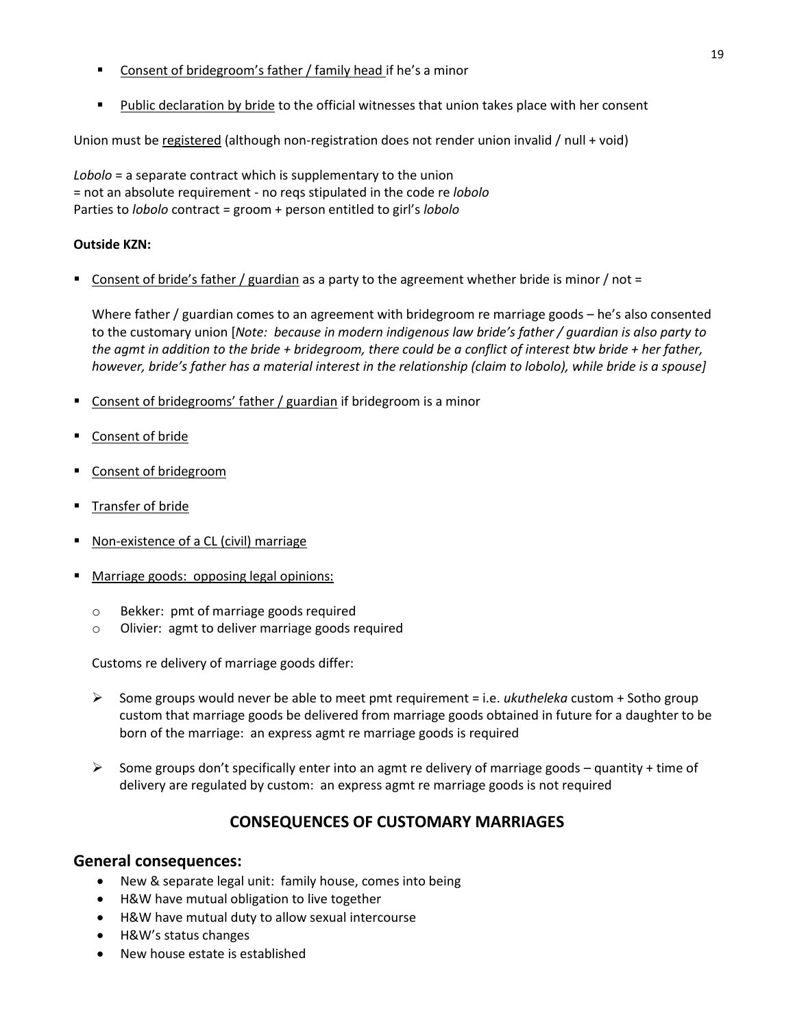- Consent of bridegroom's father / family head if he's a minor
- Public declaration by bride to the official witnesses that union takes place with her consent

Union must be registered (although non-registration does not render union invalid / null + void)

*Lobolo* = a separate contract which is supplementary to the union = not an absolute requirement - no reqs stipulated in the code re *lobolo*  Parties to *lobolo* contract = groom + person entitled to girl's *lobolo*

### **Outside KZN:**

 $\blacksquare$  Consent of bride's father / guardian as a party to the agreement whether bride is minor / not =

Where father / guardian comes to an agreement with bridegroom re marriage goods – he's also consented to the customary union [*Note: because in modern indigenous law bride's father / guardian is also party to the agmt in addition to the bride + bridegroom, there could be a conflict of interest btw bride + her father, however, bride's father has a material interest in the relationship (claim to lobolo), while bride is a spouse]*

- Consent of bridegrooms' father / guardian if bridegroom is a minor
- **Consent of bride**
- **Consent of bridegroom**
- Transfer of bride
- Non-existence of a CL (civil) marriage
- Marriage goods: opposing legal opinions:
	- o Bekker: pmt of marriage goods required
	- o Olivier: agmt to deliver marriage goods required

Customs re delivery of marriage goods differ:

- Some groups would never be able to meet pmt requirement = i.e. *ukutheleka* custom + Sotho group custom that marriage goods be delivered from marriage goods obtained in future for a daughter to be born of the marriage: an express agmt re marriage goods is required
- Some groups don't specifically enter into an agmt re delivery of marriage goods quantity + time of delivery are regulated by custom: an express agmt re marriage goods is not required

# **CONSEQUENCES OF CUSTOMARY MARRIAGES**

#### **General consequences:**

- New & separate legal unit: family house, comes into being
- H&W have mutual obligation to live together
- H&W have mutual duty to allow sexual intercourse
- H&W's status changes
- New house estate is established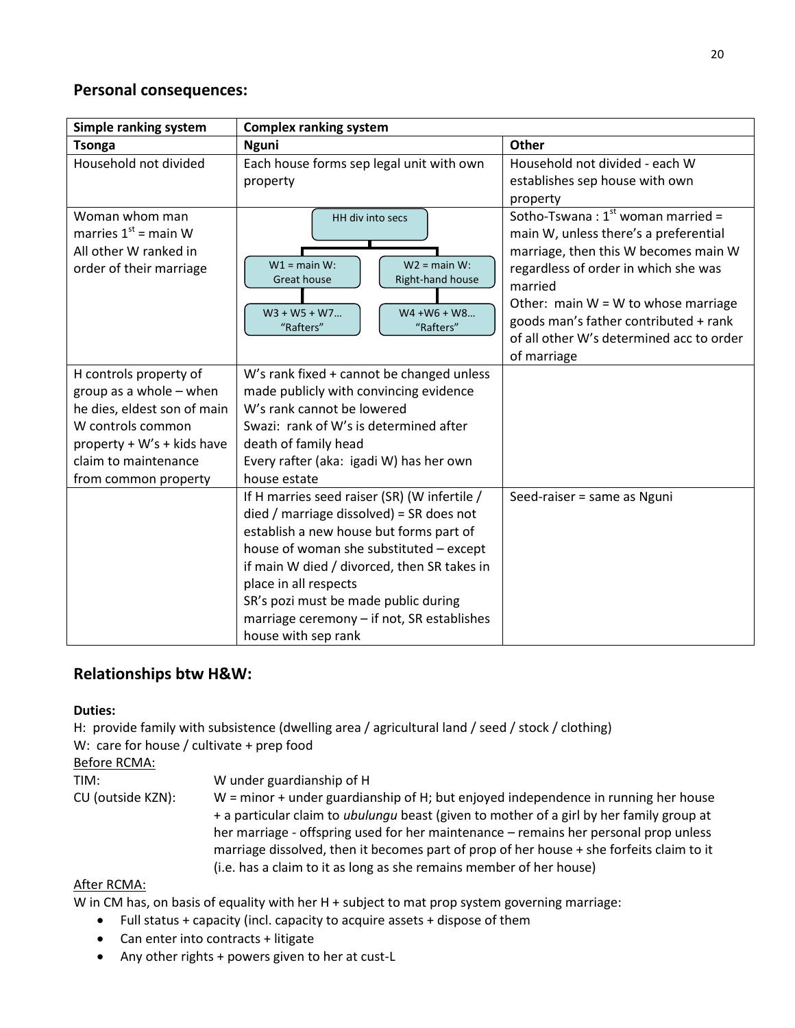# **Personal consequences:**

| Simple ranking system                                                                                                                                                                 | <b>Complex ranking system</b>                                                                                                                                                                                                                                                                                                                                           |                                                                                                                                                                                                                                                                                                                         |  |
|---------------------------------------------------------------------------------------------------------------------------------------------------------------------------------------|-------------------------------------------------------------------------------------------------------------------------------------------------------------------------------------------------------------------------------------------------------------------------------------------------------------------------------------------------------------------------|-------------------------------------------------------------------------------------------------------------------------------------------------------------------------------------------------------------------------------------------------------------------------------------------------------------------------|--|
| <b>Tsonga</b>                                                                                                                                                                         | <b>Nguni</b>                                                                                                                                                                                                                                                                                                                                                            | Other                                                                                                                                                                                                                                                                                                                   |  |
| Household not divided                                                                                                                                                                 | Each house forms sep legal unit with own<br>property                                                                                                                                                                                                                                                                                                                    | Household not divided - each W<br>establishes sep house with own<br>property                                                                                                                                                                                                                                            |  |
| Woman whom man<br>marries $1st$ = main W<br>All other W ranked in<br>order of their marriage                                                                                          | HH div into secs<br>$W1 = \text{main } W$ :<br>$W2 = \text{main } W$ :<br><b>Great house</b><br>Right-hand house<br>$W3 + W5 + W7$<br>$W4 + W6 + W8$<br>"Rafters"<br>"Rafters"                                                                                                                                                                                          | Sotho-Tswana: $1^{st}$ woman married =<br>main W, unless there's a preferential<br>marriage, then this W becomes main W<br>regardless of order in which she was<br>married<br>Other: main $W = W$ to whose marriage<br>goods man's father contributed + rank<br>of all other W's determined acc to order<br>of marriage |  |
| H controls property of<br>group as a whole $-$ when<br>he dies, eldest son of main<br>W controls common<br>property + W's + kids have<br>claim to maintenance<br>from common property | W's rank fixed + cannot be changed unless<br>made publicly with convincing evidence<br>W's rank cannot be lowered<br>Swazi: rank of W's is determined after<br>death of family head<br>Every rafter (aka: igadi W) has her own<br>house estate                                                                                                                          |                                                                                                                                                                                                                                                                                                                         |  |
|                                                                                                                                                                                       | If H marries seed raiser (SR) (W infertile /<br>$died /$ marriage dissolved) = SR does not<br>establish a new house but forms part of<br>house of woman she substituted - except<br>if main W died / divorced, then SR takes in<br>place in all respects<br>SR's pozi must be made public during<br>marriage ceremony $-$ if not, SR establishes<br>house with sep rank | Seed-raiser = same as Nguni                                                                                                                                                                                                                                                                                             |  |

# **Relationships btw H&W:**

# **Duties:**

H: provide family with subsistence (dwelling area / agricultural land / seed / stock / clothing) W: care for house / cultivate + prep food

Before RCMA:

| TIM:              | W under guardianship of H                                                                       |
|-------------------|-------------------------------------------------------------------------------------------------|
| CU (outside KZN): | $W =$ minor + under guardianship of H; but enjoyed independence in running her house            |
|                   | + a particular claim to <i>ubulungu</i> beast (given to mother of a girl by her family group at |
|                   | her marriage - offspring used for her maintenance - remains her personal prop unless            |
|                   | marriage dissolved, then it becomes part of prop of her house + she forfeits claim to it        |
|                   | (i.e. has a claim to it as long as she remains member of her house)                             |

# After RCMA:

W in CM has, on basis of equality with her H + subject to mat prop system governing marriage:

- Full status + capacity (incl. capacity to acquire assets + dispose of them
- Can enter into contracts + litigate
- Any other rights + powers given to her at cust-L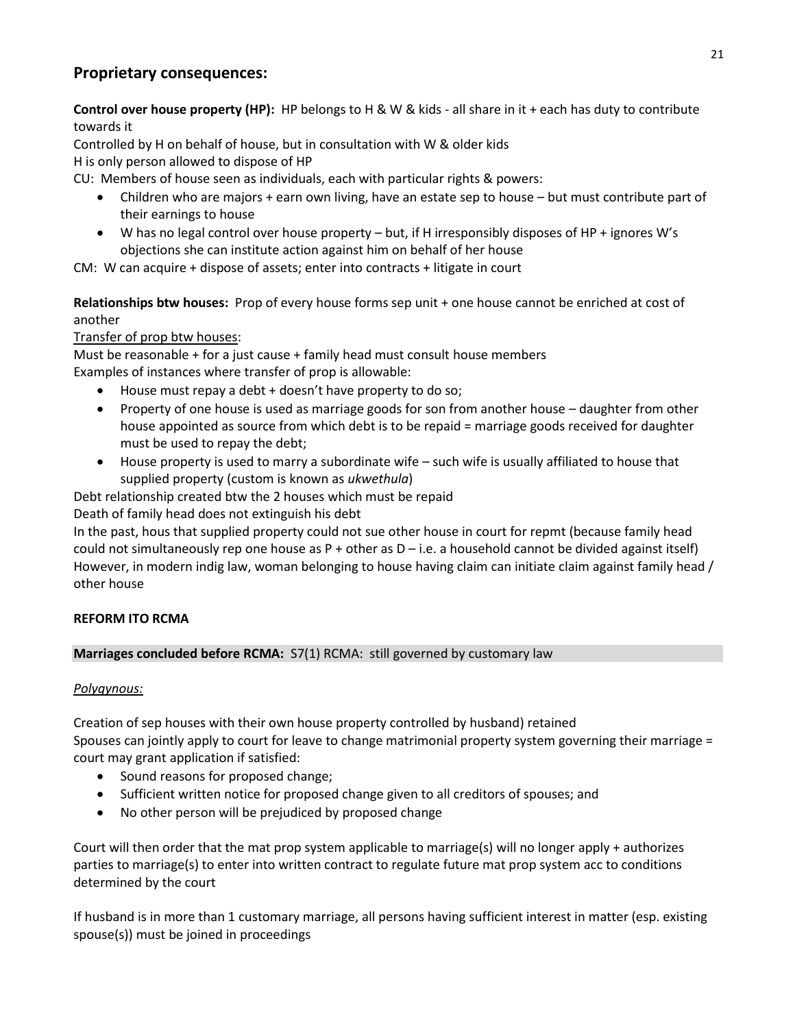# **Proprietary consequences:**

**Control over house property (HP):** HP belongs to H & W & kids - all share in it + each has duty to contribute towards it

Controlled by H on behalf of house, but in consultation with W & older kids

H is only person allowed to dispose of HP

CU: Members of house seen as individuals, each with particular rights & powers:

- Children who are majors + earn own living, have an estate sep to house but must contribute part of their earnings to house
- W has no legal control over house property but, if H irresponsibly disposes of HP + ignores W's objections she can institute action against him on behalf of her house

CM: W can acquire + dispose of assets; enter into contracts + litigate in court

**Relationships btw houses:** Prop of every house forms sep unit + one house cannot be enriched at cost of another

# Transfer of prop btw houses:

Must be reasonable + for a just cause + family head must consult house members Examples of instances where transfer of prop is allowable:

- House must repay a debt + doesn't have property to do so;
- Property of one house is used as marriage goods for son from another house daughter from other house appointed as source from which debt is to be repaid = marriage goods received for daughter must be used to repay the debt;
- House property is used to marry a subordinate wife such wife is usually affiliated to house that supplied property (custom is known as *ukwethula*)

Debt relationship created btw the 2 houses which must be repaid

Death of family head does not extinguish his debt

In the past, hous that supplied property could not sue other house in court for repmt (because family head could not simultaneously rep one house as  $P +$  other as  $D - i.e.$  a household cannot be divided against itself) However, in modern indig law, woman belonging to house having claim can initiate claim against family head / other house

# **REFORM ITO RCMA**

# **Marriages concluded before RCMA:** S7(1) RCMA: still governed by customary law

# *Polygynous:*

Creation of sep houses with their own house property controlled by husband) retained Spouses can jointly apply to court for leave to change matrimonial property system governing their marriage = court may grant application if satisfied:

- Sound reasons for proposed change;
- Sufficient written notice for proposed change given to all creditors of spouses; and
- No other person will be prejudiced by proposed change

Court will then order that the mat prop system applicable to marriage(s) will no longer apply + authorizes parties to marriage(s) to enter into written contract to regulate future mat prop system acc to conditions determined by the court

If husband is in more than 1 customary marriage, all persons having sufficient interest in matter (esp. existing spouse(s)) must be joined in proceedings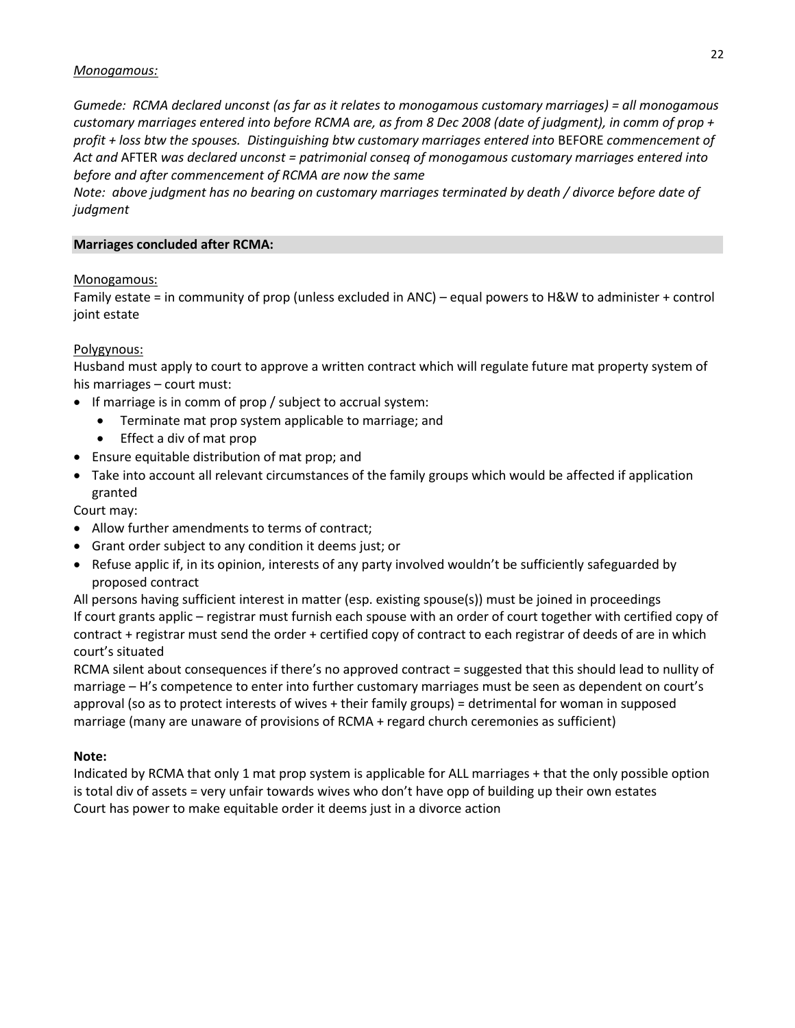#### *Monogamous:*

*Gumede: RCMA declared unconst (as far as it relates to monogamous customary marriages) = all monogamous customary marriages entered into before RCMA are, as from 8 Dec 2008 (date of judgment), in comm of prop + profit + loss btw the spouses. Distinguishing btw customary marriages entered into* BEFORE *commencement of Act and* AFTER *was declared unconst = patrimonial conseq of monogamous customary marriages entered into before and after commencement of RCMA are now the same*

*Note: above judgment has no bearing on customary marriages terminated by death / divorce before date of judgment*

#### **Marriages concluded after RCMA:**

#### Monogamous:

Family estate = in community of prop (unless excluded in ANC) – equal powers to H&W to administer + control joint estate

#### Polygynous:

Husband must apply to court to approve a written contract which will regulate future mat property system of his marriages – court must:

- If marriage is in comm of prop / subject to accrual system:
	- Terminate mat prop system applicable to marriage; and
	- Effect a div of mat prop
- Ensure equitable distribution of mat prop; and
- Take into account all relevant circumstances of the family groups which would be affected if application granted

Court may:

- Allow further amendments to terms of contract;
- Grant order subject to any condition it deems just; or
- Refuse applic if, in its opinion, interests of any party involved wouldn't be sufficiently safeguarded by proposed contract

All persons having sufficient interest in matter (esp. existing spouse(s)) must be joined in proceedings If court grants applic – registrar must furnish each spouse with an order of court together with certified copy of contract + registrar must send the order + certified copy of contract to each registrar of deeds of are in which court's situated

RCMA silent about consequences if there's no approved contract = suggested that this should lead to nullity of marriage – H's competence to enter into further customary marriages must be seen as dependent on court's approval (so as to protect interests of wives + their family groups) = detrimental for woman in supposed marriage (many are unaware of provisions of RCMA + regard church ceremonies as sufficient)

#### **Note:**

Indicated by RCMA that only 1 mat prop system is applicable for ALL marriages + that the only possible option is total div of assets = very unfair towards wives who don't have opp of building up their own estates Court has power to make equitable order it deems just in a divorce action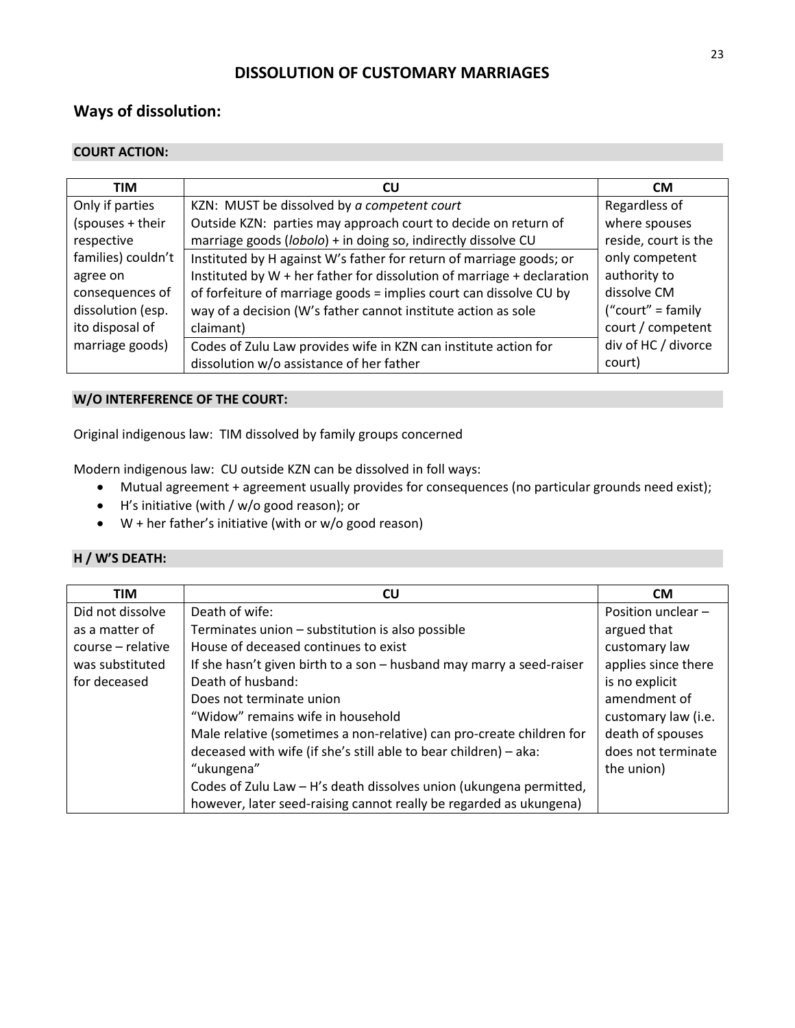# **DISSOLUTION OF CUSTOMARY MARRIAGES**

# **Ways of dissolution:**

### **COURT ACTION:**

| <b>TIM</b>         | CU                                                                     | <b>CM</b>            |
|--------------------|------------------------------------------------------------------------|----------------------|
| Only if parties    | KZN: MUST be dissolved by a competent court                            | Regardless of        |
| (spouses + their   | Outside KZN: parties may approach court to decide on return of         | where spouses        |
| respective         | marriage goods (lobolo) + in doing so, indirectly dissolve CU          | reside, court is the |
| families) couldn't | Instituted by H against W's father for return of marriage goods; or    | only competent       |
| agree on           | Instituted by W + her father for dissolution of marriage + declaration | authority to         |
| consequences of    | of forfeiture of marriage goods = implies court can dissolve CU by     | dissolve CM          |
| dissolution (esp.  | way of a decision (W's father cannot institute action as sole          | ("court" = family    |
| ito disposal of    | claimant)                                                              | court / competent    |
| marriage goods)    | Codes of Zulu Law provides wife in KZN can institute action for        | div of HC / divorce  |
|                    | dissolution w/o assistance of her father                               | court)               |

#### **W/O INTERFERENCE OF THE COURT:**

Original indigenous law: TIM dissolved by family groups concerned

Modern indigenous law: CU outside KZN can be dissolved in foll ways:

- Mutual agreement + agreement usually provides for consequences (no particular grounds need exist);
- H's initiative (with / w/o good reason); or
- W + her father's initiative (with or w/o good reason)

# **H / W'S DEATH:**

| <b>TIM</b>        | CU                                                                   | <b>CM</b>           |
|-------------------|----------------------------------------------------------------------|---------------------|
| Did not dissolve  | Death of wife:                                                       | Position unclear -  |
| as a matter of    | Terminates union - substitution is also possible                     | argued that         |
| course – relative | House of deceased continues to exist                                 | customary law       |
| was substituted   | If she hasn't given birth to a son - husband may marry a seed-raiser | applies since there |
| for deceased      | Death of husband:                                                    | is no explicit      |
|                   | Does not terminate union                                             | amendment of        |
|                   | "Widow" remains wife in household                                    | customary law (i.e. |
|                   | Male relative (sometimes a non-relative) can pro-create children for | death of spouses    |
|                   | deceased with wife (if she's still able to bear children) - aka:     | does not terminate  |
|                   | "ukungena"                                                           | the union)          |
|                   | Codes of Zulu Law - H's death dissolves union (ukungena permitted,   |                     |
|                   | however, later seed-raising cannot really be regarded as ukungena)   |                     |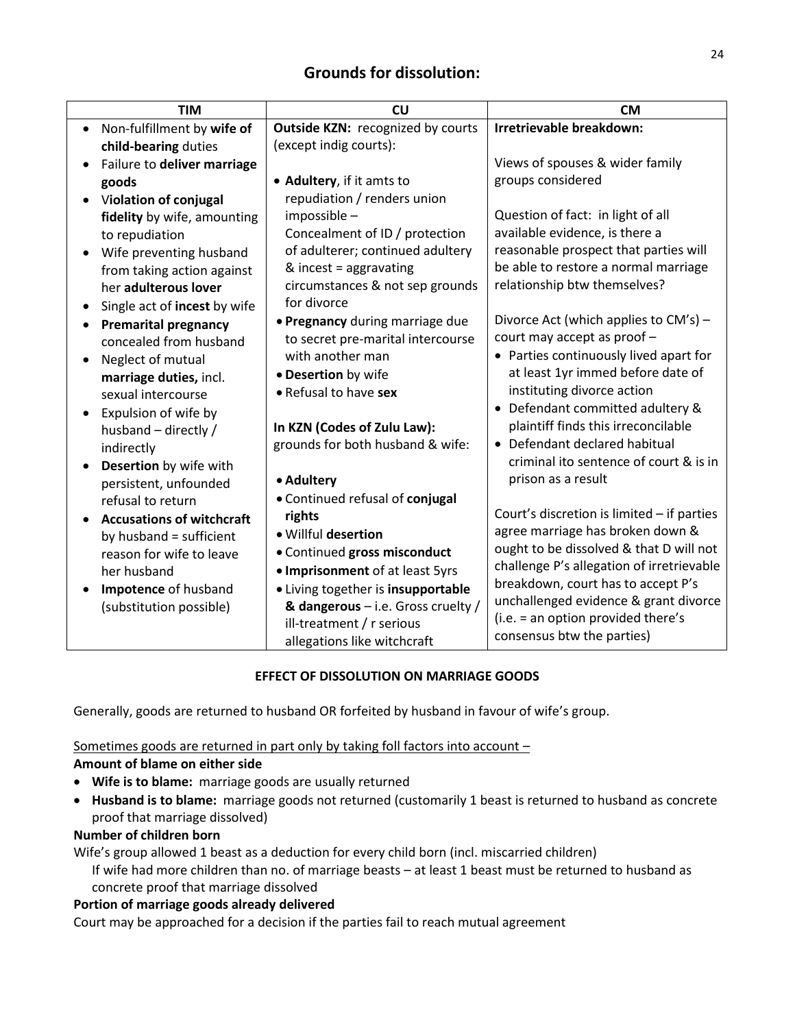| <b>TIM</b>                       | CU                                 | <b>CM</b>                                    |
|----------------------------------|------------------------------------|----------------------------------------------|
| Non-fulfillment by wife of       | Outside KZN: recognized by courts  | Irretrievable breakdown:                     |
| child-bearing duties             | (except indig courts):             |                                              |
| Failure to deliver marriage      |                                    | Views of spouses & wider family              |
| goods                            | • Adultery, if it amts to          | groups considered                            |
| Violation of conjugal            | repudiation / renders union        |                                              |
| fidelity by wife, amounting      | impossible -                       | Question of fact: in light of all            |
| to repudiation                   | Concealment of ID / protection     | available evidence, is there a               |
| Wife preventing husband          | of adulterer; continued adultery   | reasonable prospect that parties will        |
| from taking action against       | & incest = $aggravating$           | be able to restore a normal marriage         |
| her adulterous lover             | circumstances & not sep grounds    | relationship btw themselves?                 |
| Single act of incest by wife     | for divorce                        |                                              |
| <b>Premarital pregnancy</b>      | . Pregnancy during marriage due    | Divorce Act (which applies to CM's) -        |
| concealed from husband           | to secret pre-marital intercourse  | court may accept as proof -                  |
| Neglect of mutual                | with another man                   | • Parties continuously lived apart for       |
| marriage duties, incl.           | • Desertion by wife                | at least 1yr immed before date of            |
| sexual intercourse               | • Refusal to have sex              | instituting divorce action                   |
| Expulsion of wife by             |                                    | • Defendant committed adultery &             |
| husband - directly /             | In KZN (Codes of Zulu Law):        | plaintiff finds this irreconcilable          |
| indirectly                       | grounds for both husband & wife:   | • Defendant declared habitual                |
| Desertion by wife with           |                                    | criminal ito sentence of court & is in       |
| persistent, unfounded            | • Adultery                         | prison as a result                           |
| refusal to return                | • Continued refusal of conjugal    |                                              |
| <b>Accusations of witchcraft</b> | rights                             | Court's discretion is limited $-$ if parties |
| by husband = sufficient          | · Willful desertion                | agree marriage has broken down &             |
| reason for wife to leave         | · Continued gross misconduct       | ought to be dissolved & that D will not      |
| her husband                      | • Imprisonment of at least 5yrs    | challenge P's allegation of irretrievable    |
| Impotence of husband             | • Living together is insupportable | breakdown, court has to accept P's           |
| (substitution possible)          | & dangerous - i.e. Gross cruelty / | unchallenged evidence & grant divorce        |
|                                  | ill-treatment / r serious          | (i.e. = an option provided there's           |
|                                  | allegations like witchcraft        | consensus btw the parties)                   |

# **EFFECT OF DISSOLUTION ON MARRIAGE GOODS**

Generally, goods are returned to husband OR forfeited by husband in favour of wife's group.

# Sometimes goods are returned in part only by taking foll factors into account –

#### **Amount of blame on either side**

- **Wife is to blame:** marriage goods are usually returned
- **Husband is to blame:** marriage goods not returned (customarily 1 beast is returned to husband as concrete proof that marriage dissolved)

### **Number of children born**

Wife's group allowed 1 beast as a deduction for every child born (incl. miscarried children) If wife had more children than no. of marriage beasts – at least 1 beast must be returned to husband as concrete proof that marriage dissolved

# **Portion of marriage goods already delivered**

Court may be approached for a decision if the parties fail to reach mutual agreement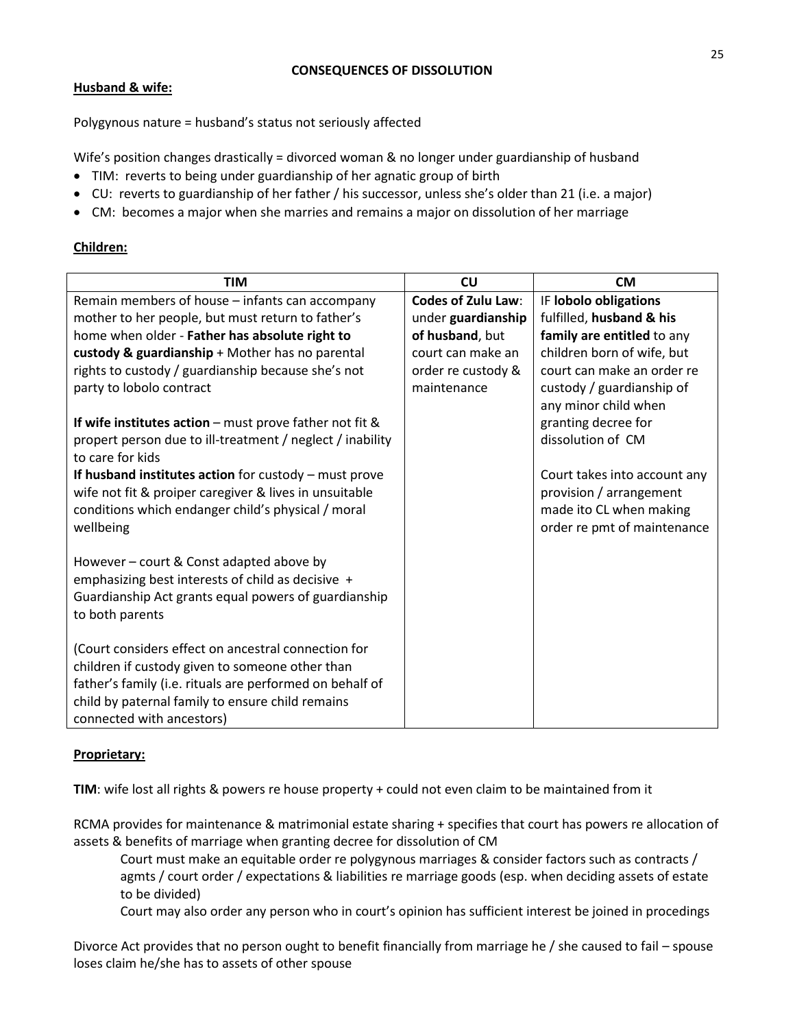#### **CONSEQUENCES OF DISSOLUTION**

# **Husband & wife:**

Polygynous nature = husband's status not seriously affected

Wife's position changes drastically = divorced woman & no longer under guardianship of husband

- TIM: reverts to being under guardianship of her agnatic group of birth
- CU: reverts to guardianship of her father / his successor, unless she's older than 21 (i.e. a major)
- CM: becomes a major when she marries and remains a major on dissolution of her marriage

## **Children:**

| <b>TIM</b>                                                                                                | <b>CU</b>                 | <b>CM</b>                                              |
|-----------------------------------------------------------------------------------------------------------|---------------------------|--------------------------------------------------------|
| Remain members of house - infants can accompany                                                           | <b>Codes of Zulu Law:</b> | IF lobolo obligations                                  |
| mother to her people, but must return to father's                                                         | under guardianship        | fulfilled, husband & his                               |
| home when older - Father has absolute right to                                                            | of husband, but           | family are entitled to any                             |
| custody & guardianship + Mother has no parental                                                           | court can make an         | children born of wife, but                             |
| rights to custody / guardianship because she's not                                                        | order re custody &        | court can make an order re                             |
| party to lobolo contract                                                                                  | maintenance               | custody / guardianship of<br>any minor child when      |
| If wife institutes $action$ – must prove father not fit &                                                 |                           | granting decree for                                    |
| propert person due to ill-treatment / neglect / inability<br>to care for kids                             |                           | dissolution of CM                                      |
| If husband institutes action for custody $-$ must prove                                                   |                           | Court takes into account any                           |
| wife not fit & proiper caregiver & lives in unsuitable                                                    |                           | provision / arrangement                                |
| conditions which endanger child's physical / moral<br>wellbeing                                           |                           | made ito CL when making<br>order re pmt of maintenance |
|                                                                                                           |                           |                                                        |
| However – court & Const adapted above by                                                                  |                           |                                                        |
| emphasizing best interests of child as decisive +<br>Guardianship Act grants equal powers of guardianship |                           |                                                        |
| to both parents                                                                                           |                           |                                                        |
| (Court considers effect on ancestral connection for                                                       |                           |                                                        |
| children if custody given to someone other than                                                           |                           |                                                        |
| father's family (i.e. rituals are performed on behalf of                                                  |                           |                                                        |
| child by paternal family to ensure child remains                                                          |                           |                                                        |
| connected with ancestors)                                                                                 |                           |                                                        |

#### **Proprietary:**

**TIM**: wife lost all rights & powers re house property + could not even claim to be maintained from it

RCMA provides for maintenance & matrimonial estate sharing + specifies that court has powers re allocation of assets & benefits of marriage when granting decree for dissolution of CM

Court must make an equitable order re polygynous marriages & consider factors such as contracts / agmts / court order / expectations & liabilities re marriage goods (esp. when deciding assets of estate to be divided)

Court may also order any person who in court's opinion has sufficient interest be joined in procedings

Divorce Act provides that no person ought to benefit financially from marriage he / she caused to fail – spouse loses claim he/she has to assets of other spouse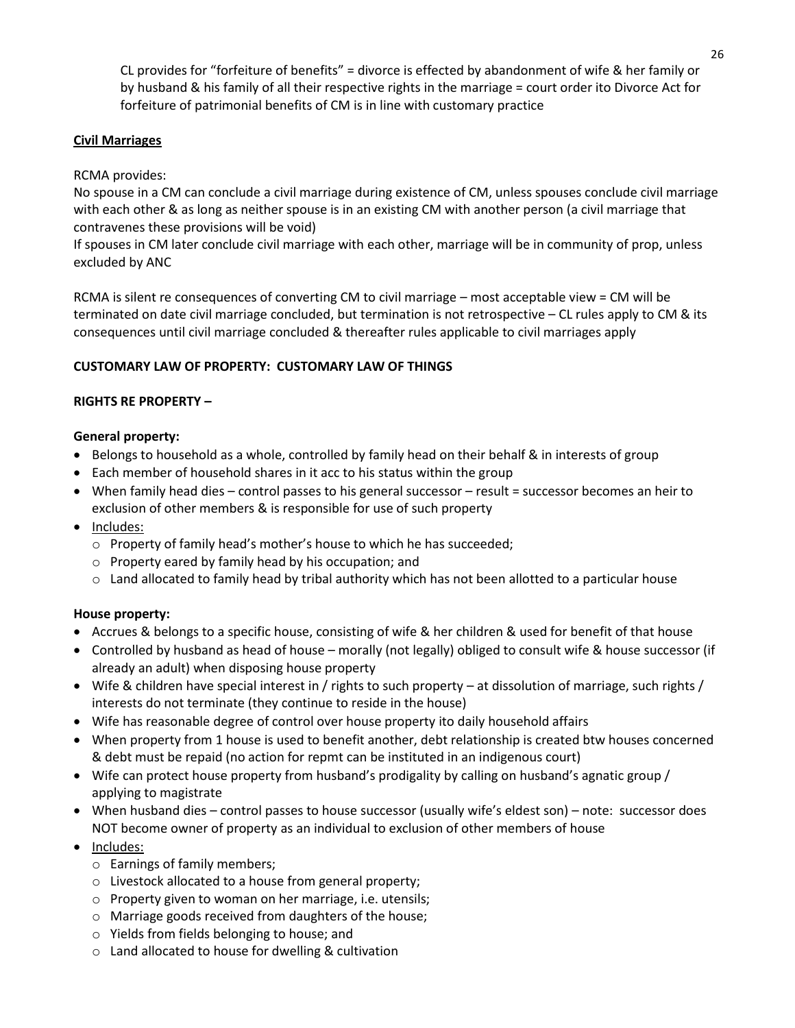CL provides for "forfeiture of benefits" = divorce is effected by abandonment of wife & her family or by husband & his family of all their respective rights in the marriage = court order ito Divorce Act for forfeiture of patrimonial benefits of CM is in line with customary practice

## **Civil Marriages**

### RCMA provides:

No spouse in a CM can conclude a civil marriage during existence of CM, unless spouses conclude civil marriage with each other & as long as neither spouse is in an existing CM with another person (a civil marriage that contravenes these provisions will be void)

If spouses in CM later conclude civil marriage with each other, marriage will be in community of prop, unless excluded by ANC

RCMA is silent re consequences of converting CM to civil marriage – most acceptable view = CM will be terminated on date civil marriage concluded, but termination is not retrospective – CL rules apply to CM & its consequences until civil marriage concluded & thereafter rules applicable to civil marriages apply

## **CUSTOMARY LAW OF PROPERTY: CUSTOMARY LAW OF THINGS**

## **RIGHTS RE PROPERTY –**

## **General property:**

- Belongs to household as a whole, controlled by family head on their behalf & in interests of group
- Each member of household shares in it acc to his status within the group
- When family head dies control passes to his general successor result = successor becomes an heir to exclusion of other members & is responsible for use of such property
- Includes:
	- $\circ$  Property of family head's mother's house to which he has succeeded;
	- o Property eared by family head by his occupation; and
	- $\circ$  Land allocated to family head by tribal authority which has not been allotted to a particular house

# **House property:**

- Accrues & belongs to a specific house, consisting of wife & her children & used for benefit of that house
- Controlled by husband as head of house morally (not legally) obliged to consult wife & house successor (if already an adult) when disposing house property
- Wife & children have special interest in / rights to such property at dissolution of marriage, such rights / interests do not terminate (they continue to reside in the house)
- Wife has reasonable degree of control over house property ito daily household affairs
- When property from 1 house is used to benefit another, debt relationship is created btw houses concerned & debt must be repaid (no action for repmt can be instituted in an indigenous court)
- Wife can protect house property from husband's prodigality by calling on husband's agnatic group / applying to magistrate
- When husband dies control passes to house successor (usually wife's eldest son) note: successor does NOT become owner of property as an individual to exclusion of other members of house
- Includes:
	- o Earnings of family members;
	- o Livestock allocated to a house from general property;
	- o Property given to woman on her marriage, i.e. utensils;
	- o Marriage goods received from daughters of the house;
	- o Yields from fields belonging to house; and
	- o Land allocated to house for dwelling & cultivation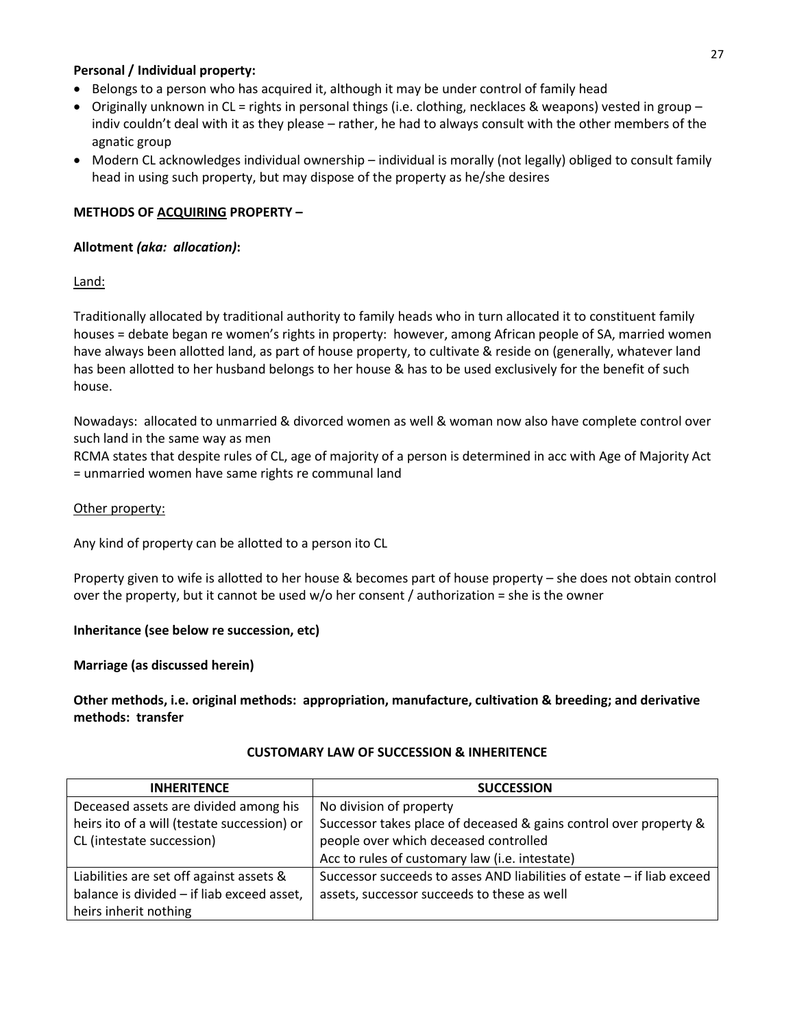### **Personal / Individual property:**

- Belongs to a person who has acquired it, although it may be under control of family head
- Originally unknown in CL = rights in personal things (i.e. clothing, necklaces & weapons) vested in group indiv couldn't deal with it as they please – rather, he had to always consult with the other members of the agnatic group
- Modern CL acknowledges individual ownership individual is morally (not legally) obliged to consult family head in using such property, but may dispose of the property as he/she desires

## **METHODS OF ACQUIRING PROPERTY –**

#### **Allotment** *(aka: allocation)***:**

Land:

Traditionally allocated by traditional authority to family heads who in turn allocated it to constituent family houses = debate began re women's rights in property: however, among African people of SA, married women have always been allotted land, as part of house property, to cultivate & reside on (generally, whatever land has been allotted to her husband belongs to her house & has to be used exclusively for the benefit of such house.

Nowadays: allocated to unmarried & divorced women as well & woman now also have complete control over such land in the same way as men

RCMA states that despite rules of CL, age of majority of a person is determined in acc with Age of Majority Act = unmarried women have same rights re communal land

#### Other property:

Any kind of property can be allotted to a person ito CL

Property given to wife is allotted to her house & becomes part of house property – she does not obtain control over the property, but it cannot be used w/o her consent / authorization = she is the owner

#### **Inheritance (see below re succession, etc)**

#### **Marriage (as discussed herein)**

**Other methods, i.e. original methods: appropriation, manufacture, cultivation & breeding; and derivative methods: transfer**

| <b>INHERITENCE</b>                          | <b>SUCCESSION</b>                                                      |
|---------------------------------------------|------------------------------------------------------------------------|
| Deceased assets are divided among his       | No division of property                                                |
| heirs ito of a will (testate succession) or | Successor takes place of deceased & gains control over property &      |
| CL (intestate succession)                   | people over which deceased controlled                                  |
|                                             | Acc to rules of customary law (i.e. intestate)                         |
| Liabilities are set off against assets &    | Successor succeeds to asses AND liabilities of estate - if liab exceed |
| balance is divided - if liab exceed asset,  | assets, successor succeeds to these as well                            |
| heirs inherit nothing                       |                                                                        |

#### **CUSTOMARY LAW OF SUCCESSION & INHERITENCE**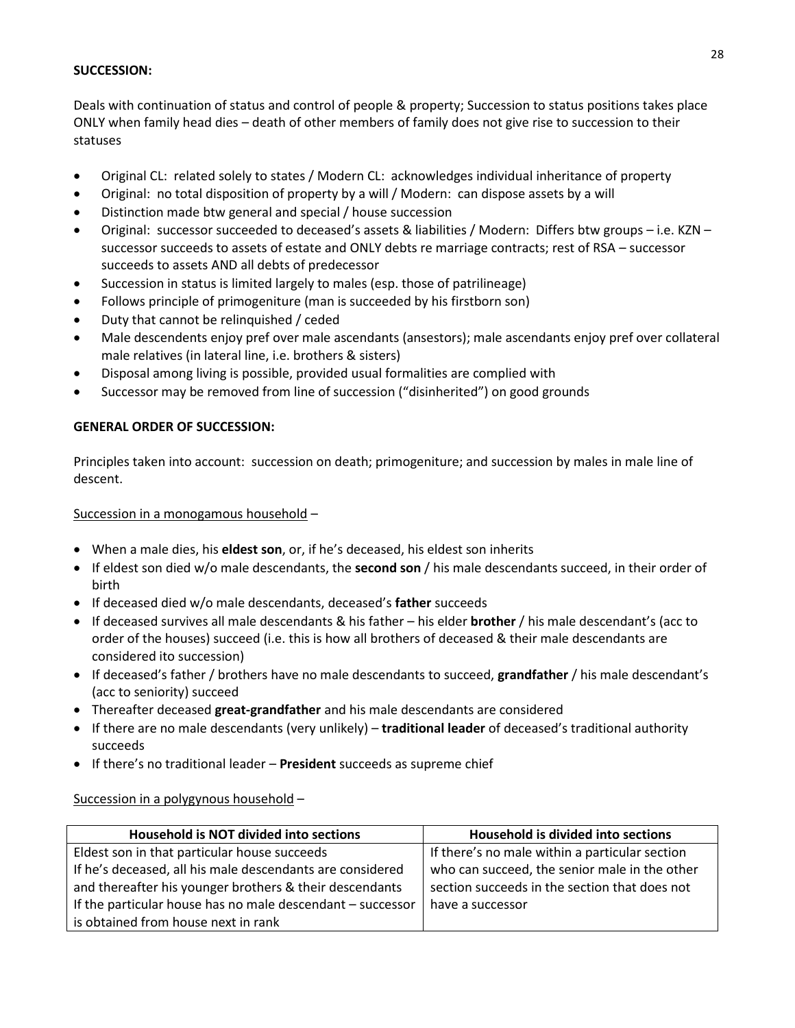#### **SUCCESSION:**

Deals with continuation of status and control of people & property; Succession to status positions takes place ONLY when family head dies – death of other members of family does not give rise to succession to their statuses

- Original CL: related solely to states / Modern CL: acknowledges individual inheritance of property
- Original: no total disposition of property by a will / Modern: can dispose assets by a will
- Distinction made btw general and special / house succession
- Original: successor succeeded to deceased's assets & liabilities / Modern: Differs btw groups i.e. KZN successor succeeds to assets of estate and ONLY debts re marriage contracts; rest of RSA – successor succeeds to assets AND all debts of predecessor
- Succession in status is limited largely to males (esp. those of patrilineage)
- Follows principle of primogeniture (man is succeeded by his firstborn son)
- Duty that cannot be relinquished / ceded
- Male descendents enjoy pref over male ascendants (ansestors); male ascendants enjoy pref over collateral male relatives (in lateral line, i.e. brothers & sisters)
- Disposal among living is possible, provided usual formalities are complied with
- Successor may be removed from line of succession ("disinherited") on good grounds

## **GENERAL ORDER OF SUCCESSION:**

Principles taken into account: succession on death; primogeniture; and succession by males in male line of descent.

Succession in a monogamous household –

- When a male dies, his **eldest son**, or, if he's deceased, his eldest son inherits
- If eldest son died w/o male descendants, the **second son** / his male descendants succeed, in their order of birth
- If deceased died w/o male descendants, deceased's **father** succeeds
- If deceased survives all male descendants & his father his elder **brother** / his male descendant's (acc to order of the houses) succeed (i.e. this is how all brothers of deceased & their male descendants are considered ito succession)
- If deceased's father / brothers have no male descendants to succeed, **grandfather** / his male descendant's (acc to seniority) succeed
- Thereafter deceased **great-grandfather** and his male descendants are considered
- If there are no male descendants (very unlikely) **traditional leader** of deceased's traditional authority succeeds
- If there's no traditional leader **President** succeeds as supreme chief

#### Succession in a polygynous household –

| Household is NOT divided into sections                     | Household is divided into sections             |
|------------------------------------------------------------|------------------------------------------------|
| Eldest son in that particular house succeeds               | If there's no male within a particular section |
| If he's deceased, all his male descendants are considered  | who can succeed, the senior male in the other  |
| and thereafter his younger brothers & their descendants    | section succeeds in the section that does not  |
| If the particular house has no male descendant - successor | have a successor                               |
| is obtained from house next in rank                        |                                                |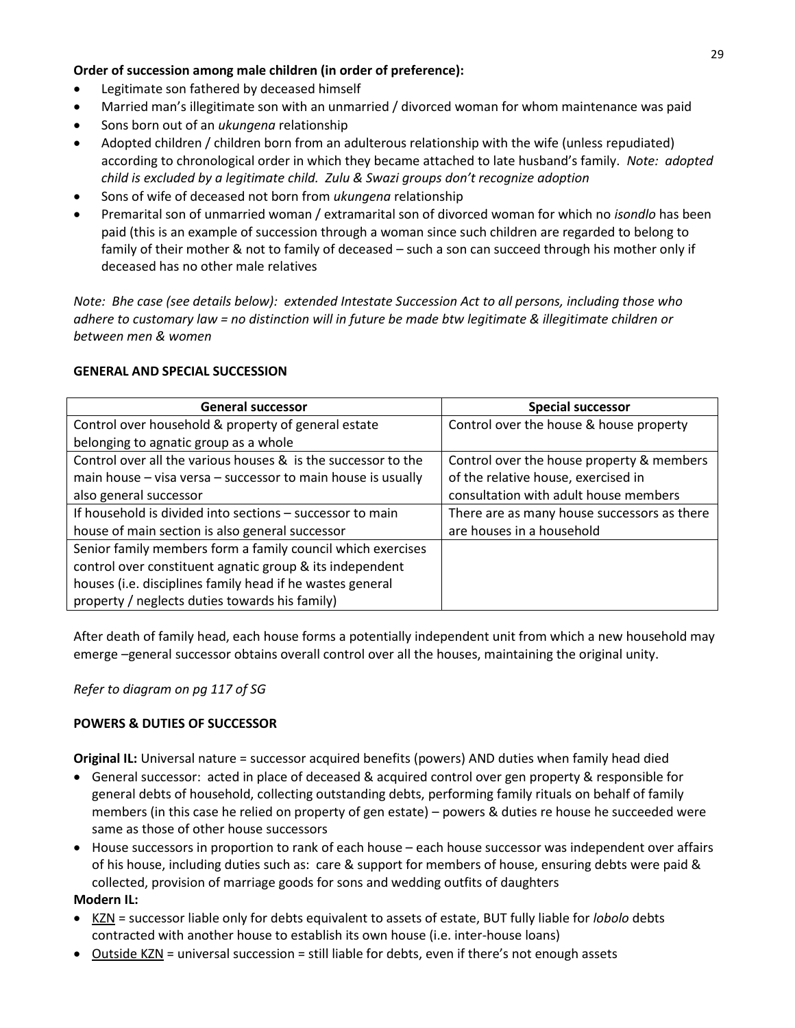### **Order of succession among male children (in order of preference):**

- Legitimate son fathered by deceased himself
- Married man's illegitimate son with an unmarried / divorced woman for whom maintenance was paid
- Sons born out of an *ukungena* relationship
- Adopted children / children born from an adulterous relationship with the wife (unless repudiated) according to chronological order in which they became attached to late husband's family. *Note: adopted child is excluded by a legitimate child. Zulu & Swazi groups don't recognize adoption*
- Sons of wife of deceased not born from *ukungena* relationship
- Premarital son of unmarried woman / extramarital son of divorced woman for which no *isondlo* has been paid (this is an example of succession through a woman since such children are regarded to belong to family of their mother & not to family of deceased – such a son can succeed through his mother only if deceased has no other male relatives

*Note: Bhe case (see details below): extended Intestate Succession Act to all persons, including those who adhere to customary law = no distinction will in future be made btw legitimate & illegitimate children or between men & women*

## **GENERAL AND SPECIAL SUCCESSION**

| <b>General successor</b>                                      | <b>Special successor</b>                    |
|---------------------------------------------------------------|---------------------------------------------|
| Control over household & property of general estate           | Control over the house & house property     |
| belonging to agnatic group as a whole                         |                                             |
| Control over all the various houses & is the successor to the | Control over the house property & members   |
| main house - visa versa - successor to main house is usually  | of the relative house, exercised in         |
| also general successor                                        | consultation with adult house members       |
| If household is divided into sections - successor to main     | There are as many house successors as there |
| house of main section is also general successor               | are houses in a household                   |
| Senior family members form a family council which exercises   |                                             |
| control over constituent agnatic group & its independent      |                                             |
| houses (i.e. disciplines family head if he wastes general     |                                             |
| property / neglects duties towards his family)                |                                             |

After death of family head, each house forms a potentially independent unit from which a new household may emerge –general successor obtains overall control over all the houses, maintaining the original unity.

*Refer to diagram on pg 117 of SG*

# **POWERS & DUTIES OF SUCCESSOR**

**Original IL:** Universal nature = successor acquired benefits (powers) AND duties when family head died

- General successor: acted in place of deceased & acquired control over gen property & responsible for general debts of household, collecting outstanding debts, performing family rituals on behalf of family members (in this case he relied on property of gen estate) – powers & duties re house he succeeded were same as those of other house successors
- House successors in proportion to rank of each house each house successor was independent over affairs of his house, including duties such as: care & support for members of house, ensuring debts were paid & collected, provision of marriage goods for sons and wedding outfits of daughters

# **Modern IL:**

- KZN = successor liable only for debts equivalent to assets of estate, BUT fully liable for *lobolo* debts contracted with another house to establish its own house (i.e. inter-house loans)
- Outside KZN = universal succession = still liable for debts, even if there's not enough assets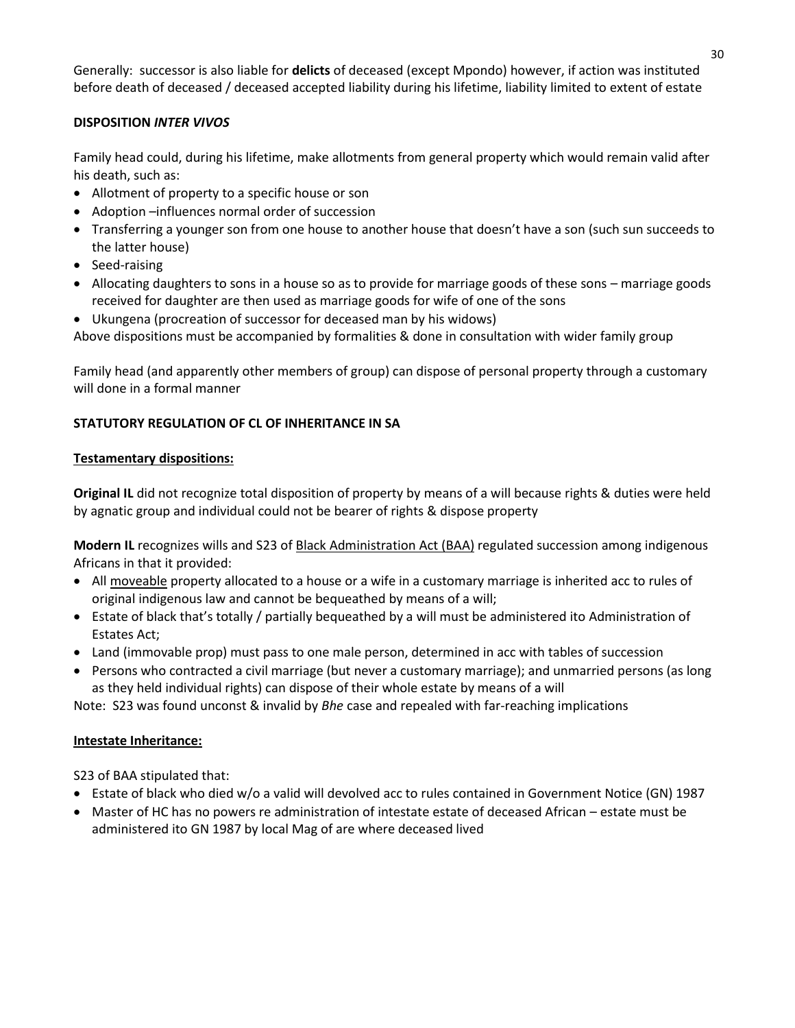Generally: successor is also liable for **delicts** of deceased (except Mpondo) however, if action was instituted before death of deceased / deceased accepted liability during his lifetime, liability limited to extent of estate

## **DISPOSITION** *INTER VIVOS*

Family head could, during his lifetime, make allotments from general property which would remain valid after his death, such as:

- Allotment of property to a specific house or son
- Adoption –influences normal order of succession
- Transferring a younger son from one house to another house that doesn't have a son (such sun succeeds to the latter house)
- Seed-raising
- Allocating daughters to sons in a house so as to provide for marriage goods of these sons marriage goods received for daughter are then used as marriage goods for wife of one of the sons
- Ukungena (procreation of successor for deceased man by his widows)

Above dispositions must be accompanied by formalities & done in consultation with wider family group

Family head (and apparently other members of group) can dispose of personal property through a customary will done in a formal manner

# **STATUTORY REGULATION OF CL OF INHERITANCE IN SA**

## **Testamentary dispositions:**

**Original IL** did not recognize total disposition of property by means of a will because rights & duties were held by agnatic group and individual could not be bearer of rights & dispose property

**Modern IL** recognizes wills and S23 of Black Administration Act (BAA) regulated succession among indigenous Africans in that it provided:

- All moveable property allocated to a house or a wife in a customary marriage is inherited acc to rules of original indigenous law and cannot be bequeathed by means of a will;
- Estate of black that's totally / partially bequeathed by a will must be administered ito Administration of Estates Act;
- Land (immovable prop) must pass to one male person, determined in acc with tables of succession
- Persons who contracted a civil marriage (but never a customary marriage); and unmarried persons (as long as they held individual rights) can dispose of their whole estate by means of a will

Note: S23 was found unconst & invalid by *Bhe* case and repealed with far-reaching implications

#### **Intestate Inheritance:**

S23 of BAA stipulated that:

- Estate of black who died w/o a valid will devolved acc to rules contained in Government Notice (GN) 1987
- Master of HC has no powers re administration of intestate estate of deceased African estate must be administered ito GN 1987 by local Mag of are where deceased lived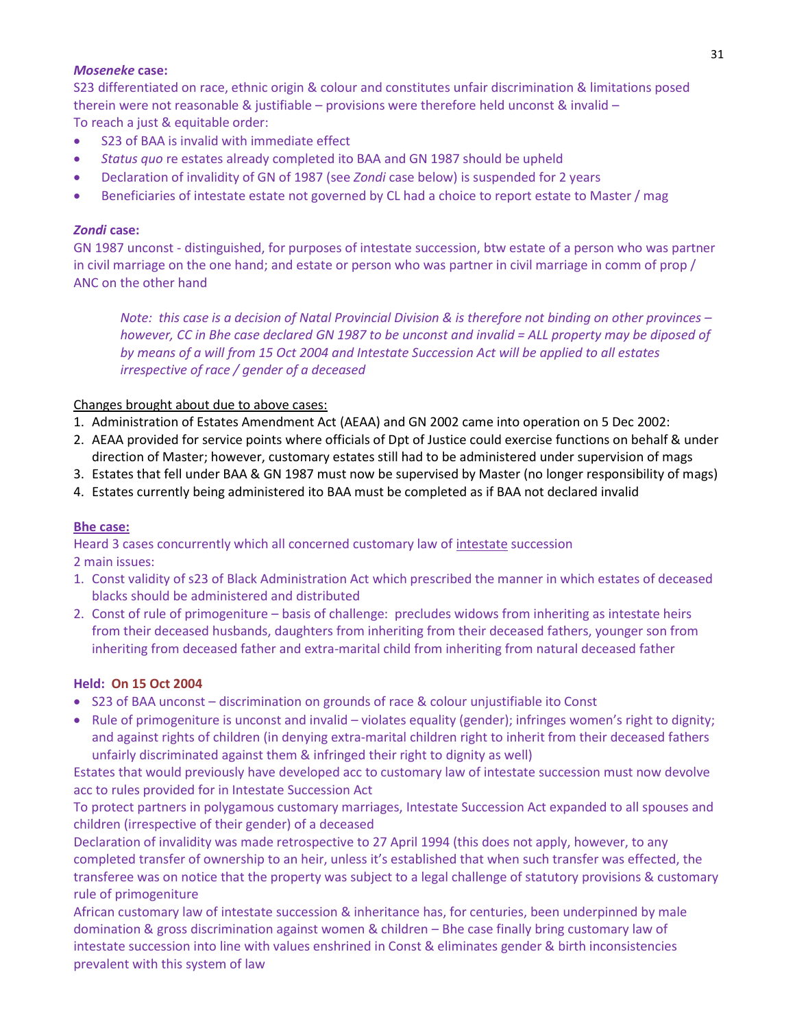#### *Moseneke* **case:**

S23 differentiated on race, ethnic origin & colour and constitutes unfair discrimination & limitations posed therein were not reasonable & justifiable – provisions were therefore held unconst & invalid – To reach a just & equitable order:

- S23 of BAA is invalid with immediate effect
- *Status quo* re estates already completed ito BAA and GN 1987 should be upheld
- Declaration of invalidity of GN of 1987 (see *Zondi* case below) is suspended for 2 years
- **Beneficiaries of intestate estate not governed by CL had a choice to report estate to Master / mag**

#### *Zondi* **case:**

GN 1987 unconst - distinguished, for purposes of intestate succession, btw estate of a person who was partner in civil marriage on the one hand; and estate or person who was partner in civil marriage in comm of prop / ANC on the other hand

*Note: this case is a decision of Natal Provincial Division & is therefore not binding on other provinces – however, CC in Bhe case declared GN 1987 to be unconst and invalid = ALL property may be diposed of by means of a will from 15 Oct 2004 and Intestate Succession Act will be applied to all estates irrespective of race / gender of a deceased*

#### Changes brought about due to above cases:

- 1. Administration of Estates Amendment Act (AEAA) and GN 2002 came into operation on 5 Dec 2002:
- 2. AEAA provided for service points where officials of Dpt of Justice could exercise functions on behalf & under direction of Master; however, customary estates still had to be administered under supervision of mags
- 3. Estates that fell under BAA & GN 1987 must now be supervised by Master (no longer responsibility of mags)
- 4. Estates currently being administered ito BAA must be completed as if BAA not declared invalid

#### **Bhe case:**

Heard 3 cases concurrently which all concerned customary law of intestate succession

2 main issues:

- 1. Const validity of s23 of Black Administration Act which prescribed the manner in which estates of deceased blacks should be administered and distributed
- 2. Const of rule of primogeniture basis of challenge: precludes widows from inheriting as intestate heirs from their deceased husbands, daughters from inheriting from their deceased fathers, younger son from inheriting from deceased father and extra-marital child from inheriting from natural deceased father

#### **Held: On 15 Oct 2004**

- S23 of BAA unconst discrimination on grounds of race & colour unjustifiable ito Const
- Rule of primogeniture is unconst and invalid violates equality (gender); infringes women's right to dignity; and against rights of children (in denying extra-marital children right to inherit from their deceased fathers unfairly discriminated against them & infringed their right to dignity as well)

Estates that would previously have developed acc to customary law of intestate succession must now devolve acc to rules provided for in Intestate Succession Act

To protect partners in polygamous customary marriages, Intestate Succession Act expanded to all spouses and children (irrespective of their gender) of a deceased

Declaration of invalidity was made retrospective to 27 April 1994 (this does not apply, however, to any completed transfer of ownership to an heir, unless it's established that when such transfer was effected, the transferee was on notice that the property was subject to a legal challenge of statutory provisions & customary rule of primogeniture

African customary law of intestate succession & inheritance has, for centuries, been underpinned by male domination & gross discrimination against women & children – Bhe case finally bring customary law of intestate succession into line with values enshrined in Const & eliminates gender & birth inconsistencies prevalent with this system of law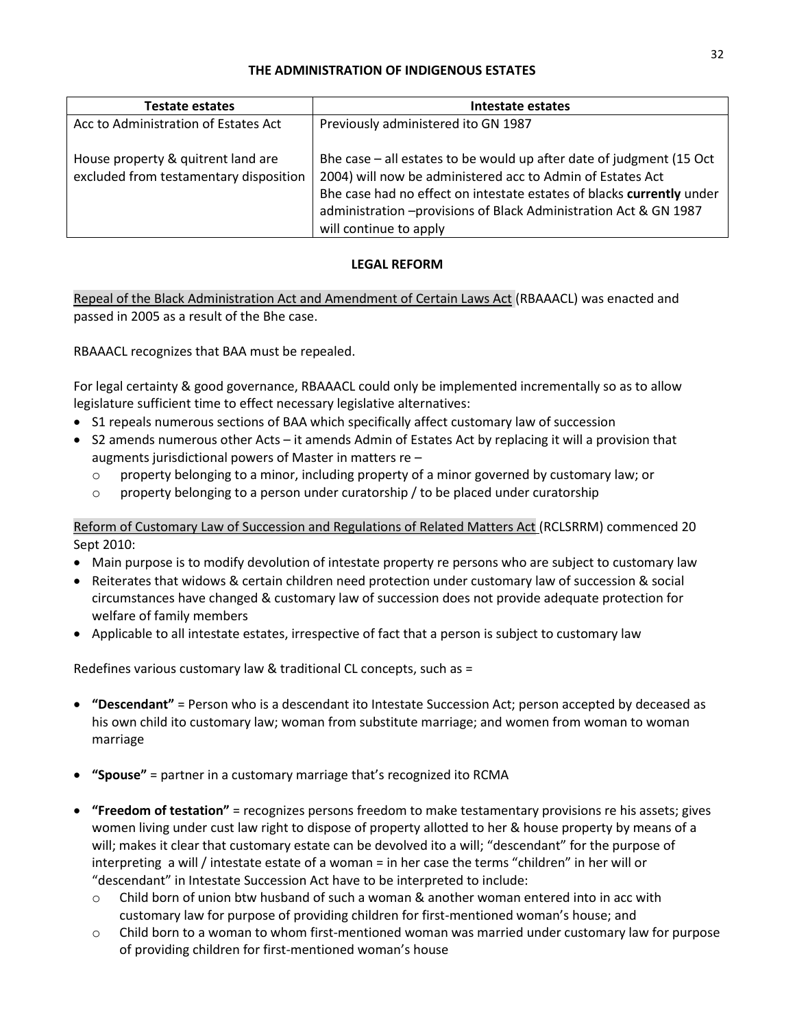#### **THE ADMINISTRATION OF INDIGENOUS ESTATES**

| <b>Testate estates</b>                                                       | Intestate estates                                                                                                                                                                                                                                                                                            |
|------------------------------------------------------------------------------|--------------------------------------------------------------------------------------------------------------------------------------------------------------------------------------------------------------------------------------------------------------------------------------------------------------|
| Acc to Administration of Estates Act                                         | Previously administered ito GN 1987                                                                                                                                                                                                                                                                          |
| House property & quitrent land are<br>excluded from testamentary disposition | Bhe case $-$ all estates to be would up after date of judgment (15 Oct<br>2004) will now be administered acc to Admin of Estates Act<br>Bhe case had no effect on intestate estates of blacks currently under<br>administration - provisions of Black Administration Act & GN 1987<br>will continue to apply |

## **LEGAL REFORM**

Repeal of the Black Administration Act and Amendment of Certain Laws Act (RBAAACL) was enacted and passed in 2005 as a result of the Bhe case.

RBAAACL recognizes that BAA must be repealed.

For legal certainty & good governance, RBAAACL could only be implemented incrementally so as to allow legislature sufficient time to effect necessary legislative alternatives:

- S1 repeals numerous sections of BAA which specifically affect customary law of succession
- S2 amends numerous other Acts it amends Admin of Estates Act by replacing it will a provision that augments jurisdictional powers of Master in matters re –
	- $\circ$  property belonging to a minor, including property of a minor governed by customary law; or
	- $\circ$  property belonging to a person under curatorship / to be placed under curatorship

Reform of Customary Law of Succession and Regulations of Related Matters Act (RCLSRRM) commenced 20 Sept 2010:

- Main purpose is to modify devolution of intestate property re persons who are subject to customary law
- Reiterates that widows & certain children need protection under customary law of succession & social circumstances have changed & customary law of succession does not provide adequate protection for welfare of family members
- Applicable to all intestate estates, irrespective of fact that a person is subject to customary law

Redefines various customary law & traditional CL concepts, such as =

- **"Descendant"** = Person who is a descendant ito Intestate Succession Act; person accepted by deceased as his own child ito customary law; woman from substitute marriage; and women from woman to woman marriage
- **"Spouse"** = partner in a customary marriage that's recognized ito RCMA
- **"Freedom of testation"** = recognizes persons freedom to make testamentary provisions re his assets; gives women living under cust law right to dispose of property allotted to her & house property by means of a will; makes it clear that customary estate can be devolved ito a will; "descendant" for the purpose of interpreting a will / intestate estate of a woman = in her case the terms "children" in her will or "descendant" in Intestate Succession Act have to be interpreted to include:
	- $\circ$  Child born of union btw husband of such a woman & another woman entered into in acc with customary law for purpose of providing children for first-mentioned woman's house; and
	- $\circ$  Child born to a woman to whom first-mentioned woman was married under customary law for purpose of providing children for first-mentioned woman's house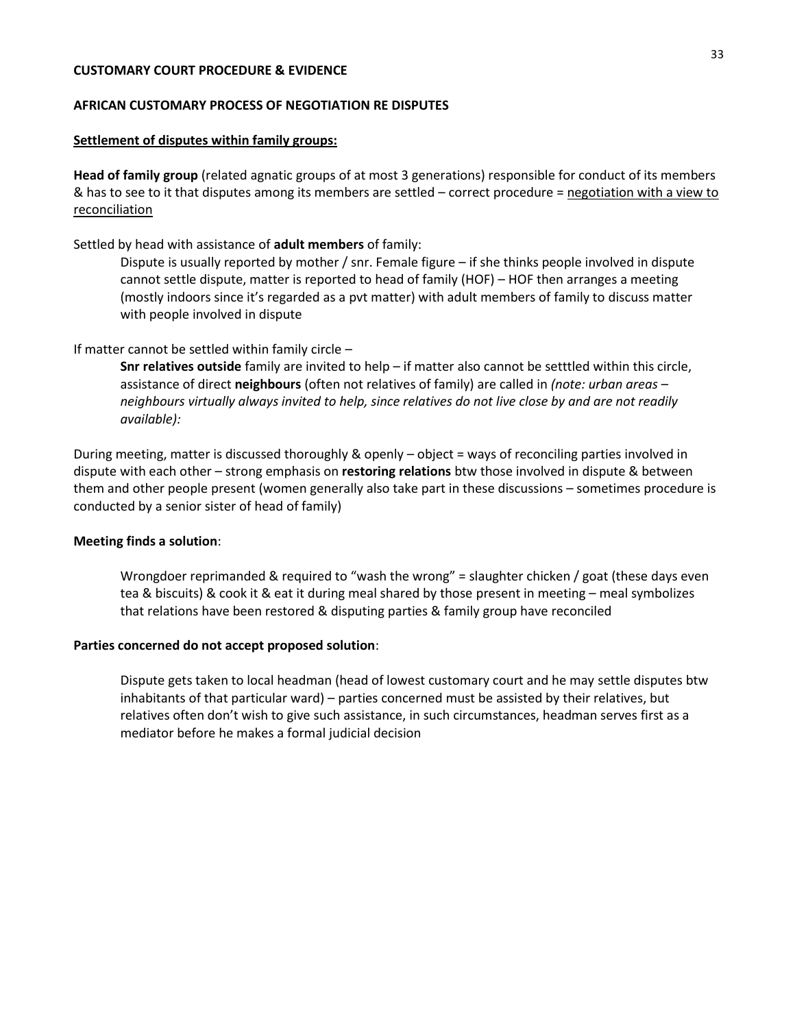#### **CUSTOMARY COURT PROCEDURE & EVIDENCE**

#### **AFRICAN CUSTOMARY PROCESS OF NEGOTIATION RE DISPUTES**

#### **Settlement of disputes within family groups:**

**Head of family group** (related agnatic groups of at most 3 generations) responsible for conduct of its members & has to see to it that disputes among its members are settled - correct procedure = negotiation with a view to reconciliation

#### Settled by head with assistance of **adult members** of family:

Dispute is usually reported by mother / snr. Female figure – if she thinks people involved in dispute cannot settle dispute, matter is reported to head of family (HOF) – HOF then arranges a meeting (mostly indoors since it's regarded as a pvt matter) with adult members of family to discuss matter with people involved in dispute

#### If matter cannot be settled within family circle –

**Snr relatives outside** family are invited to help – if matter also cannot be setttled within this circle, assistance of direct **neighbours** (often not relatives of family) are called in *(note: urban areas – neighbours virtually always invited to help, since relatives do not live close by and are not readily available):* 

During meeting, matter is discussed thoroughly & openly – object = ways of reconciling parties involved in dispute with each other – strong emphasis on **restoring relations** btw those involved in dispute & between them and other people present (women generally also take part in these discussions – sometimes procedure is conducted by a senior sister of head of family)

#### **Meeting finds a solution**:

Wrongdoer reprimanded & required to "wash the wrong" = slaughter chicken / goat (these days even tea & biscuits) & cook it & eat it during meal shared by those present in meeting – meal symbolizes that relations have been restored & disputing parties & family group have reconciled

#### **Parties concerned do not accept proposed solution**:

Dispute gets taken to local headman (head of lowest customary court and he may settle disputes btw inhabitants of that particular ward) – parties concerned must be assisted by their relatives, but relatives often don't wish to give such assistance, in such circumstances, headman serves first as a mediator before he makes a formal judicial decision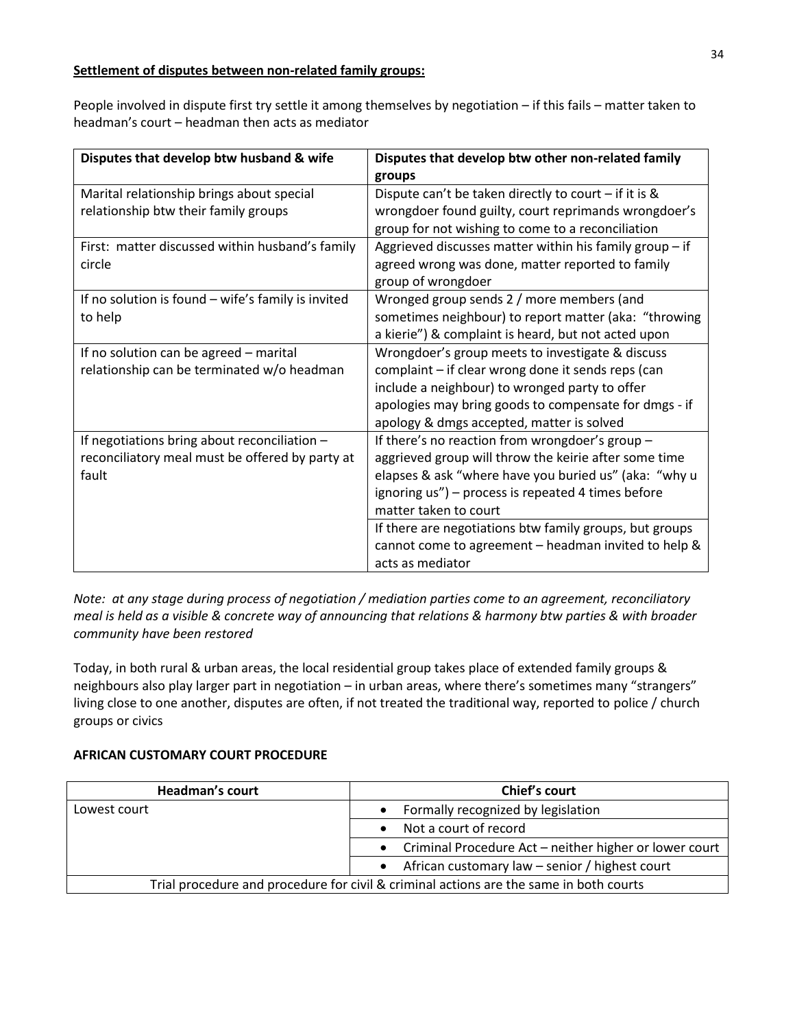### **Settlement of disputes between non-related family groups:**

People involved in dispute first try settle it among themselves by negotiation – if this fails – matter taken to headman's court – headman then acts as mediator

| Disputes that develop btw husband & wife           | Disputes that develop btw other non-related family        |
|----------------------------------------------------|-----------------------------------------------------------|
|                                                    | groups                                                    |
| Marital relationship brings about special          | Dispute can't be taken directly to court $-$ if it is &   |
| relationship btw their family groups               | wrongdoer found guilty, court reprimands wrongdoer's      |
|                                                    | group for not wishing to come to a reconciliation         |
| First: matter discussed within husband's family    | Aggrieved discusses matter within his family group $-$ if |
| circle                                             | agreed wrong was done, matter reported to family          |
|                                                    | group of wrongdoer                                        |
| If no solution is found - wife's family is invited | Wronged group sends 2 / more members (and                 |
| to help                                            | sometimes neighbour) to report matter (aka: "throwing     |
|                                                    | a kierie") & complaint is heard, but not acted upon       |
| If no solution can be agreed - marital             | Wrongdoer's group meets to investigate & discuss          |
| relationship can be terminated w/o headman         | complaint - if clear wrong done it sends reps (can        |
|                                                    | include a neighbour) to wronged party to offer            |
|                                                    | apologies may bring goods to compensate for dmgs - if     |
|                                                    | apology & dmgs accepted, matter is solved                 |
| If negotiations bring about reconciliation -       | If there's no reaction from wrongdoer's group -           |
| reconciliatory meal must be offered by party at    | aggrieved group will throw the keirie after some time     |
| fault                                              | elapses & ask "where have you buried us" (aka: "why u     |
|                                                    | ignoring us") - process is repeated 4 times before        |
|                                                    | matter taken to court                                     |
|                                                    | If there are negotiations btw family groups, but groups   |
|                                                    | cannot come to agreement - headman invited to help &      |
|                                                    | acts as mediator                                          |

*Note: at any stage during process of negotiation / mediation parties come to an agreement, reconciliatory meal is held as a visible & concrete way of announcing that relations & harmony btw parties & with broader community have been restored*

Today, in both rural & urban areas, the local residential group takes place of extended family groups & neighbours also play larger part in negotiation – in urban areas, where there's sometimes many "strangers" living close to one another, disputes are often, if not treated the traditional way, reported to police / church groups or civics

#### **AFRICAN CUSTOMARY COURT PROCEDURE**

| <b>Headman's court</b> | Chief's court                                                                          |
|------------------------|----------------------------------------------------------------------------------------|
| Lowest court           | Formally recognized by legislation                                                     |
|                        | Not a court of record                                                                  |
|                        | • Criminal Procedure Act – neither higher or lower court                               |
|                        | • African customary law $-$ senior / highest court                                     |
|                        | Trial procedure and procedure for civil & criminal actions are the same in both courts |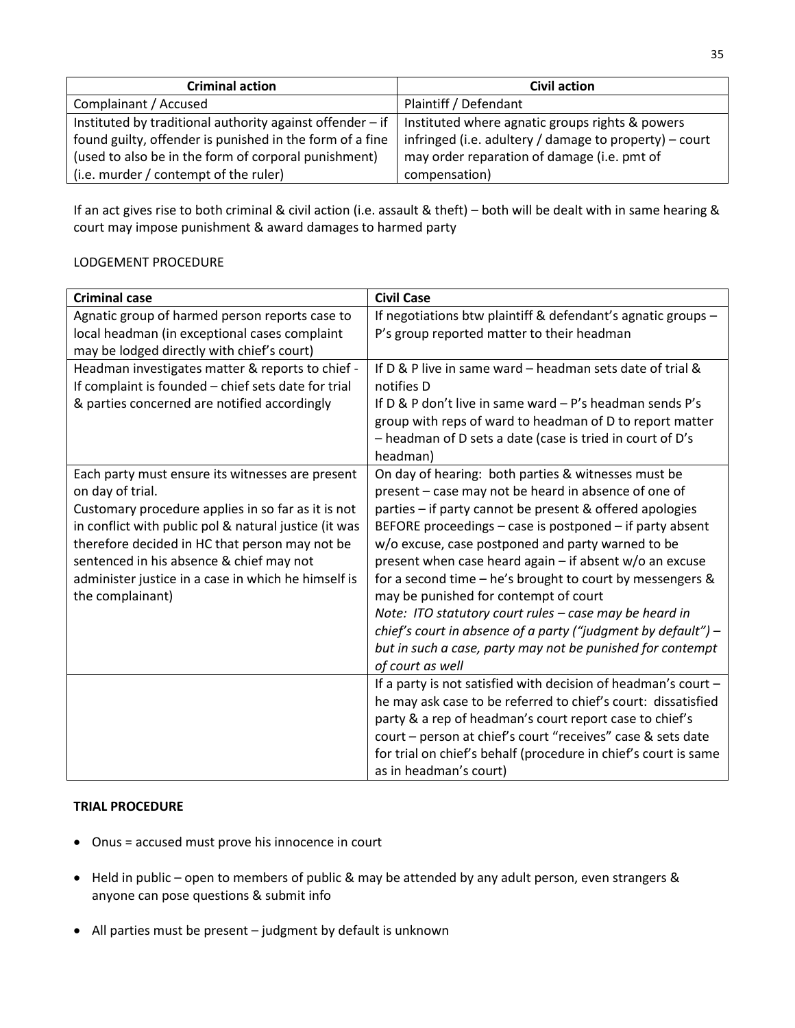| <b>Criminal action</b>                                                  | <b>Civil action</b>                                      |
|-------------------------------------------------------------------------|----------------------------------------------------------|
| Complainant / Accused                                                   | Plaintiff / Defendant                                    |
| Instituted by traditional authority against offender $-$ if $\parallel$ | Instituted where agnatic groups rights & powers          |
| found guilty, offender is punished in the form of a fine                | infringed (i.e. adultery / damage to property) $-$ court |
| (used to also be in the form of corporal punishment)                    | may order reparation of damage (i.e. pmt of              |
| (i.e. murder / contempt of the ruler)                                   | compensation)                                            |

If an act gives rise to both criminal & civil action (i.e. assault & theft) – both will be dealt with in same hearing & court may impose punishment & award damages to harmed party

## LODGEMENT PROCEDURE

| <b>Criminal case</b>                                  | <b>Civil Case</b>                                                |
|-------------------------------------------------------|------------------------------------------------------------------|
| Agnatic group of harmed person reports case to        | If negotiations btw plaintiff & defendant's agnatic groups -     |
| local headman (in exceptional cases complaint         | P's group reported matter to their headman                       |
| may be lodged directly with chief's court)            |                                                                  |
| Headman investigates matter & reports to chief -      | If D & P live in same ward - headman sets date of trial &        |
| If complaint is founded - chief sets date for trial   | notifies D                                                       |
| & parties concerned are notified accordingly          | If $D$ & P don't live in same ward $-P's$ headman sends P's      |
|                                                       | group with reps of ward to headman of D to report matter         |
|                                                       | - headman of D sets a date (case is tried in court of D's        |
|                                                       | headman)                                                         |
| Each party must ensure its witnesses are present      | On day of hearing: both parties & witnesses must be              |
| on day of trial.                                      | present - case may not be heard in absence of one of             |
| Customary procedure applies in so far as it is not    | parties - if party cannot be present & offered apologies         |
| in conflict with public pol & natural justice (it was | BEFORE proceedings - case is postponed - if party absent         |
| therefore decided in HC that person may not be        | w/o excuse, case postponed and party warned to be                |
| sentenced in his absence & chief may not              | present when case heard again $-$ if absent w/o an excuse        |
| administer justice in a case in which he himself is   | for a second time $-$ he's brought to court by messengers &      |
| the complainant)                                      | may be punished for contempt of court                            |
|                                                       | Note: ITO statutory court rules - case may be heard in           |
|                                                       | chief's court in absence of a party ("judgment by default") $-$  |
|                                                       | but in such a case, party may not be punished for contempt       |
|                                                       | of court as well                                                 |
|                                                       | If a party is not satisfied with decision of headman's court $-$ |
|                                                       | he may ask case to be referred to chief's court: dissatisfied    |
|                                                       | party & a rep of headman's court report case to chief's          |
|                                                       | court - person at chief's court "receives" case & sets date      |
|                                                       | for trial on chief's behalf (procedure in chief's court is same  |
|                                                       | as in headman's court)                                           |

## **TRIAL PROCEDURE**

- Onus = accused must prove his innocence in court
- Held in public open to members of public & may be attended by any adult person, even strangers & anyone can pose questions & submit info
- All parties must be present judgment by default is unknown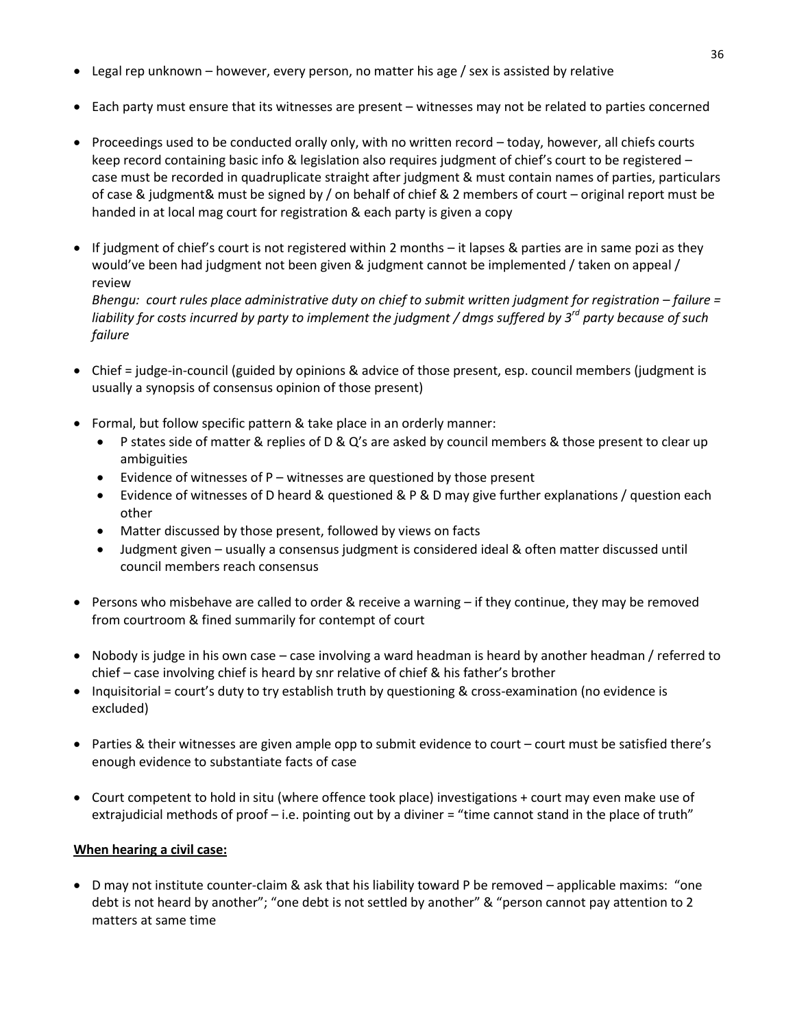- Legal rep unknown however, every person, no matter his age / sex is assisted by relative
- Each party must ensure that its witnesses are present witnesses may not be related to parties concerned
- Proceedings used to be conducted orally only, with no written record today, however, all chiefs courts keep record containing basic info & legislation also requires judgment of chief's court to be registered – case must be recorded in quadruplicate straight after judgment & must contain names of parties, particulars of case & judgment& must be signed by / on behalf of chief & 2 members of court – original report must be handed in at local mag court for registration & each party is given a copy
- If judgment of chief's court is not registered within 2 months it lapses & parties are in same pozi as they would've been had judgment not been given & judgment cannot be implemented / taken on appeal / review

*Bhengu: court rules place administrative duty on chief to submit written judgment for registration – failure = liability for costs incurred by party to implement the judgment / dmgs suffered by 3rd party because of such failure*

- Chief = judge-in-council (guided by opinions & advice of those present, esp. council members (judgment is usually a synopsis of consensus opinion of those present)
- Formal, but follow specific pattern & take place in an orderly manner:
	- P states side of matter & replies of D & Q's are asked by council members & those present to clear up ambiguities
	- $\bullet$  Evidence of witnesses of P witnesses are questioned by those present
	- Evidence of witnesses of D heard & questioned & P & D may give further explanations / question each other
	- Matter discussed by those present, followed by views on facts
	- Judgment given usually a consensus judgment is considered ideal & often matter discussed until council members reach consensus
- Persons who misbehave are called to order & receive a warning if they continue, they may be removed from courtroom & fined summarily for contempt of court
- Nobody is judge in his own case case involving a ward headman is heard by another headman / referred to chief – case involving chief is heard by snr relative of chief & his father's brother
- Inquisitorial = court's duty to try establish truth by questioning & cross-examination (no evidence is excluded)
- Parties & their witnesses are given ample opp to submit evidence to court court must be satisfied there's enough evidence to substantiate facts of case
- Court competent to hold in situ (where offence took place) investigations + court may even make use of extrajudicial methods of proof - i.e. pointing out by a diviner = "time cannot stand in the place of truth"

# **When hearing a civil case:**

 D may not institute counter-claim & ask that his liability toward P be removed – applicable maxims: "one debt is not heard by another"; "one debt is not settled by another" & "person cannot pay attention to 2 matters at same time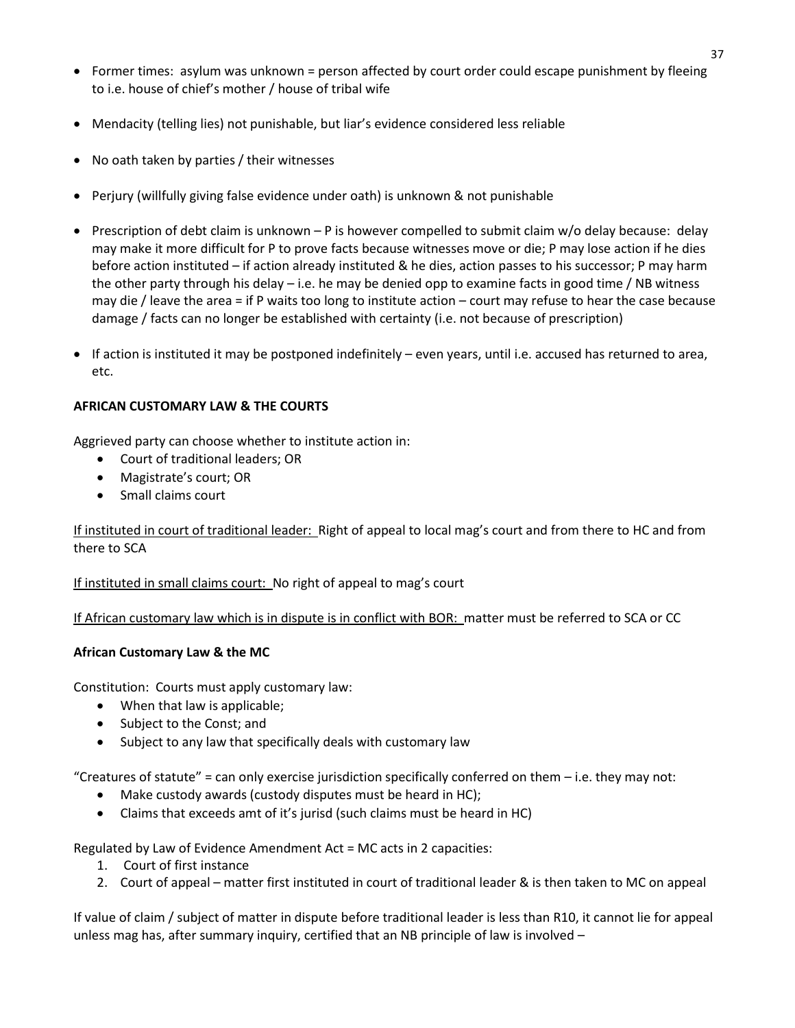- Former times: asylum was unknown = person affected by court order could escape punishment by fleeing to i.e. house of chief's mother / house of tribal wife
- Mendacity (telling lies) not punishable, but liar's evidence considered less reliable
- No oath taken by parties / their witnesses
- Perjury (willfully giving false evidence under oath) is unknown & not punishable
- **Prescription of debt claim is unknown P is however compelled to submit claim w/o delay because: delay betally** may make it more difficult for P to prove facts because witnesses move or die; P may lose action if he dies before action instituted – if action already instituted & he dies, action passes to his successor; P may harm the other party through his delay – i.e. he may be denied opp to examine facts in good time / NB witness may die / leave the area = if P waits too long to institute action – court may refuse to hear the case because damage / facts can no longer be established with certainty (i.e. not because of prescription)
- If action is instituted it may be postponed indefinitely even years, until i.e. accused has returned to area, etc.

# **AFRICAN CUSTOMARY LAW & THE COURTS**

Aggrieved party can choose whether to institute action in:

- Court of traditional leaders; OR
- Magistrate's court; OR
- Small claims court

If instituted in court of traditional leader: Right of appeal to local mag's court and from there to HC and from there to SCA

If instituted in small claims court: No right of appeal to mag's court

If African customary law which is in dispute is in conflict with BOR: matter must be referred to SCA or CC

#### **African Customary Law & the MC**

Constitution: Courts must apply customary law:

- When that law is applicable;
- Subject to the Const; and
- Subject to any law that specifically deals with customary law

"Creatures of statute" = can only exercise jurisdiction specifically conferred on them  $-$  i.e. they may not:

- Make custody awards (custody disputes must be heard in HC);
- Claims that exceeds amt of it's jurisd (such claims must be heard in HC)

Regulated by Law of Evidence Amendment Act = MC acts in 2 capacities:

- 1. Court of first instance
- 2. Court of appeal matter first instituted in court of traditional leader & is then taken to MC on appeal

If value of claim / subject of matter in dispute before traditional leader is less than R10, it cannot lie for appeal unless mag has, after summary inquiry, certified that an NB principle of law is involved –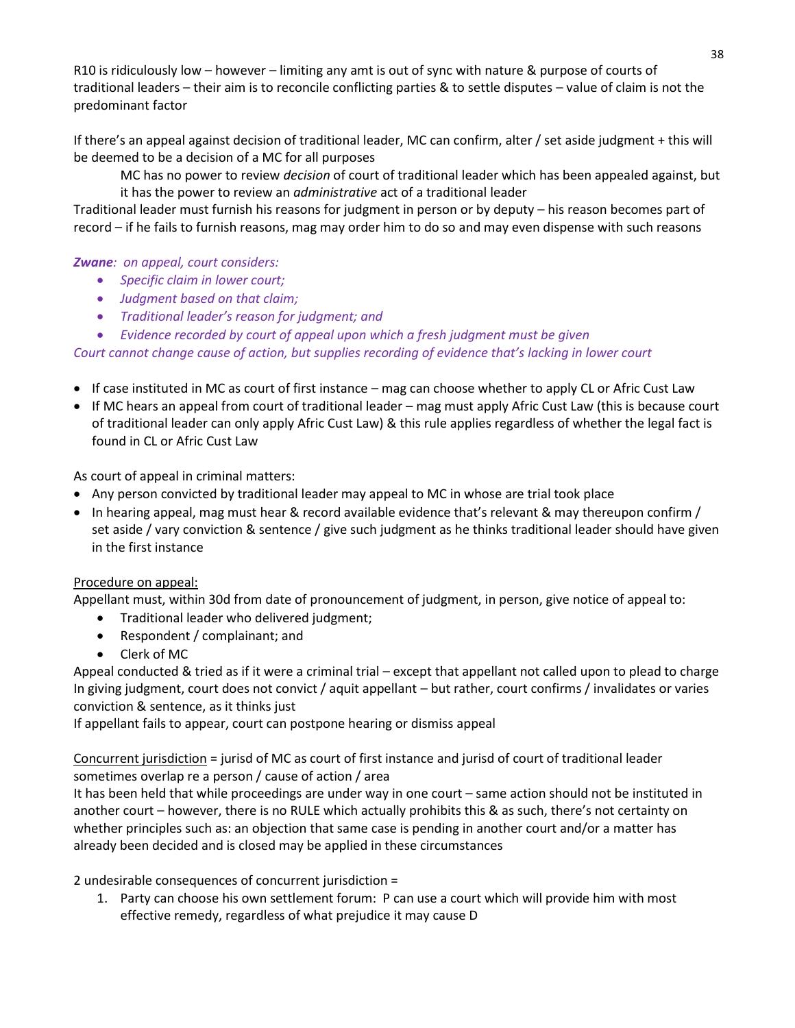R10 is ridiculously low – however – limiting any amt is out of sync with nature & purpose of courts of traditional leaders – their aim is to reconcile conflicting parties & to settle disputes – value of claim is not the predominant factor

If there's an appeal against decision of traditional leader, MC can confirm, alter / set aside judgment + this will be deemed to be a decision of a MC for all purposes

MC has no power to review *decision* of court of traditional leader which has been appealed against, but it has the power to review an *administrative* act of a traditional leader

Traditional leader must furnish his reasons for judgment in person or by deputy – his reason becomes part of record – if he fails to furnish reasons, mag may order him to do so and may even dispense with such reasons

# *Zwane: on appeal, court considers:*

- *Specific claim in lower court;*
- *Judgment based on that claim;*
- *Traditional leader's reason for judgment; and*
- *Evidence recorded by court of appeal upon which a fresh judgment must be given*

*Court cannot change cause of action, but supplies recording of evidence that's lacking in lower court* 

- If case instituted in MC as court of first instance mag can choose whether to apply CL or Afric Cust Law
- If MC hears an appeal from court of traditional leader mag must apply Afric Cust Law (this is because court of traditional leader can only apply Afric Cust Law) & this rule applies regardless of whether the legal fact is found in CL or Afric Cust Law

As court of appeal in criminal matters:

- Any person convicted by traditional leader may appeal to MC in whose are trial took place
- In hearing appeal, mag must hear & record available evidence that's relevant & may thereupon confirm / set aside / vary conviction & sentence / give such judgment as he thinks traditional leader should have given in the first instance

# Procedure on appeal:

Appellant must, within 30d from date of pronouncement of judgment, in person, give notice of appeal to:

- Traditional leader who delivered judgment;
- Respondent / complainant; and
- Clerk of MC

Appeal conducted & tried as if it were a criminal trial – except that appellant not called upon to plead to charge In giving judgment, court does not convict / aquit appellant – but rather, court confirms / invalidates or varies conviction & sentence, as it thinks just

If appellant fails to appear, court can postpone hearing or dismiss appeal

Concurrent jurisdiction = jurisd of MC as court of first instance and jurisd of court of traditional leader sometimes overlap re a person / cause of action / area

It has been held that while proceedings are under way in one court – same action should not be instituted in another court – however, there is no RULE which actually prohibits this & as such, there's not certainty on whether principles such as: an objection that same case is pending in another court and/or a matter has already been decided and is closed may be applied in these circumstances

2 undesirable consequences of concurrent jurisdiction =

1. Party can choose his own settlement forum: P can use a court which will provide him with most effective remedy, regardless of what prejudice it may cause D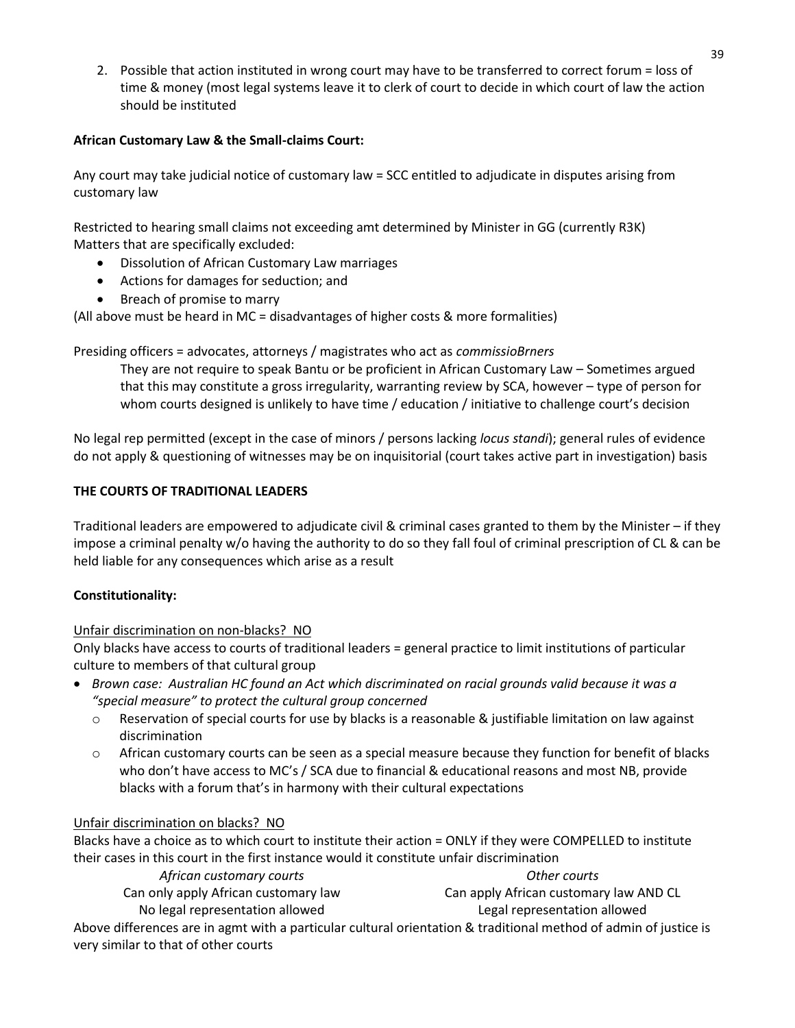2. Possible that action instituted in wrong court may have to be transferred to correct forum = loss of time & money (most legal systems leave it to clerk of court to decide in which court of law the action should be instituted

# **African Customary Law & the Small-claims Court:**

Any court may take judicial notice of customary law = SCC entitled to adjudicate in disputes arising from customary law

Restricted to hearing small claims not exceeding amt determined by Minister in GG (currently R3K) Matters that are specifically excluded:

- Dissolution of African Customary Law marriages
- Actions for damages for seduction; and
- Breach of promise to marry

(All above must be heard in MC = disadvantages of higher costs & more formalities)

# Presiding officers = advocates, attorneys / magistrates who act as *commissioBrners*

They are not require to speak Bantu or be proficient in African Customary Law – Sometimes argued that this may constitute a gross irregularity, warranting review by SCA, however – type of person for whom courts designed is unlikely to have time / education / initiative to challenge court's decision

No legal rep permitted (except in the case of minors / persons lacking *locus standi*); general rules of evidence do not apply & questioning of witnesses may be on inquisitorial (court takes active part in investigation) basis

# **THE COURTS OF TRADITIONAL LEADERS**

Traditional leaders are empowered to adjudicate civil & criminal cases granted to them by the Minister – if they impose a criminal penalty w/o having the authority to do so they fall foul of criminal prescription of CL & can be held liable for any consequences which arise as a result

# **Constitutionality:**

# Unfair discrimination on non-blacks? NO

Only blacks have access to courts of traditional leaders = general practice to limit institutions of particular culture to members of that cultural group

- *Brown case: Australian HC found an Act which discriminated on racial grounds valid because it was a "special measure" to protect the cultural group concerned*
	- $\circ$  Reservation of special courts for use by blacks is a reasonable & justifiable limitation on law against discrimination
	- $\circ$  African customary courts can be seen as a special measure because they function for benefit of blacks who don't have access to MC's / SCA due to financial & educational reasons and most NB, provide blacks with a forum that's in harmony with their cultural expectations

# Unfair discrimination on blacks? NO

Blacks have a choice as to which court to institute their action = ONLY if they were COMPELLED to institute their cases in this court in the first instance would it constitute unfair discrimination

*African customary courts Other courts*

Can only apply African customary law Can apply African customary law AND CL

No legal representation allowed Legal representation allowed

Above differences are in agmt with a particular cultural orientation & traditional method of admin of justice is very similar to that of other courts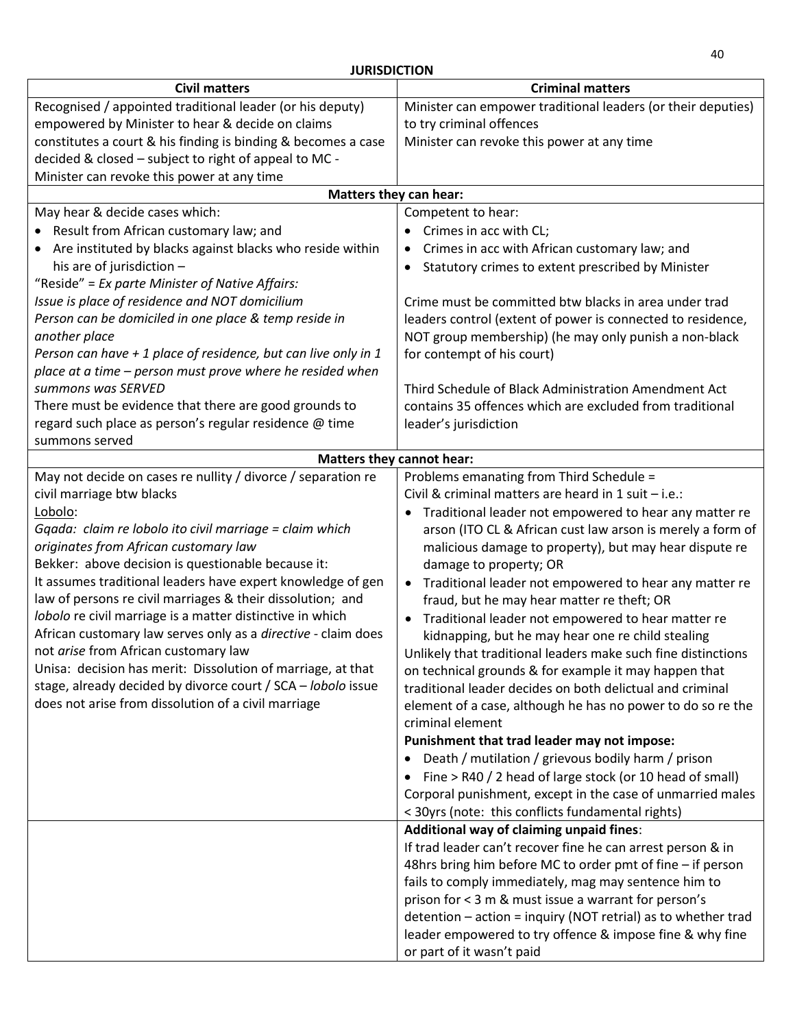| יוטווואטנאטנ                                                    |                                                                     |
|-----------------------------------------------------------------|---------------------------------------------------------------------|
| <b>Civil matters</b>                                            | <b>Criminal matters</b>                                             |
| Recognised / appointed traditional leader (or his deputy)       | Minister can empower traditional leaders (or their deputies)        |
| empowered by Minister to hear & decide on claims                | to try criminal offences                                            |
| constitutes a court & his finding is binding & becomes a case   | Minister can revoke this power at any time                          |
| decided & closed - subject to right of appeal to MC -           |                                                                     |
| Minister can revoke this power at any time                      |                                                                     |
| Matters they can hear:                                          |                                                                     |
| May hear & decide cases which:                                  | Competent to hear:                                                  |
| Result from African customary law; and                          | Crimes in acc with CL;<br>$\bullet$                                 |
|                                                                 |                                                                     |
| Are instituted by blacks against blacks who reside within       | Crimes in acc with African customary law; and<br>$\bullet$          |
| his are of jurisdiction -                                       | Statutory crimes to extent prescribed by Minister<br>$\bullet$      |
| "Reside" = $Ex$ parte Minister of Native Affairs:               |                                                                     |
| Issue is place of residence and NOT domicilium                  | Crime must be committed btw blacks in area under trad               |
| Person can be domiciled in one place & temp reside in           | leaders control (extent of power is connected to residence,         |
| another place                                                   | NOT group membership) (he may only punish a non-black               |
| Person can have $+1$ place of residence, but can live only in 1 | for contempt of his court)                                          |
| place at a time - person must prove where he resided when       |                                                                     |
| summons was SERVED                                              | Third Schedule of Black Administration Amendment Act                |
| There must be evidence that there are good grounds to           | contains 35 offences which are excluded from traditional            |
| regard such place as person's regular residence @ time          | leader's jurisdiction                                               |
| summons served                                                  |                                                                     |
|                                                                 | <b>Matters they cannot hear:</b>                                    |
| May not decide on cases re nullity / divorce / separation re    | Problems emanating from Third Schedule =                            |
| civil marriage btw blacks                                       | Civil & criminal matters are heard in 1 suit - i.e.:                |
| Lobolo:                                                         | Traditional leader not empowered to hear any matter re              |
| Gqada: claim re lobolo ito civil marriage = claim which         | arson (ITO CL & African cust law arson is merely a form of          |
| originates from African customary law                           | malicious damage to property), but may hear dispute re              |
| Bekker: above decision is questionable because it:              | damage to property; OR                                              |
| It assumes traditional leaders have expert knowledge of gen     | Traditional leader not empowered to hear any matter re<br>$\bullet$ |
| law of persons re civil marriages & their dissolution; and      | fraud, but he may hear matter re theft; OR                          |
| lobolo re civil marriage is a matter distinctive in which       | Traditional leader not empowered to hear matter re                  |
| African customary law serves only as a directive - claim does   | kidnapping, but he may hear one re child stealing                   |
| not arise from African customary law                            | Unlikely that traditional leaders make such fine distinctions       |
| Unisa: decision has merit: Dissolution of marriage, at that     | on technical grounds & for example it may happen that               |
| stage, already decided by divorce court / SCA - lobolo issue    | traditional leader decides on both delictual and criminal           |
| does not arise from dissolution of a civil marriage             | element of a case, although he has no power to do so re the         |
|                                                                 | criminal element                                                    |
|                                                                 | Punishment that trad leader may not impose:                         |
|                                                                 | Death / mutilation / grievous bodily harm / prison                  |
|                                                                 | Fine > R40 / 2 head of large stock (or 10 head of small)            |
|                                                                 |                                                                     |
|                                                                 | Corporal punishment, except in the case of unmarried males          |
|                                                                 | < 30yrs (note: this conflicts fundamental rights)                   |
|                                                                 | Additional way of claiming unpaid fines:                            |
|                                                                 | If trad leader can't recover fine he can arrest person & in         |
|                                                                 | 48hrs bring him before MC to order pmt of fine - if person          |
|                                                                 | fails to comply immediately, mag may sentence him to                |
|                                                                 | prison for < 3 m & must issue a warrant for person's                |
|                                                                 | detention - action = inquiry (NOT retrial) as to whether trad       |
|                                                                 | leader empowered to try offence & impose fine & why fine            |
|                                                                 | or part of it wasn't paid                                           |

**JURISDICTION**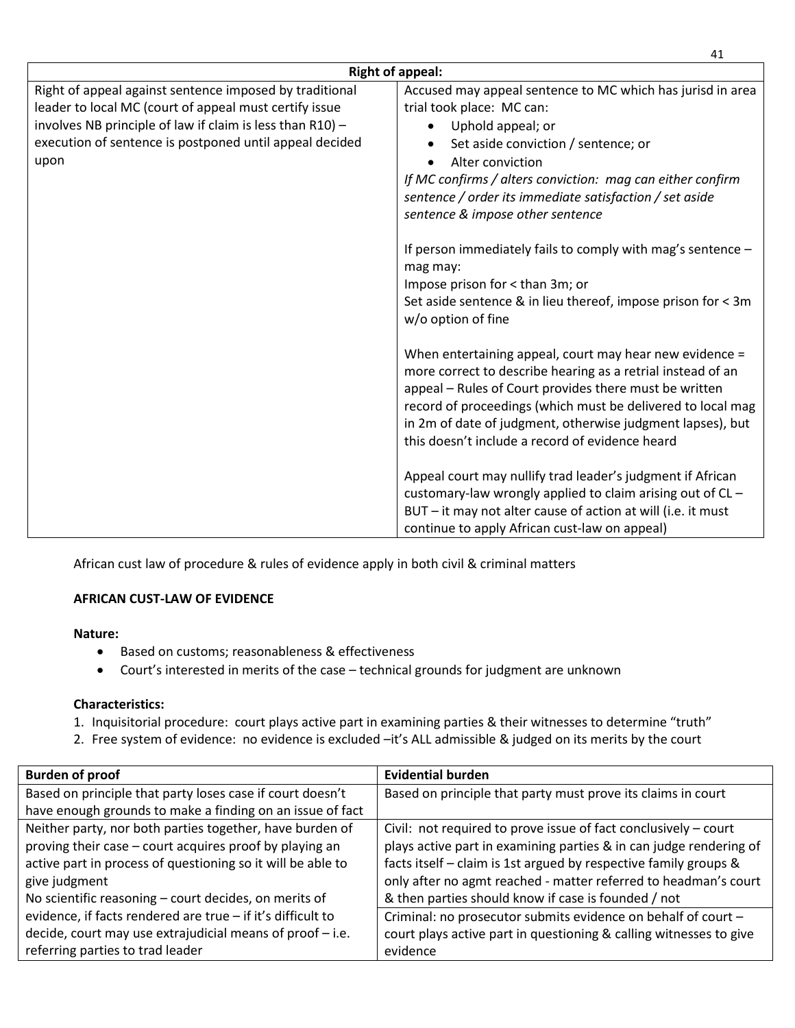| <b>Right of appeal:</b>                                                                                                                                                                                                                           |                                                                                                                                                                                                                                                                                                                                                                                                                                                                                                                                                                                                                                                                                                                                                                                                                                                                                                                                                                              |
|---------------------------------------------------------------------------------------------------------------------------------------------------------------------------------------------------------------------------------------------------|------------------------------------------------------------------------------------------------------------------------------------------------------------------------------------------------------------------------------------------------------------------------------------------------------------------------------------------------------------------------------------------------------------------------------------------------------------------------------------------------------------------------------------------------------------------------------------------------------------------------------------------------------------------------------------------------------------------------------------------------------------------------------------------------------------------------------------------------------------------------------------------------------------------------------------------------------------------------------|
| Right of appeal against sentence imposed by traditional<br>leader to local MC (court of appeal must certify issue<br>involves NB principle of law if claim is less than R10) -<br>execution of sentence is postponed until appeal decided<br>upon | Accused may appeal sentence to MC which has jurisd in area<br>trial took place: MC can:<br>Uphold appeal; or<br>Set aside conviction / sentence; or<br>Alter conviction<br>If MC confirms / alters conviction: mag can either confirm<br>sentence / order its immediate satisfaction / set aside<br>sentence & impose other sentence<br>If person immediately fails to comply with mag's sentence $-$<br>mag may:<br>Impose prison for < than 3m; or<br>Set aside sentence & in lieu thereof, impose prison for < 3m<br>w/o option of fine<br>When entertaining appeal, court may hear new evidence =<br>more correct to describe hearing as a retrial instead of an<br>appeal - Rules of Court provides there must be written<br>record of proceedings (which must be delivered to local mag<br>in 2m of date of judgment, otherwise judgment lapses), but<br>this doesn't include a record of evidence heard<br>Appeal court may nullify trad leader's judgment if African |
|                                                                                                                                                                                                                                                   | customary-law wrongly applied to claim arising out of CL -<br>BUT - it may not alter cause of action at will (i.e. it must<br>continue to apply African cust-law on appeal)                                                                                                                                                                                                                                                                                                                                                                                                                                                                                                                                                                                                                                                                                                                                                                                                  |

African cust law of procedure & rules of evidence apply in both civil & criminal matters

# **AFRICAN CUST-LAW OF EVIDENCE**

# **Nature:**

- Based on customs; reasonableness & effectiveness
- Court's interested in merits of the case technical grounds for judgment are unknown

# **Characteristics:**

- 1. Inquisitorial procedure: court plays active part in examining parties & their witnesses to determine "truth"
- 2. Free system of evidence: no evidence is excluded –it's ALL admissible & judged on its merits by the court

| <b>Burden of proof</b>                                      | <b>Evidential burden</b>                                           |
|-------------------------------------------------------------|--------------------------------------------------------------------|
| Based on principle that party loses case if court doesn't   | Based on principle that party must prove its claims in court       |
| have enough grounds to make a finding on an issue of fact   |                                                                    |
| Neither party, nor both parties together, have burden of    | Civil: not required to prove issue of fact conclusively - court    |
| proving their case - court acquires proof by playing an     | plays active part in examining parties & in can judge rendering of |
| active part in process of questioning so it will be able to | facts itself - claim is 1st argued by respective family groups &   |
| give judgment                                               | only after no agmt reached - matter referred to headman's court    |
| No scientific reasoning - court decides, on merits of       | & then parties should know if case is founded / not                |
| evidence, if facts rendered are true - if it's difficult to | Criminal: no prosecutor submits evidence on behalf of court -      |
| decide, court may use extrajudicial means of proof - i.e.   | court plays active part in questioning & calling witnesses to give |
| referring parties to trad leader                            | evidence                                                           |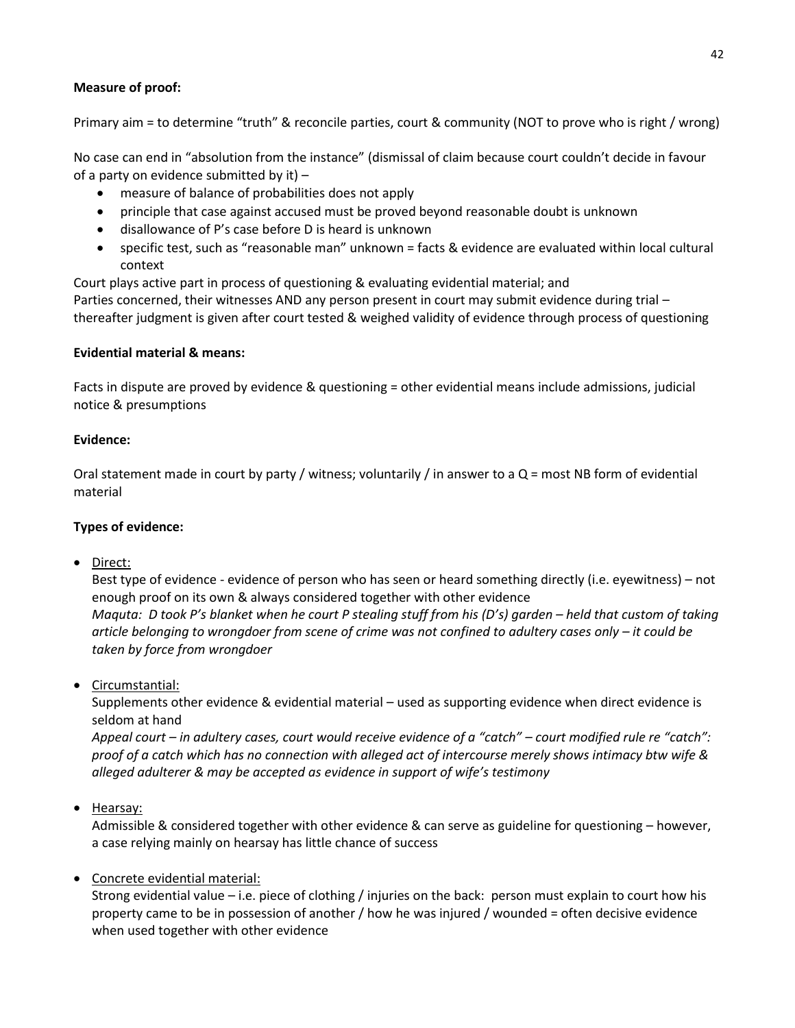# **Measure of proof:**

Primary aim = to determine "truth" & reconcile parties, court & community (NOT to prove who is right / wrong)

No case can end in "absolution from the instance" (dismissal of claim because court couldn't decide in favour of a party on evidence submitted by it) –

- measure of balance of probabilities does not apply
- principle that case against accused must be proved beyond reasonable doubt is unknown
- disallowance of P's case before D is heard is unknown
- specific test, such as "reasonable man" unknown = facts & evidence are evaluated within local cultural context

Court plays active part in process of questioning & evaluating evidential material; and

Parties concerned, their witnesses AND any person present in court may submit evidence during trial – thereafter judgment is given after court tested & weighed validity of evidence through process of questioning

#### **Evidential material & means:**

Facts in dispute are proved by evidence & questioning = other evidential means include admissions, judicial notice & presumptions

#### **Evidence:**

Oral statement made in court by party / witness; voluntarily / in answer to a Q = most NB form of evidential material

#### **Types of evidence:**

• Direct:

Best type of evidence - evidence of person who has seen or heard something directly (i.e. eyewitness) – not enough proof on its own & always considered together with other evidence *Maquta: D took P's blanket when he court P stealing stuff from his (D's) garden – held that custom of taking article belonging to wrongdoer from scene of crime was not confined to adultery cases only – it could be* 

• Circumstantial:

Supplements other evidence & evidential material – used as supporting evidence when direct evidence is seldom at hand

*Appeal court – in adultery cases, court would receive evidence of a "catch" – court modified rule re "catch": proof of a catch which has no connection with alleged act of intercourse merely shows intimacy btw wife & alleged adulterer & may be accepted as evidence in support of wife's testimony*

• Hearsay:

Admissible & considered together with other evidence & can serve as guideline for questioning – however, a case relying mainly on hearsay has little chance of success

Concrete evidential material:

*taken by force from wrongdoer*

Strong evidential value – i.e. piece of clothing / injuries on the back: person must explain to court how his property came to be in possession of another / how he was injured / wounded = often decisive evidence when used together with other evidence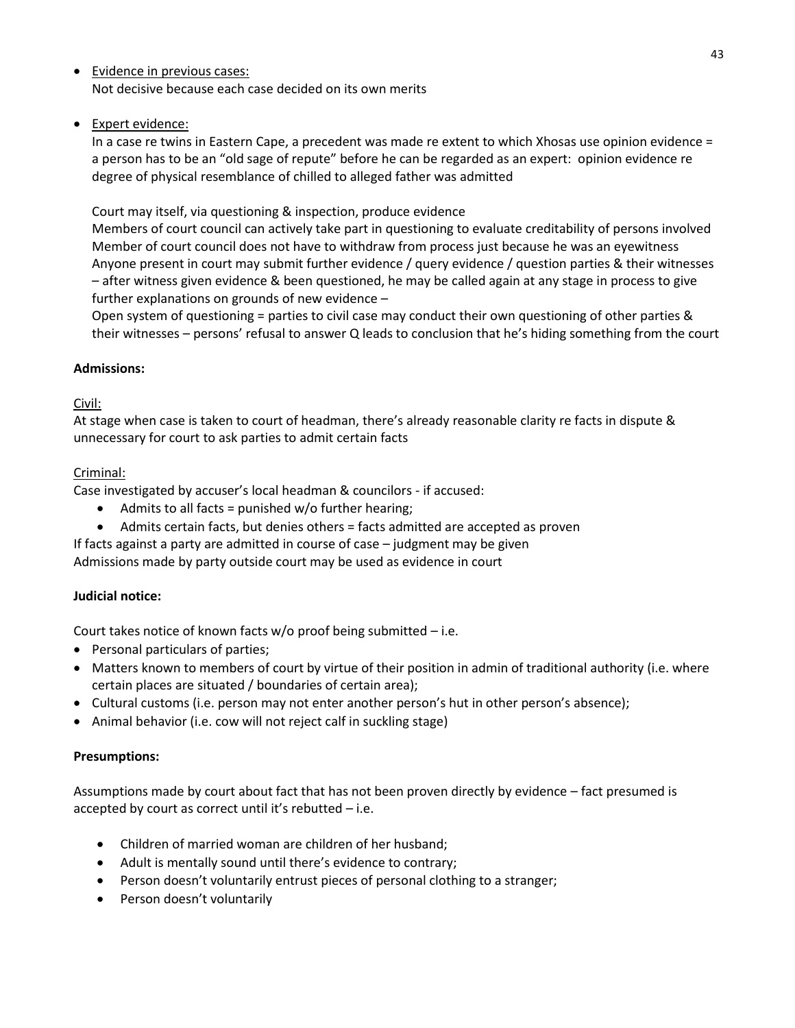- Evidence in previous cases: Not decisive because each case decided on its own merits
- Expert evidence:

In a case re twins in Eastern Cape, a precedent was made re extent to which Xhosas use opinion evidence = a person has to be an "old sage of repute" before he can be regarded as an expert: opinion evidence re degree of physical resemblance of chilled to alleged father was admitted

Court may itself, via questioning & inspection, produce evidence

Members of court council can actively take part in questioning to evaluate creditability of persons involved Member of court council does not have to withdraw from process just because he was an eyewitness Anyone present in court may submit further evidence / query evidence / question parties & their witnesses – after witness given evidence & been questioned, he may be called again at any stage in process to give further explanations on grounds of new evidence –

Open system of questioning = parties to civil case may conduct their own questioning of other parties & their witnesses – persons' refusal to answer Q leads to conclusion that he's hiding something from the court

# **Admissions:**

# Civil:

At stage when case is taken to court of headman, there's already reasonable clarity re facts in dispute & unnecessary for court to ask parties to admit certain facts

# Criminal:

Case investigated by accuser's local headman & councilors - if accused:

- Admits to all facts = punished  $w/o$  further hearing;
- Admits certain facts, but denies others = facts admitted are accepted as proven

If facts against a party are admitted in course of case – judgment may be given Admissions made by party outside court may be used as evidence in court

# **Judicial notice:**

Court takes notice of known facts w/o proof being submitted – i.e.

- Personal particulars of parties;
- Matters known to members of court by virtue of their position in admin of traditional authority (i.e. where certain places are situated / boundaries of certain area);
- Cultural customs (i.e. person may not enter another person's hut in other person's absence);
- Animal behavior (i.e. cow will not reject calf in suckling stage)

# **Presumptions:**

Assumptions made by court about fact that has not been proven directly by evidence – fact presumed is accepted by court as correct until it's rebutted  $-$  i.e.

- Children of married woman are children of her husband;
- Adult is mentally sound until there's evidence to contrary;
- Person doesn't voluntarily entrust pieces of personal clothing to a stranger;
- Person doesn't voluntarily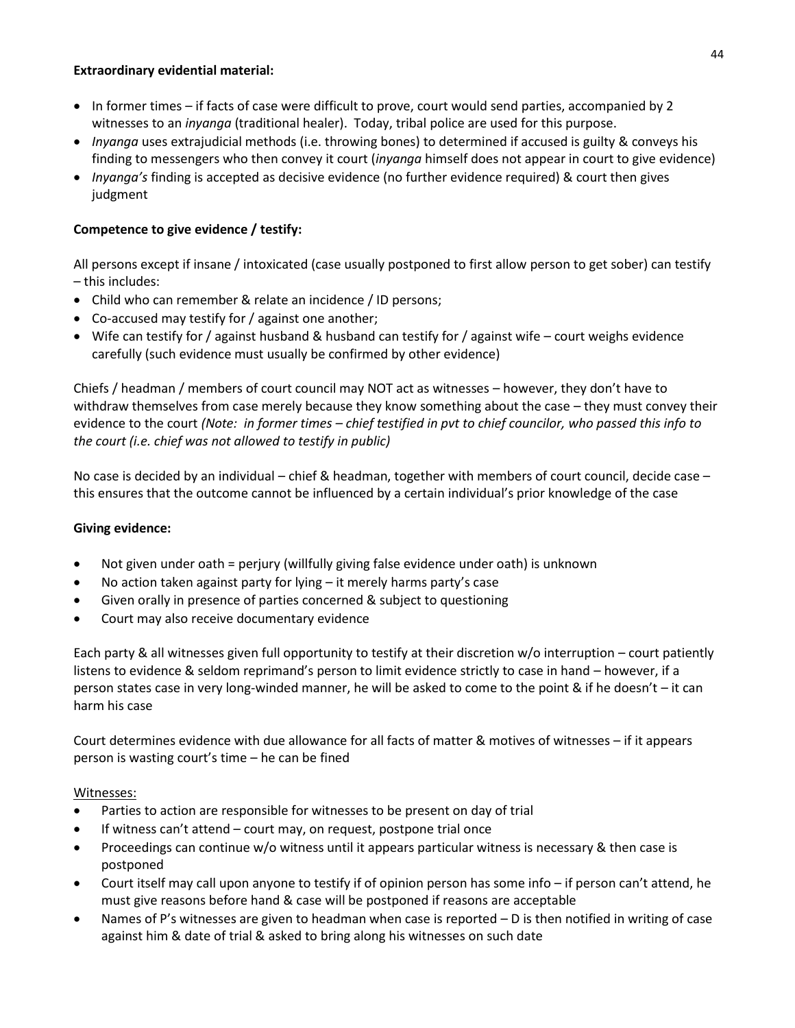#### **Extraordinary evidential material:**

- In former times if facts of case were difficult to prove, court would send parties, accompanied by 2 witnesses to an *inyanga* (traditional healer). Today, tribal police are used for this purpose.
- *Inyanga* uses extrajudicial methods (i.e. throwing bones) to determined if accused is guilty & conveys his finding to messengers who then convey it court (*inyanga* himself does not appear in court to give evidence)
- *Inyanga's* finding is accepted as decisive evidence (no further evidence required) & court then gives judgment

# **Competence to give evidence / testify:**

All persons except if insane / intoxicated (case usually postponed to first allow person to get sober) can testify – this includes:

- Child who can remember & relate an incidence / ID persons;
- Co-accused may testify for / against one another;
- Wife can testify for / against husband & husband can testify for / against wife court weighs evidence carefully (such evidence must usually be confirmed by other evidence)

Chiefs / headman / members of court council may NOT act as witnesses – however, they don't have to withdraw themselves from case merely because they know something about the case – they must convey their evidence to the court *(Note: in former times – chief testified in pvt to chief councilor, who passed this info to the court (i.e. chief was not allowed to testify in public)*

No case is decided by an individual – chief & headman, together with members of court council, decide case – this ensures that the outcome cannot be influenced by a certain individual's prior knowledge of the case

#### **Giving evidence:**

- Not given under oath = perjury (willfully giving false evidence under oath) is unknown
- No action taken against party for lying it merely harms party's case
- Given orally in presence of parties concerned & subject to questioning
- Court may also receive documentary evidence

Each party & all witnesses given full opportunity to testify at their discretion w/o interruption – court patiently listens to evidence & seldom reprimand's person to limit evidence strictly to case in hand – however, if a person states case in very long-winded manner, he will be asked to come to the point & if he doesn't – it can harm his case

Court determines evidence with due allowance for all facts of matter & motives of witnesses – if it appears person is wasting court's time – he can be fined

#### Witnesses:

- Parties to action are responsible for witnesses to be present on day of trial
- If witness can't attend court may, on request, postpone trial once
- Proceedings can continue w/o witness until it appears particular witness is necessary & then case is postponed
- Court itself may call upon anyone to testify if of opinion person has some info if person can't attend, he must give reasons before hand & case will be postponed if reasons are acceptable
- Names of P's witnesses are given to headman when case is reported D is then notified in writing of case against him & date of trial & asked to bring along his witnesses on such date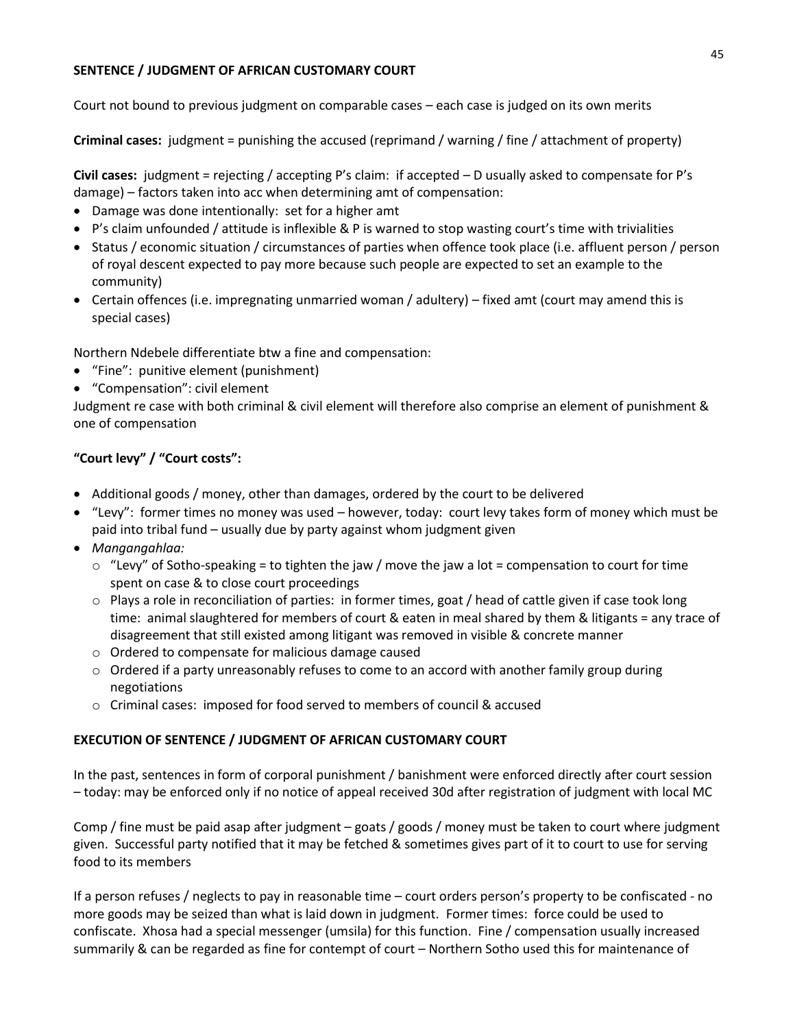### **SENTENCE / JUDGMENT OF AFRICAN CUSTOMARY COURT**

Court not bound to previous judgment on comparable cases – each case is judged on its own merits

**Criminal cases:** judgment = punishing the accused (reprimand / warning / fine / attachment of property)

**Civil cases:** judgment = rejecting / accepting P's claim: if accepted – D usually asked to compensate for P's damage) – factors taken into acc when determining amt of compensation:

- Damage was done intentionally: set for a higher amt
- P's claim unfounded / attitude is inflexible & P is warned to stop wasting court's time with trivialities
- Status / economic situation / circumstances of parties when offence took place (i.e. affluent person / person of royal descent expected to pay more because such people are expected to set an example to the community)
- Certain offences (i.e. impregnating unmarried woman / adultery) fixed amt (court may amend this is special cases)

Northern Ndebele differentiate btw a fine and compensation:

- "Fine": punitive element (punishment)
- "Compensation": civil element

Judgment re case with both criminal & civil element will therefore also comprise an element of punishment & one of compensation

# **"Court levy" / "Court costs":**

- Additional goods / money, other than damages, ordered by the court to be delivered
- "Levy": former times no money was used however, today: court levy takes form of money which must be paid into tribal fund – usually due by party against whom judgment given
- *Mangangahlaa:*
	- $\circ$  "Levy" of Sotho-speaking = to tighten the jaw / move the jaw a lot = compensation to court for time spent on case & to close court proceedings
	- o Plays a role in reconciliation of parties: in former times, goat / head of cattle given if case took long time: animal slaughtered for members of court & eaten in meal shared by them & litigants = any trace of disagreement that still existed among litigant was removed in visible & concrete manner
	- o Ordered to compensate for malicious damage caused
	- o Ordered if a party unreasonably refuses to come to an accord with another family group during negotiations
	- o Criminal cases: imposed for food served to members of council & accused

#### **EXECUTION OF SENTENCE / JUDGMENT OF AFRICAN CUSTOMARY COURT**

In the past, sentences in form of corporal punishment / banishment were enforced directly after court session – today: may be enforced only if no notice of appeal received 30d after registration of judgment with local MC

Comp / fine must be paid asap after judgment – goats / goods / money must be taken to court where judgment given. Successful party notified that it may be fetched & sometimes gives part of it to court to use for serving food to its members

If a person refuses / neglects to pay in reasonable time – court orders person's property to be confiscated - no more goods may be seized than what is laid down in judgment. Former times: force could be used to confiscate. Xhosa had a special messenger (umsila) for this function. Fine / compensation usually increased summarily & can be regarded as fine for contempt of court – Northern Sotho used this for maintenance of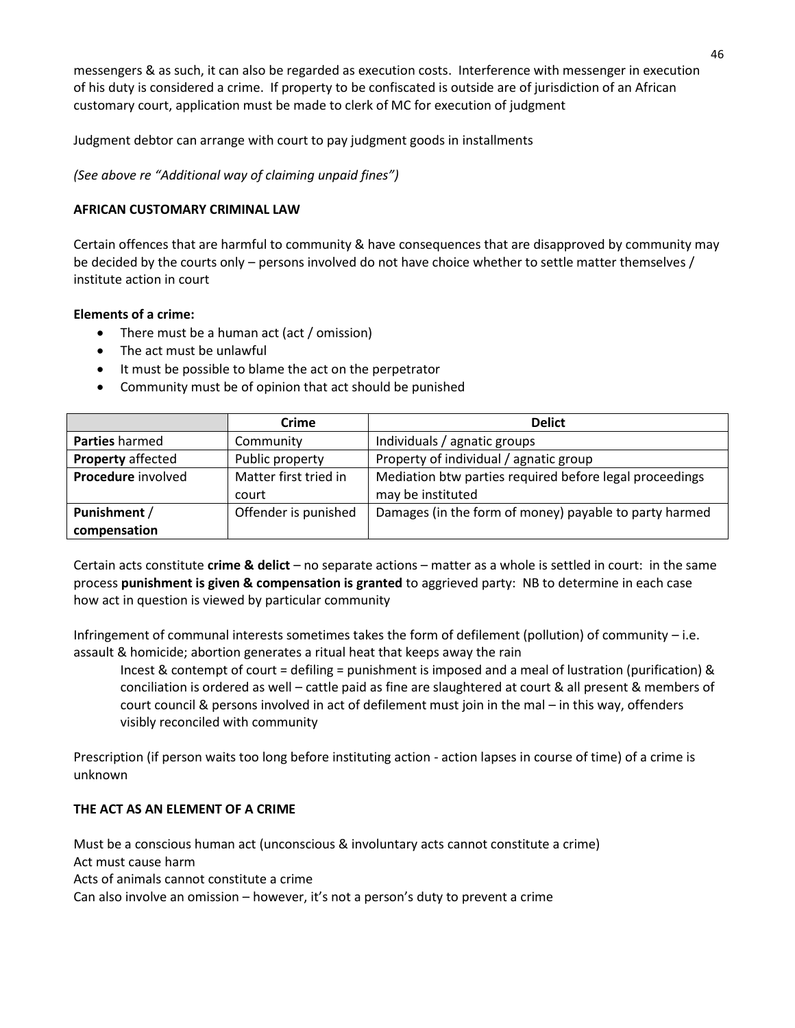messengers & as such, it can also be regarded as execution costs. Interference with messenger in execution of his duty is considered a crime. If property to be confiscated is outside are of jurisdiction of an African customary court, application must be made to clerk of MC for execution of judgment

Judgment debtor can arrange with court to pay judgment goods in installments

*(See above re "Additional way of claiming unpaid fines")*

### **AFRICAN CUSTOMARY CRIMINAL LAW**

Certain offences that are harmful to community & have consequences that are disapproved by community may be decided by the courts only – persons involved do not have choice whether to settle matter themselves / institute action in court

#### **Elements of a crime:**

- There must be a human act (act / omission)
- The act must be unlawful
- It must be possible to blame the act on the perpetrator
- Community must be of opinion that act should be punished

|                              | <b>Crime</b>                   | <b>Delict</b>                                                                |
|------------------------------|--------------------------------|------------------------------------------------------------------------------|
| <b>Parties</b> harmed        | Community                      | Individuals / agnatic groups                                                 |
| <b>Property affected</b>     | Public property                | Property of individual / agnatic group                                       |
| Procedure involved           | Matter first tried in<br>court | Mediation btw parties required before legal proceedings<br>may be instituted |
| Punishment /<br>compensation | Offender is punished           | Damages (in the form of money) payable to party harmed                       |

Certain acts constitute **crime & delict** – no separate actions – matter as a whole is settled in court: in the same process **punishment is given & compensation is granted** to aggrieved party: NB to determine in each case how act in question is viewed by particular community

Infringement of communal interests sometimes takes the form of defilement (pollution) of community – i.e. assault & homicide; abortion generates a ritual heat that keeps away the rain

Incest & contempt of court = defiling = punishment is imposed and a meal of lustration (purification) & conciliation is ordered as well – cattle paid as fine are slaughtered at court & all present & members of court council & persons involved in act of defilement must join in the mal – in this way, offenders visibly reconciled with community

Prescription (if person waits too long before instituting action - action lapses in course of time) of a crime is unknown

# **THE ACT AS AN ELEMENT OF A CRIME**

Must be a conscious human act (unconscious & involuntary acts cannot constitute a crime) Act must cause harm Acts of animals cannot constitute a crime Can also involve an omission – however, it's not a person's duty to prevent a crime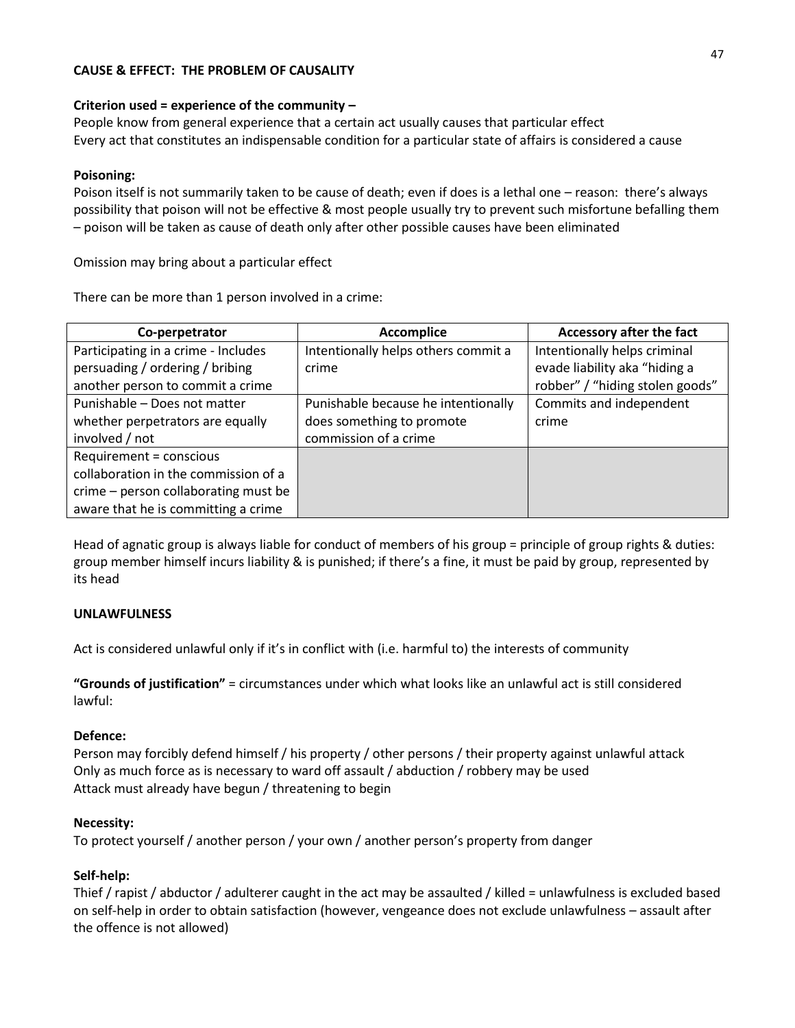### **CAUSE & EFFECT: THE PROBLEM OF CAUSALITY**

#### **Criterion used = experience of the community –**

People know from general experience that a certain act usually causes that particular effect Every act that constitutes an indispensable condition for a particular state of affairs is considered a cause

#### **Poisoning:**

Poison itself is not summarily taken to be cause of death; even if does is a lethal one – reason: there's always possibility that poison will not be effective & most people usually try to prevent such misfortune befalling them – poison will be taken as cause of death only after other possible causes have been eliminated

Omission may bring about a particular effect

There can be more than 1 person involved in a crime:

| Co-perpetrator                       | <b>Accomplice</b>                   | Accessory after the fact        |
|--------------------------------------|-------------------------------------|---------------------------------|
| Participating in a crime - Includes  | Intentionally helps others commit a | Intentionally helps criminal    |
| persuading / ordering / bribing      | crime                               | evade liability aka "hiding a   |
| another person to commit a crime     |                                     | robber" / "hiding stolen goods" |
| Punishable - Does not matter         | Punishable because he intentionally | Commits and independent         |
| whether perpetrators are equally     | does something to promote           | crime                           |
| involved / not                       | commission of a crime               |                                 |
| Requirement = conscious              |                                     |                                 |
| collaboration in the commission of a |                                     |                                 |
| crime - person collaborating must be |                                     |                                 |
| aware that he is committing a crime  |                                     |                                 |

Head of agnatic group is always liable for conduct of members of his group = principle of group rights & duties: group member himself incurs liability & is punished; if there's a fine, it must be paid by group, represented by its head

#### **UNLAWFULNESS**

Act is considered unlawful only if it's in conflict with (i.e. harmful to) the interests of community

**"Grounds of justification"** = circumstances under which what looks like an unlawful act is still considered lawful:

#### **Defence:**

Person may forcibly defend himself / his property / other persons / their property against unlawful attack Only as much force as is necessary to ward off assault / abduction / robbery may be used Attack must already have begun / threatening to begin

#### **Necessity:**

To protect yourself / another person / your own / another person's property from danger

#### **Self-help:**

Thief / rapist / abductor / adulterer caught in the act may be assaulted / killed = unlawfulness is excluded based on self-help in order to obtain satisfaction (however, vengeance does not exclude unlawfulness – assault after the offence is not allowed)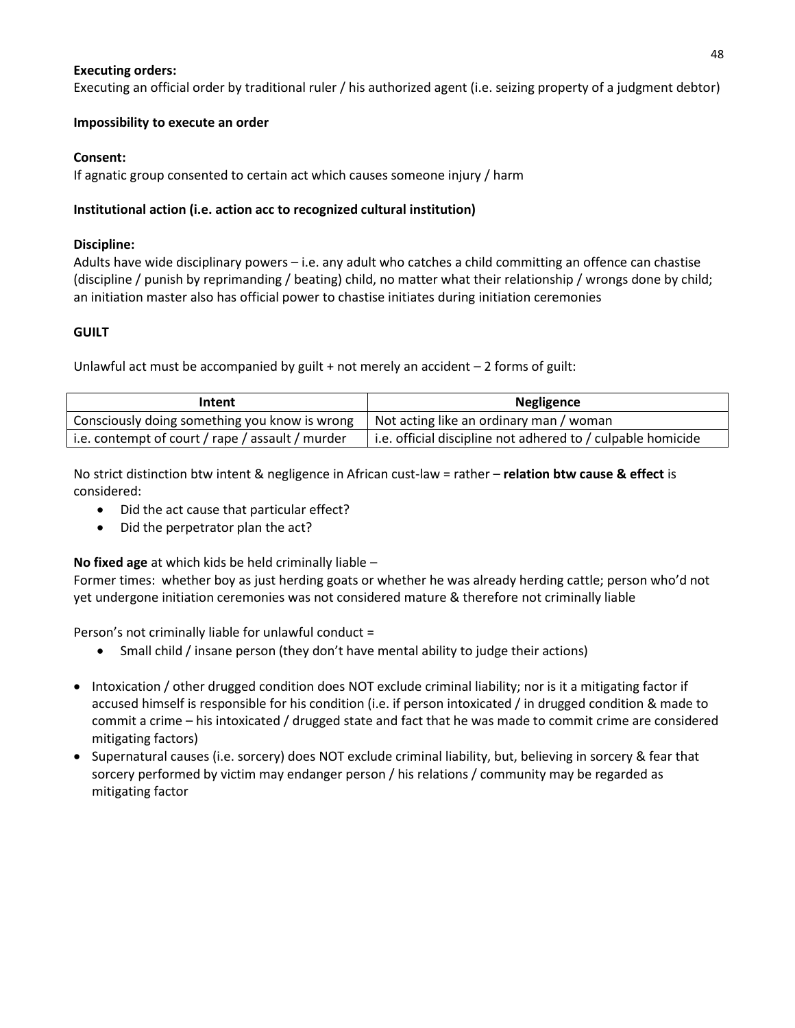#### **Executing orders:**

Executing an official order by traditional ruler / his authorized agent (i.e. seizing property of a judgment debtor)

#### **Impossibility to execute an order**

#### **Consent:**

If agnatic group consented to certain act which causes someone injury / harm

### **Institutional action (i.e. action acc to recognized cultural institution)**

#### **Discipline:**

Adults have wide disciplinary powers – i.e. any adult who catches a child committing an offence can chastise (discipline / punish by reprimanding / beating) child, no matter what their relationship / wrongs done by child; an initiation master also has official power to chastise initiates during initiation ceremonies

#### **GUILT**

Unlawful act must be accompanied by guilt  $+$  not merely an accident  $-2$  forms of guilt:

| Intent                                           | Negligence                                                  |  |
|--------------------------------------------------|-------------------------------------------------------------|--|
| Consciously doing something you know is wrong    | Not acting like an ordinary man / woman                     |  |
| i.e. contempt of court / rape / assault / murder | i.e. official discipline not adhered to / culpable homicide |  |

No strict distinction btw intent & negligence in African cust-law = rather – **relation btw cause & effect** is considered:

- Did the act cause that particular effect?
- Did the perpetrator plan the act?

**No fixed age** at which kids be held criminally liable –

Former times: whether boy as just herding goats or whether he was already herding cattle; person who'd not yet undergone initiation ceremonies was not considered mature & therefore not criminally liable

Person's not criminally liable for unlawful conduct =

- Small child / insane person (they don't have mental ability to judge their actions)
- Intoxication / other drugged condition does NOT exclude criminal liability; nor is it a mitigating factor if accused himself is responsible for his condition (i.e. if person intoxicated / in drugged condition & made to commit a crime – his intoxicated / drugged state and fact that he was made to commit crime are considered mitigating factors)
- Supernatural causes (i.e. sorcery) does NOT exclude criminal liability, but, believing in sorcery & fear that sorcery performed by victim may endanger person / his relations / community may be regarded as mitigating factor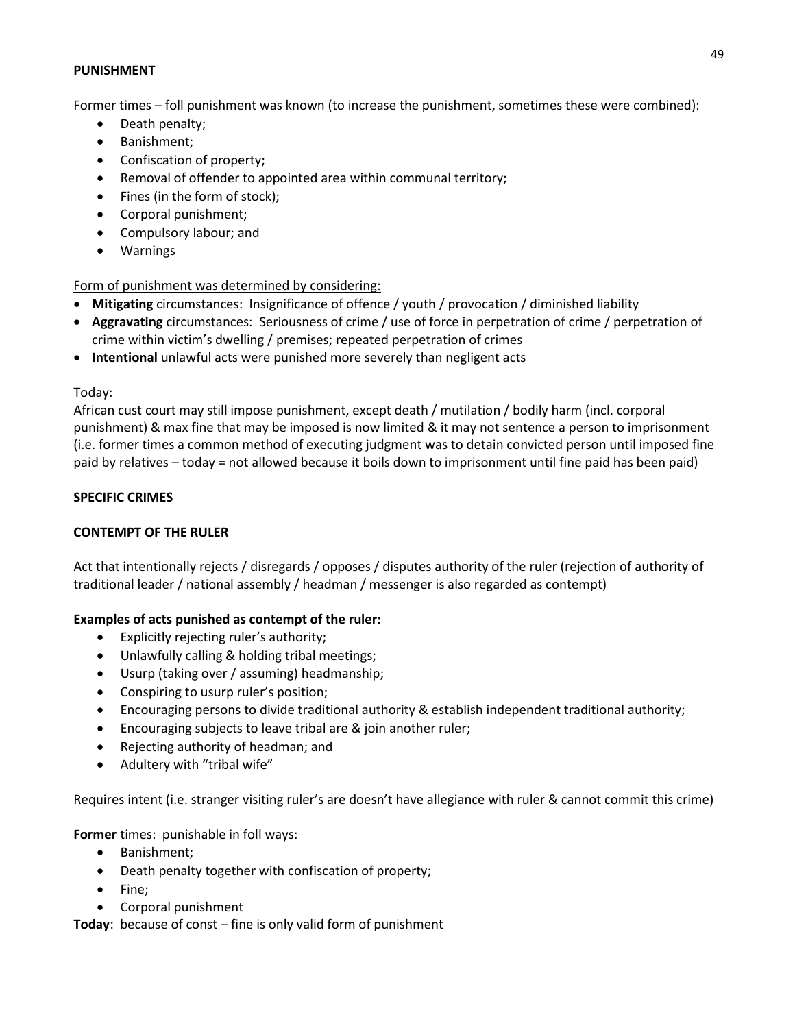#### **PUNISHMENT**

Former times – foll punishment was known (to increase the punishment, sometimes these were combined):

- Death penalty;
- Banishment;
- Confiscation of property;
- Removal of offender to appointed area within communal territory;
- Fines (in the form of stock);
- Corporal punishment;
- Compulsory labour; and
- Warnings

Form of punishment was determined by considering:

- **Mitigating** circumstances: Insignificance of offence / youth / provocation / diminished liability
- **Aggravating** circumstances: Seriousness of crime / use of force in perpetration of crime / perpetration of crime within victim's dwelling / premises; repeated perpetration of crimes
- **Intentional** unlawful acts were punished more severely than negligent acts

#### Today:

African cust court may still impose punishment, except death / mutilation / bodily harm (incl. corporal punishment) & max fine that may be imposed is now limited & it may not sentence a person to imprisonment (i.e. former times a common method of executing judgment was to detain convicted person until imposed fine paid by relatives – today = not allowed because it boils down to imprisonment until fine paid has been paid)

#### **SPECIFIC CRIMES**

#### **CONTEMPT OF THE RULER**

Act that intentionally rejects / disregards / opposes / disputes authority of the ruler (rejection of authority of traditional leader / national assembly / headman / messenger is also regarded as contempt)

#### **Examples of acts punished as contempt of the ruler:**

- Explicitly rejecting ruler's authority;
- Unlawfully calling & holding tribal meetings;
- Usurp (taking over / assuming) headmanship;
- Conspiring to usurp ruler's position;
- Encouraging persons to divide traditional authority & establish independent traditional authority;
- Encouraging subjects to leave tribal are & join another ruler;
- Rejecting authority of headman; and
- Adultery with "tribal wife"

Requires intent (i.e. stranger visiting ruler's are doesn't have allegiance with ruler & cannot commit this crime)

**Former** times: punishable in foll ways:

- Banishment;
- Death penalty together with confiscation of property;
- Fine;
- Corporal punishment

**Today**: because of const – fine is only valid form of punishment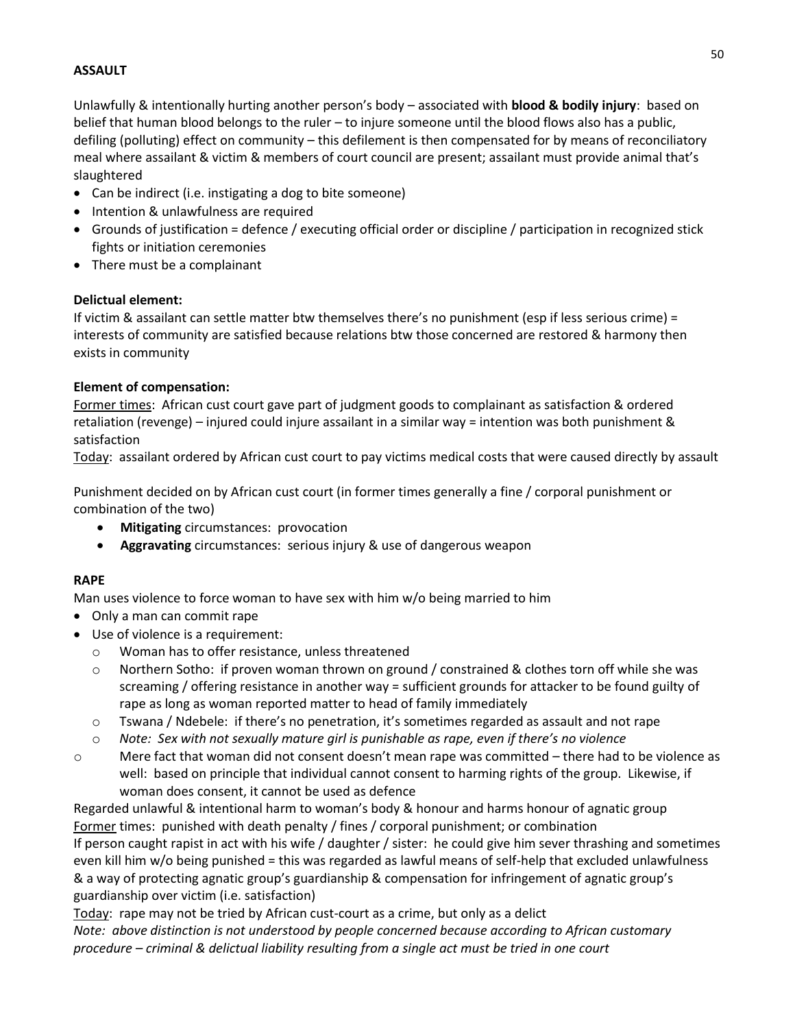## **ASSAULT**

Unlawfully & intentionally hurting another person's body – associated with **blood & bodily injury**: based on belief that human blood belongs to the ruler – to injure someone until the blood flows also has a public, defiling (polluting) effect on community – this defilement is then compensated for by means of reconciliatory meal where assailant & victim & members of court council are present; assailant must provide animal that's slaughtered

- Can be indirect (i.e. instigating a dog to bite someone)
- Intention & unlawfulness are required
- Grounds of justification = defence / executing official order or discipline / participation in recognized stick fights or initiation ceremonies
- There must be a complainant

#### **Delictual element:**

If victim & assailant can settle matter btw themselves there's no punishment (esp if less serious crime) = interests of community are satisfied because relations btw those concerned are restored & harmony then exists in community

#### **Element of compensation:**

Former times: African cust court gave part of judgment goods to complainant as satisfaction & ordered retaliation (revenge) – injured could injure assailant in a similar way = intention was both punishment & satisfaction

Today: assailant ordered by African cust court to pay victims medical costs that were caused directly by assault

Punishment decided on by African cust court (in former times generally a fine / corporal punishment or combination of the two)

- **Mitigating** circumstances: provocation
- **Aggravating** circumstances: serious injury & use of dangerous weapon

#### **RAPE**

Man uses violence to force woman to have sex with him w/o being married to him

- Only a man can commit rape
- Use of violence is a requirement:
	- o Woman has to offer resistance, unless threatened
	- o Northern Sotho: if proven woman thrown on ground / constrained & clothes torn off while she was screaming / offering resistance in another way = sufficient grounds for attacker to be found guilty of rape as long as woman reported matter to head of family immediately
	- $\circ$  Tswana / Ndebele: if there's no penetration, it's sometimes regarded as assault and not rape
	- o *Note: Sex with not sexually mature girl is punishable as rape, even if there's no violence*
- o Mere fact that woman did not consent doesn't mean rape was committed there had to be violence as well: based on principle that individual cannot consent to harming rights of the group. Likewise, if woman does consent, it cannot be used as defence

Regarded unlawful & intentional harm to woman's body & honour and harms honour of agnatic group Former times: punished with death penalty / fines / corporal punishment; or combination If person caught rapist in act with his wife / daughter / sister: he could give him sever thrashing and sometimes even kill him w/o being punished = this was regarded as lawful means of self-help that excluded unlawfulness & a way of protecting agnatic group's guardianship & compensation for infringement of agnatic group's guardianship over victim (i.e. satisfaction)

Today: rape may not be tried by African cust-court as a crime, but only as a delict *Note: above distinction is not understood by people concerned because according to African customary procedure – criminal & delictual liability resulting from a single act must be tried in one court*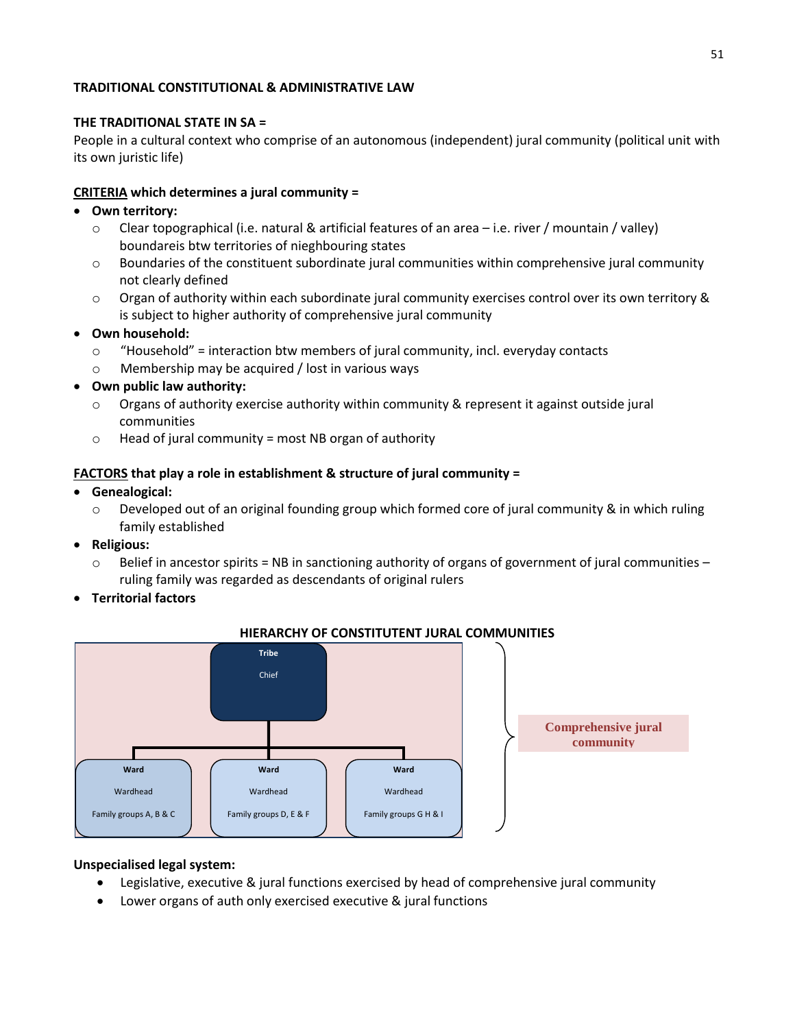#### **TRADITIONAL CONSTITUTIONAL & ADMINISTRATIVE LAW**

#### **THE TRADITIONAL STATE IN SA =**

People in a cultural context who comprise of an autonomous (independent) jural community (political unit with its own juristic life)

#### **CRITERIA which determines a jural community =**

#### **Own territory:**

- $\circ$  Clear topographical (i.e. natural & artificial features of an area i.e. river / mountain / valley) boundareis btw territories of nieghbouring states
- o Boundaries of the constituent subordinate jural communities within comprehensive jural community not clearly defined
- o Organ of authority within each subordinate jural community exercises control over its own territory & is subject to higher authority of comprehensive jural community
- **Own household:**
	- $\circ$  "Household" = interaction btw members of jural community, incl. everyday contacts
	- o Membership may be acquired / lost in various ways
- **Own public law authority:**
	- o Organs of authority exercise authority within community & represent it against outside jural communities
	- $\circ$  Head of jural community = most NB organ of authority

#### **FACTORS that play a role in establishment & structure of jural community =**

- **Genealogical:** 
	- $\circ$  Developed out of an original founding group which formed core of jural community & in which ruling family established
- **Religious:**
	- $\circ$  Belief in ancestor spirits = NB in sanctioning authority of organs of government of jural communities ruling family was regarded as descendants of original rulers
- **Territorial factors**



#### **HIERARCHY OF CONSTITUTENT JURAL COMMUNITIES**

#### **Unspecialised legal system:**

- Legislative, executive & jural functions exercised by head of comprehensive jural community
- Lower organs of auth only exercised executive & jural functions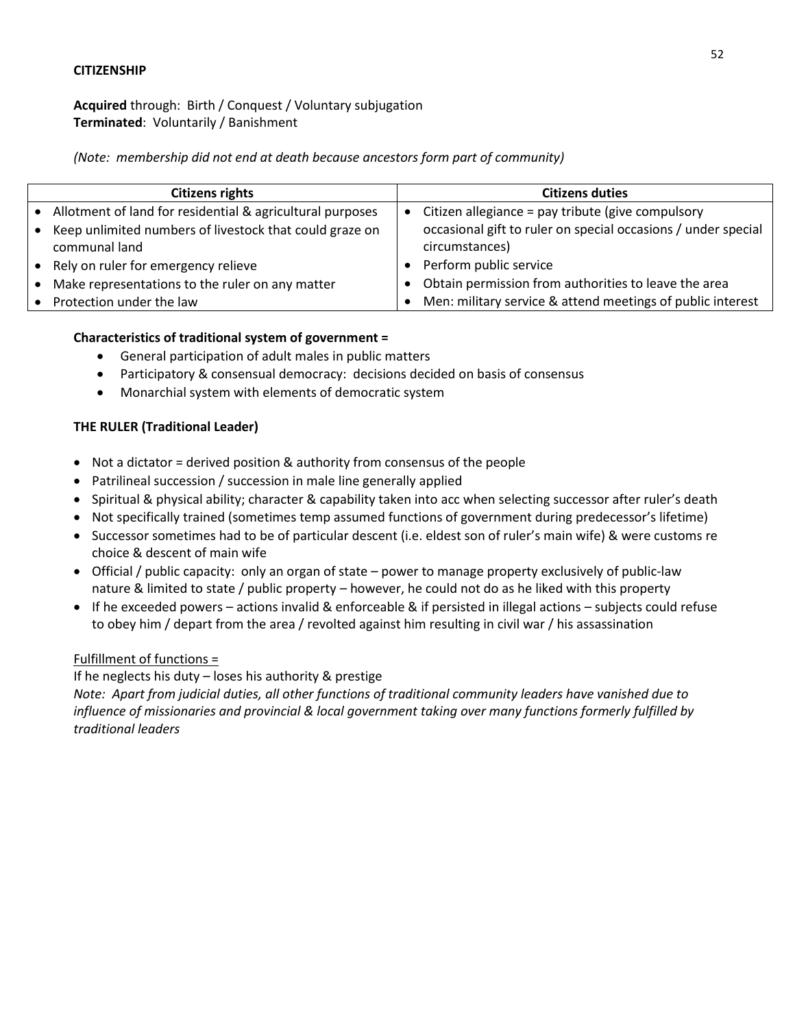#### **CITIZENSHIP**

**Acquired** through: Birth / Conquest / Voluntary subjugation **Terminated**: Voluntarily / Banishment

*(Note: membership did not end at death because ancestors form part of community)*

| <b>Citizens rights</b>                                      |  | <b>Citizens duties</b>                                        |
|-------------------------------------------------------------|--|---------------------------------------------------------------|
| • Allotment of land for residential & agricultural purposes |  | Citizen allegiance = pay tribute (give compulsory             |
| • Keep unlimited numbers of livestock that could graze on   |  | occasional gift to ruler on special occasions / under special |
| communal land                                               |  | circumstances)                                                |
| • Rely on ruler for emergency relieve                       |  | Perform public service                                        |
| • Make representations to the ruler on any matter           |  | Obtain permission from authorities to leave the area          |
| • Protection under the law                                  |  | Men: military service & attend meetings of public interest    |

#### **Characteristics of traditional system of government =**

- General participation of adult males in public matters
- Participatory & consensual democracy: decisions decided on basis of consensus
- Monarchial system with elements of democratic system

## **THE RULER (Traditional Leader)**

- Not a dictator = derived position & authority from consensus of the people
- Patrilineal succession / succession in male line generally applied
- Spiritual & physical ability; character & capability taken into acc when selecting successor after ruler's death
- Not specifically trained (sometimes temp assumed functions of government during predecessor's lifetime)
- Successor sometimes had to be of particular descent (i.e. eldest son of ruler's main wife) & were customs re choice & descent of main wife
- Official / public capacity: only an organ of state power to manage property exclusively of public-law nature & limited to state / public property – however, he could not do as he liked with this property
- If he exceeded powers actions invalid & enforceable & if persisted in illegal actions subjects could refuse to obey him / depart from the area / revolted against him resulting in civil war / his assassination

#### Fulfillment of functions =

If he neglects his duty – loses his authority & prestige

*Note: Apart from judicial duties, all other functions of traditional community leaders have vanished due to influence of missionaries and provincial & local government taking over many functions formerly fulfilled by traditional leaders*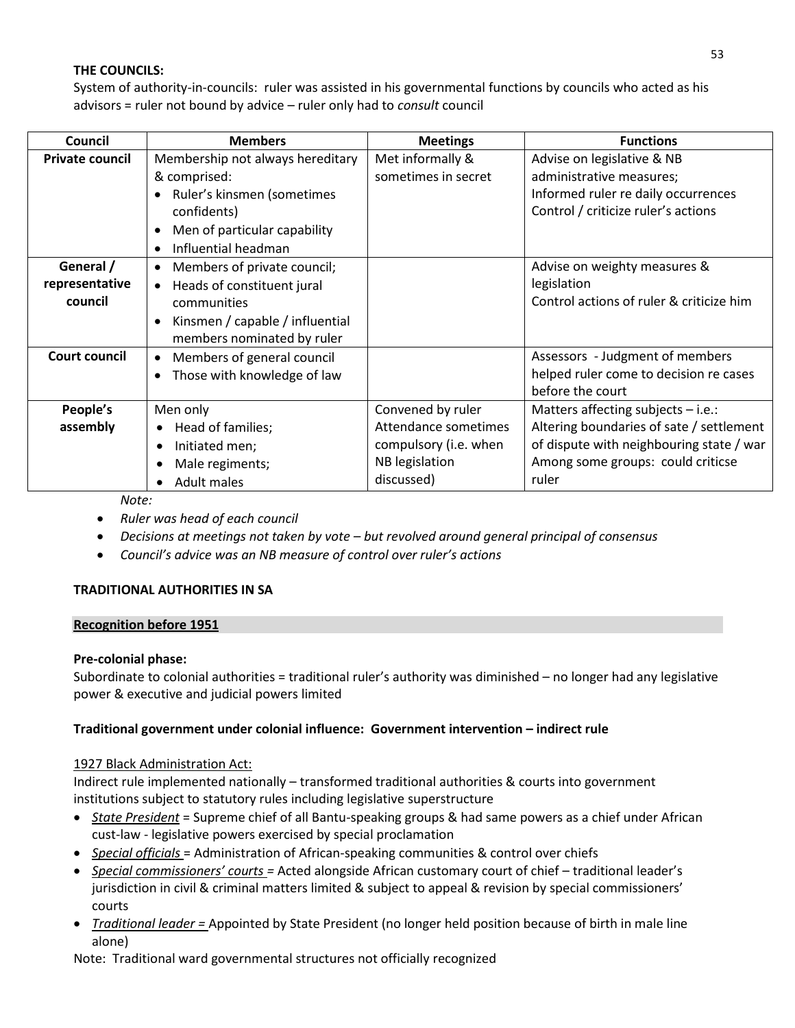## **THE COUNCILS:**

System of authority-in-councils: ruler was assisted in his governmental functions by councils who acted as his advisors = ruler not bound by advice – ruler only had to *consult* council

| Council                | <b>Members</b>                          | <b>Meetings</b>       | <b>Functions</b>                         |
|------------------------|-----------------------------------------|-----------------------|------------------------------------------|
| <b>Private council</b> | Membership not always hereditary        | Met informally &      | Advise on legislative & NB               |
|                        | & comprised:                            | sometimes in secret   | administrative measures;                 |
|                        | Ruler's kinsmen (sometimes              |                       | Informed ruler re daily occurrences      |
|                        | confidents)                             |                       | Control / criticize ruler's actions      |
|                        | Men of particular capability            |                       |                                          |
|                        | Influential headman                     |                       |                                          |
| General /              | Members of private council;<br>٠        |                       | Advise on weighty measures &             |
| representative         | Heads of constituent jural<br>$\bullet$ |                       | legislation                              |
| council                | communities                             |                       | Control actions of ruler & criticize him |
|                        | Kinsmen / capable / influential         |                       |                                          |
|                        | members nominated by ruler              |                       |                                          |
| <b>Court council</b>   | Members of general council<br>$\bullet$ |                       | Assessors - Judgment of members          |
|                        | Those with knowledge of law             |                       | helped ruler come to decision re cases   |
|                        |                                         |                       | before the court                         |
| People's               | Men only                                | Convened by ruler     | Matters affecting subjects $-$ i.e.:     |
| assembly               | Head of families;<br>$\bullet$          | Attendance sometimes  | Altering boundaries of sate / settlement |
|                        | Initiated men;<br>$\bullet$             | compulsory (i.e. when | of dispute with neighbouring state / war |
|                        | Male regiments;<br>٠                    | NB legislation        | Among some groups: could criticse        |
|                        | Adult males                             | discussed)            | ruler                                    |

*Note:*

- *Ruler was head of each council*
- *Decisions at meetings not taken by vote – but revolved around general principal of consensus*
- *Council's advice was an NB measure of control over ruler's actions*

# **TRADITIONAL AUTHORITIES IN SA**

#### **Recognition before 1951**

#### **Pre-colonial phase:**

Subordinate to colonial authorities = traditional ruler's authority was diminished – no longer had any legislative power & executive and judicial powers limited

#### **Traditional government under colonial influence: Government intervention – indirect rule**

#### 1927 Black Administration Act:

Indirect rule implemented nationally – transformed traditional authorities & courts into government institutions subject to statutory rules including legislative superstructure

- *State President* = Supreme chief of all Bantu-speaking groups & had same powers as a chief under African cust-law - legislative powers exercised by special proclamation
- *Special officials* = Administration of African-speaking communities & control over chiefs
- *Special commissioners' courts =* Acted alongside African customary court of chief traditional leader's jurisdiction in civil & criminal matters limited & subject to appeal & revision by special commissioners' courts
- *Traditional leader =* Appointed by State President (no longer held position because of birth in male line alone)

Note: Traditional ward governmental structures not officially recognized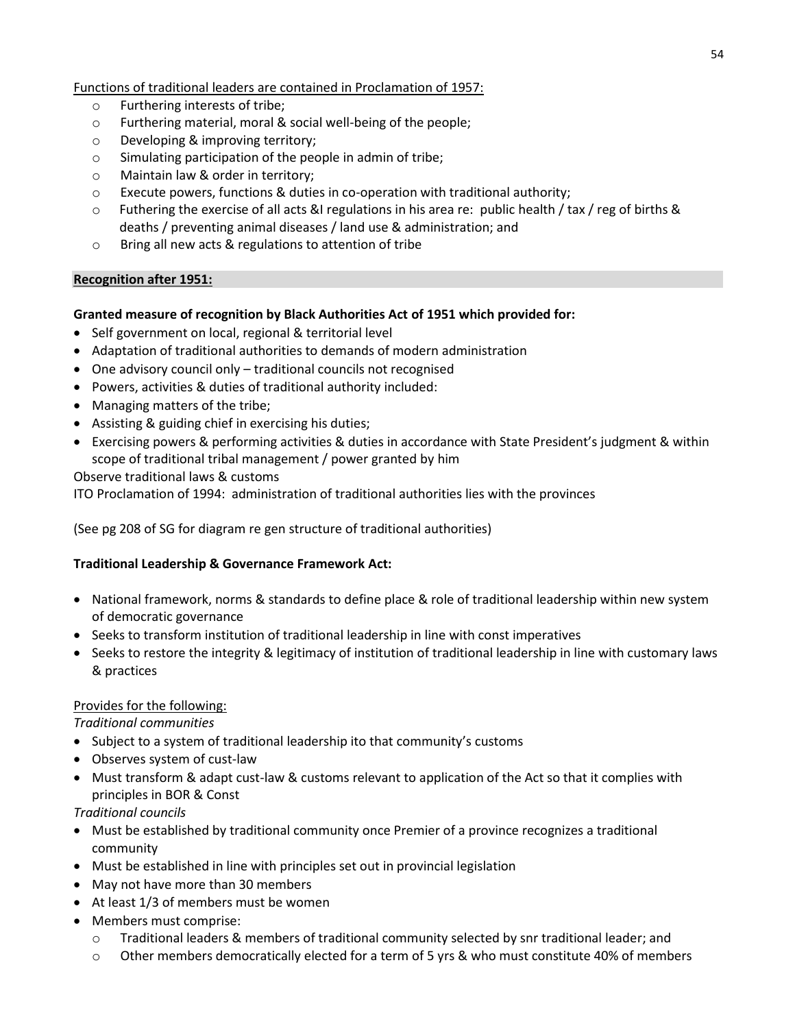### Functions of traditional leaders are contained in Proclamation of 1957:

- o Furthering interests of tribe;
- o Furthering material, moral & social well-being of the people;
- o Developing & improving territory;
- o Simulating participation of the people in admin of tribe;
- o Maintain law & order in territory;
- o Execute powers, functions & duties in co-operation with traditional authority;
- $\circ$  Futhering the exercise of all acts &I regulations in his area re: public health / tax / reg of births & deaths / preventing animal diseases / land use & administration; and
- o Bring all new acts & regulations to attention of tribe

#### **Recognition after 1951:**

## **Granted measure of recognition by Black Authorities Act of 1951 which provided for:**

- Self government on local, regional & territorial level
- Adaptation of traditional authorities to demands of modern administration
- One advisory council only traditional councils not recognised
- Powers, activities & duties of traditional authority included:
- Managing matters of the tribe;
- Assisting & guiding chief in exercising his duties;
- Exercising powers & performing activities & duties in accordance with State President's judgment & within scope of traditional tribal management / power granted by him

Observe traditional laws & customs

ITO Proclamation of 1994: administration of traditional authorities lies with the provinces

(See pg 208 of SG for diagram re gen structure of traditional authorities)

#### **Traditional Leadership & Governance Framework Act:**

- National framework, norms & standards to define place & role of traditional leadership within new system of democratic governance
- Seeks to transform institution of traditional leadership in line with const imperatives
- Seeks to restore the integrity & legitimacy of institution of traditional leadership in line with customary laws & practices

#### Provides for the following:

*Traditional communities*

- Subject to a system of traditional leadership ito that community's customs
- Observes system of cust-law
- Must transform & adapt cust-law & customs relevant to application of the Act so that it complies with principles in BOR & Const

*Traditional councils*

- Must be established by traditional community once Premier of a province recognizes a traditional community
- Must be established in line with principles set out in provincial legislation
- May not have more than 30 members
- At least 1/3 of members must be women
- Members must comprise:
	- o Traditional leaders & members of traditional community selected by snr traditional leader; and
	- o Other members democratically elected for a term of 5 yrs & who must constitute 40% of members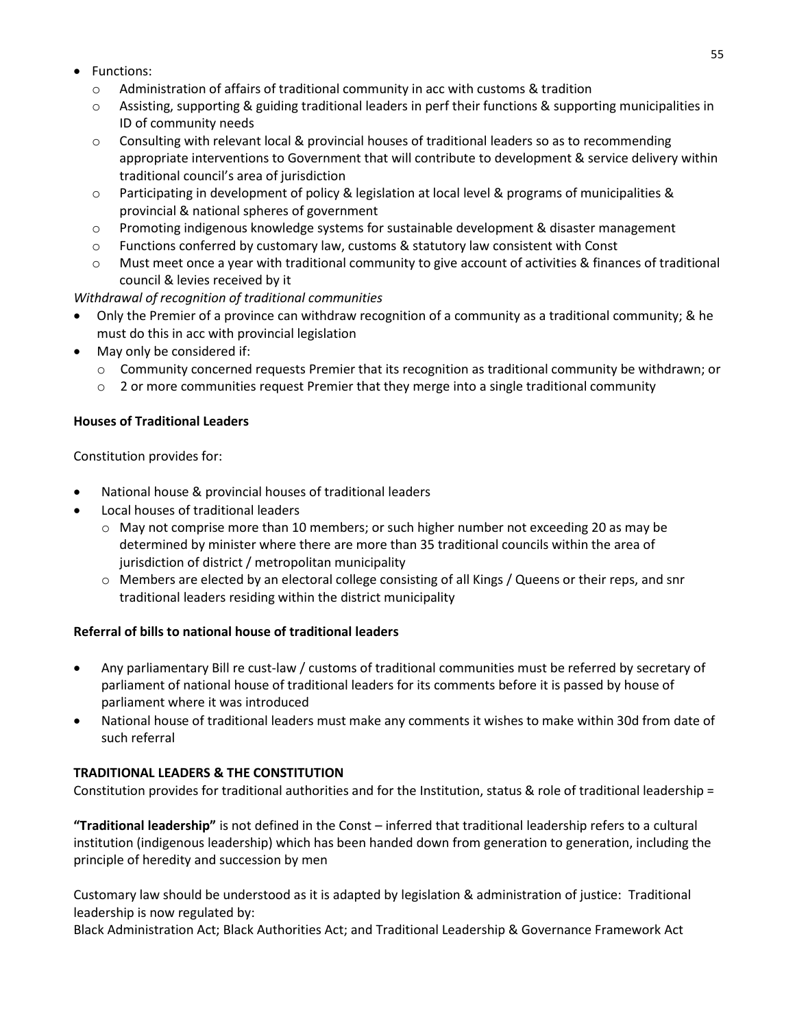55

- Functions:
	- $\circ$  Administration of affairs of traditional community in acc with customs & tradition
	- o Assisting, supporting & guiding traditional leaders in perf their functions & supporting municipalities in ID of community needs
	- $\circ$  Consulting with relevant local & provincial houses of traditional leaders so as to recommending appropriate interventions to Government that will contribute to development & service delivery within traditional council's area of jurisdiction
	- o Participating in development of policy & legislation at local level & programs of municipalities & provincial & national spheres of government
	- o Promoting indigenous knowledge systems for sustainable development & disaster management
	- $\circ$  Functions conferred by customary law, customs & statutory law consistent with Const
	- Must meet once a year with traditional community to give account of activities & finances of traditional council & levies received by it

*Withdrawal of recognition of traditional communities*

- Only the Premier of a province can withdraw recognition of a community as a traditional community; & he must do this in acc with provincial legislation
- May only be considered if:
	- o Community concerned requests Premier that its recognition as traditional community be withdrawn; or
	- $\circ$  2 or more communities request Premier that they merge into a single traditional community

## **Houses of Traditional Leaders**

Constitution provides for:

- National house & provincial houses of traditional leaders
- Local houses of traditional leaders
	- $\circ$  May not comprise more than 10 members; or such higher number not exceeding 20 as may be determined by minister where there are more than 35 traditional councils within the area of jurisdiction of district / metropolitan municipality
	- $\circ$  Members are elected by an electoral college consisting of all Kings / Queens or their reps, and snr traditional leaders residing within the district municipality

#### **Referral of bills to national house of traditional leaders**

- Any parliamentary Bill re cust-law / customs of traditional communities must be referred by secretary of parliament of national house of traditional leaders for its comments before it is passed by house of parliament where it was introduced
- National house of traditional leaders must make any comments it wishes to make within 30d from date of such referral

# **TRADITIONAL LEADERS & THE CONSTITUTION**

Constitution provides for traditional authorities and for the Institution, status & role of traditional leadership =

**"Traditional leadership"** is not defined in the Const – inferred that traditional leadership refers to a cultural institution (indigenous leadership) which has been handed down from generation to generation, including the principle of heredity and succession by men

Customary law should be understood as it is adapted by legislation & administration of justice: Traditional leadership is now regulated by:

Black Administration Act; Black Authorities Act; and Traditional Leadership & Governance Framework Act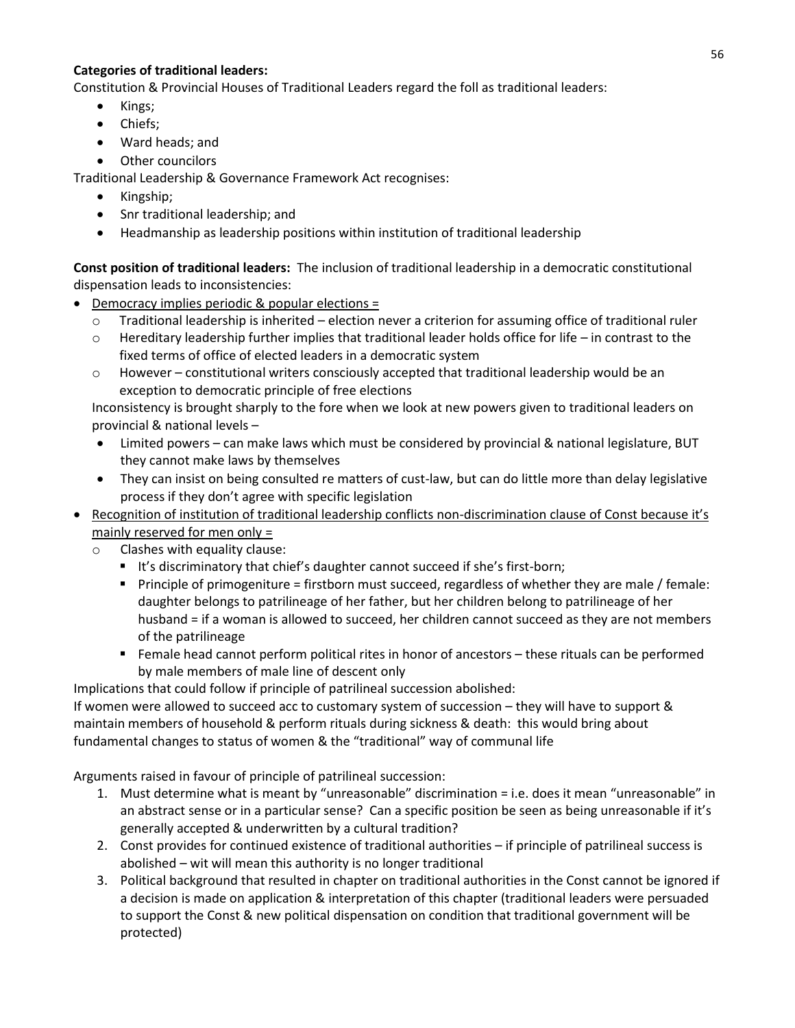## **Categories of traditional leaders:**

Constitution & Provincial Houses of Traditional Leaders regard the foll as traditional leaders:

- Kings;
- Chiefs;
- Ward heads; and
- Other councilors

Traditional Leadership & Governance Framework Act recognises:

- Kingship;
- Snr traditional leadership; and
- Headmanship as leadership positions within institution of traditional leadership

**Const position of traditional leaders:** The inclusion of traditional leadership in a democratic constitutional dispensation leads to inconsistencies:

- Democracy implies periodic & popular elections =
	- o Traditional leadership is inherited election never a criterion for assuming office of traditional ruler
	- $\circ$  Hereditary leadership further implies that traditional leader holds office for life in contrast to the fixed terms of office of elected leaders in a democratic system
	- $\circ$  However constitutional writers consciously accepted that traditional leadership would be an exception to democratic principle of free elections

Inconsistency is brought sharply to the fore when we look at new powers given to traditional leaders on provincial & national levels –

- Limited powers can make laws which must be considered by provincial & national legislature, BUT they cannot make laws by themselves
- They can insist on being consulted re matters of cust-law, but can do little more than delay legislative process if they don't agree with specific legislation
- Recognition of institution of traditional leadership conflicts non-discrimination clause of Const because it's mainly reserved for men only =
	- o Clashes with equality clause:
		- It's discriminatory that chief's daughter cannot succeed if she's first-born;
		- Principle of primogeniture = firstborn must succeed, regardless of whether they are male / female: daughter belongs to patrilineage of her father, but her children belong to patrilineage of her husband = if a woman is allowed to succeed, her children cannot succeed as they are not members of the patrilineage
		- Female head cannot perform political rites in honor of ancestors these rituals can be performed by male members of male line of descent only

Implications that could follow if principle of patrilineal succession abolished:

If women were allowed to succeed acc to customary system of succession – they will have to support & maintain members of household & perform rituals during sickness & death: this would bring about fundamental changes to status of women & the "traditional" way of communal life

Arguments raised in favour of principle of patrilineal succession:

- 1. Must determine what is meant by "unreasonable" discrimination = i.e. does it mean "unreasonable" in an abstract sense or in a particular sense? Can a specific position be seen as being unreasonable if it's generally accepted & underwritten by a cultural tradition?
- 2. Const provides for continued existence of traditional authorities if principle of patrilineal success is abolished – wit will mean this authority is no longer traditional
- 3. Political background that resulted in chapter on traditional authorities in the Const cannot be ignored if a decision is made on application & interpretation of this chapter (traditional leaders were persuaded to support the Const & new political dispensation on condition that traditional government will be protected)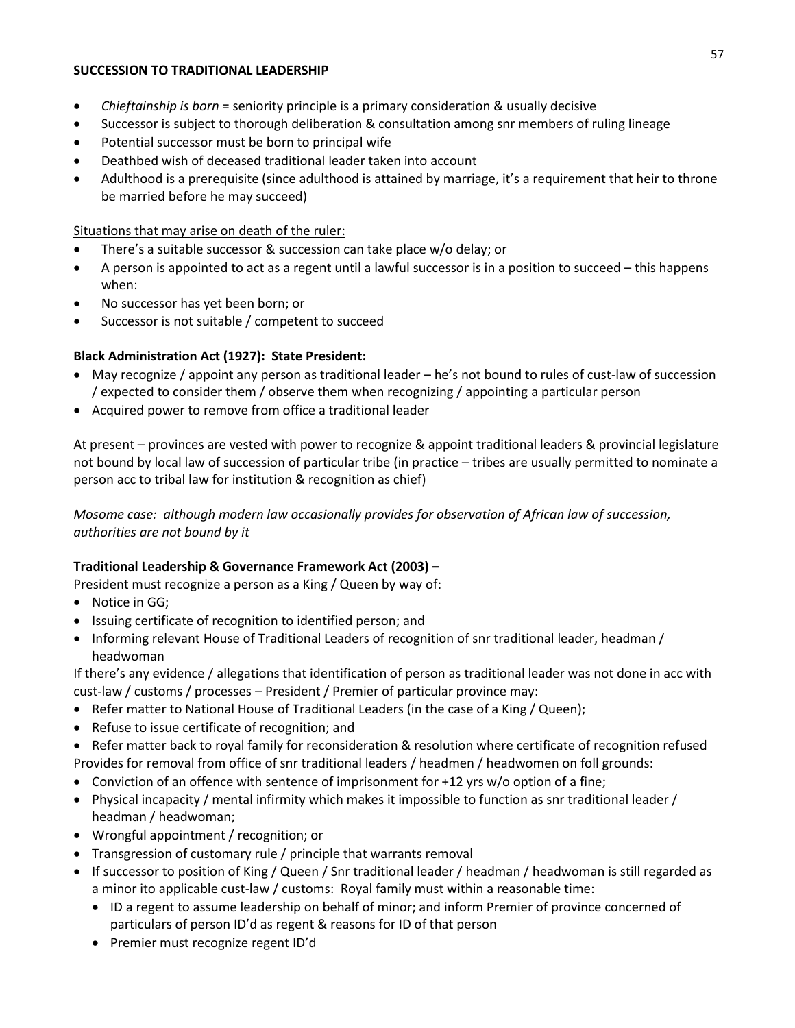### **SUCCESSION TO TRADITIONAL LEADERSHIP**

- *Chieftainship is born* = seniority principle is a primary consideration & usually decisive
- Successor is subject to thorough deliberation & consultation among snr members of ruling lineage
- Potential successor must be born to principal wife
- Deathbed wish of deceased traditional leader taken into account
- Adulthood is a prerequisite (since adulthood is attained by marriage, it's a requirement that heir to throne be married before he may succeed)

## Situations that may arise on death of the ruler:

- There's a suitable successor & succession can take place w/o delay; or
- A person is appointed to act as a regent until a lawful successor is in a position to succeed this happens when:
- No successor has yet been born; or
- Successor is not suitable / competent to succeed

# **Black Administration Act (1927): State President:**

- May recognize / appoint any person as traditional leader he's not bound to rules of cust-law of succession / expected to consider them / observe them when recognizing / appointing a particular person
- Acquired power to remove from office a traditional leader

At present – provinces are vested with power to recognize & appoint traditional leaders & provincial legislature not bound by local law of succession of particular tribe (in practice – tribes are usually permitted to nominate a person acc to tribal law for institution & recognition as chief)

*Mosome case: although modern law occasionally provides for observation of African law of succession, authorities are not bound by it*

# **Traditional Leadership & Governance Framework Act (2003) –**

President must recognize a person as a King / Queen by way of:

- Notice in GG;
- Issuing certificate of recognition to identified person; and
- Informing relevant House of Traditional Leaders of recognition of snr traditional leader, headman / headwoman

If there's any evidence / allegations that identification of person as traditional leader was not done in acc with cust-law / customs / processes – President / Premier of particular province may:

- **Refer matter to National House of Traditional Leaders (in the case of a King / Queen);**
- Refuse to issue certificate of recognition; and
- Refer matter back to royal family for reconsideration & resolution where certificate of recognition refused Provides for removal from office of snr traditional leaders / headmen / headwomen on foll grounds:
- Conviction of an offence with sentence of imprisonment for  $+12$  yrs w/o option of a fine;
- Physical incapacity / mental infirmity which makes it impossible to function as snr traditional leader / headman / headwoman;
- Wrongful appointment / recognition; or
- Transgression of customary rule / principle that warrants removal
- If successor to position of King / Queen / Snr traditional leader / headman / headwoman is still regarded as a minor ito applicable cust-law / customs: Royal family must within a reasonable time:
	- ID a regent to assume leadership on behalf of minor; and inform Premier of province concerned of particulars of person ID'd as regent & reasons for ID of that person
	- Premier must recognize regent ID'd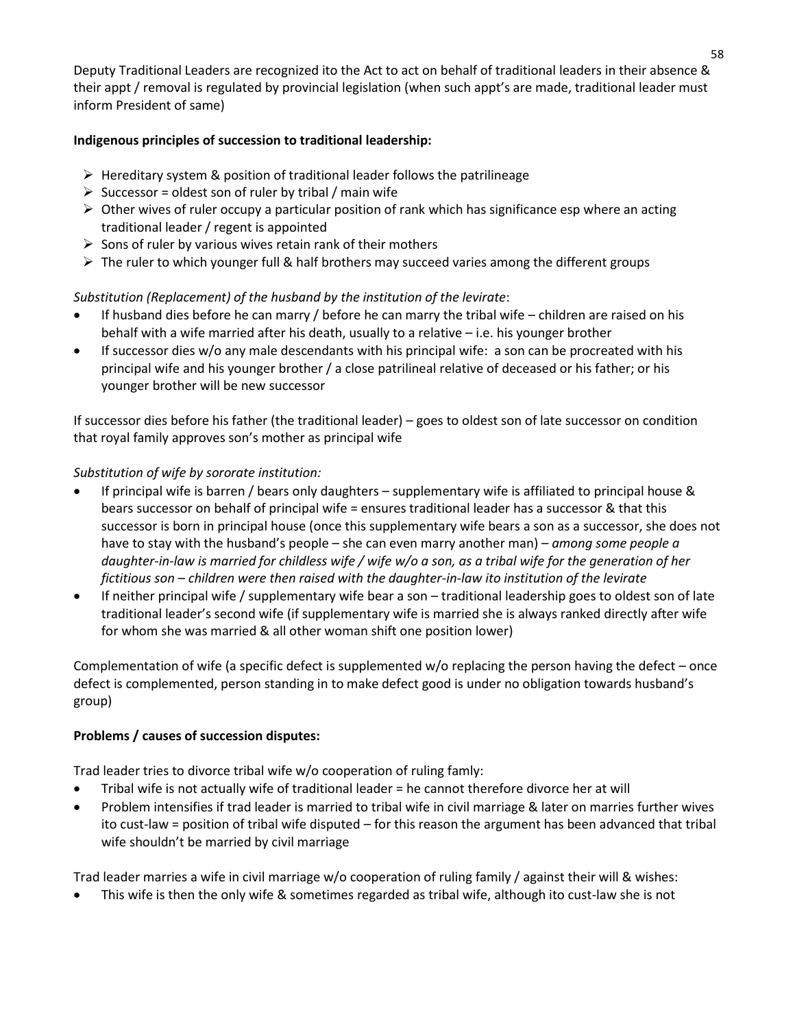Deputy Traditional Leaders are recognized ito the Act to act on behalf of traditional leaders in their absence & their appt / removal is regulated by provincial legislation (when such appt's are made, traditional leader must inform President of same)

## **Indigenous principles of succession to traditional leadership:**

- $\triangleright$  Hereditary system & position of traditional leader follows the patrilineage
- $\triangleright$  Successor = oldest son of ruler by tribal / main wife
- $\triangleright$  Other wives of ruler occupy a particular position of rank which has significance esp where an acting traditional leader / regent is appointed
- $\triangleright$  Sons of ruler by various wives retain rank of their mothers
- $\triangleright$  The ruler to which younger full & half brothers may succeed varies among the different groups

# *Substitution (Replacement) of the husband by the institution of the levirate*:

- If husband dies before he can marry / before he can marry the tribal wife children are raised on his behalf with a wife married after his death, usually to a relative – i.e. his younger brother
- If successor dies w/o any male descendants with his principal wife: a son can be procreated with his principal wife and his younger brother / a close patrilineal relative of deceased or his father; or his younger brother will be new successor

If successor dies before his father (the traditional leader) – goes to oldest son of late successor on condition that royal family approves son's mother as principal wife

# *Substitution of wife by sororate institution:*

- If principal wife is barren / bears only daughters supplementary wife is affiliated to principal house & bears successor on behalf of principal wife = ensures traditional leader has a successor & that this successor is born in principal house (once this supplementary wife bears a son as a successor, she does not have to stay with the husband's people – she can even marry another man) – *among some people a daughter-in-law is married for childless wife / wife w/o a son, as a tribal wife for the generation of her fictitious son – children were then raised with the daughter-in-law ito institution of the levirate*
- If neither principal wife / supplementary wife bear a son traditional leadership goes to oldest son of late traditional leader's second wife (if supplementary wife is married she is always ranked directly after wife for whom she was married & all other woman shift one position lower)

Complementation of wife (a specific defect is supplemented w/o replacing the person having the defect – once defect is complemented, person standing in to make defect good is under no obligation towards husband's group)

# **Problems / causes of succession disputes:**

Trad leader tries to divorce tribal wife w/o cooperation of ruling famly:

- Tribal wife is not actually wife of traditional leader = he cannot therefore divorce her at will
- Problem intensifies if trad leader is married to tribal wife in civil marriage & later on marries further wives ito cust-law = position of tribal wife disputed – for this reason the argument has been advanced that tribal wife shouldn't be married by civil marriage

Trad leader marries a wife in civil marriage w/o cooperation of ruling family / against their will & wishes:

This wife is then the only wife & sometimes regarded as tribal wife, although ito cust-law she is not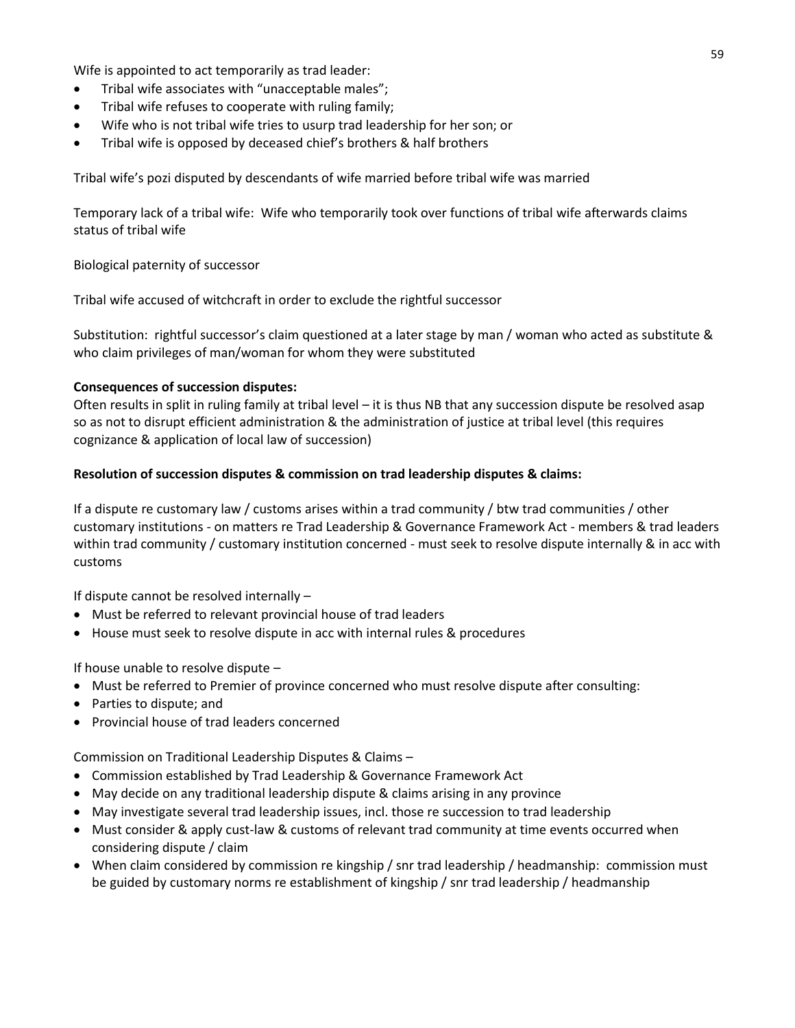Wife is appointed to act temporarily as trad leader:

- Tribal wife associates with "unacceptable males";
- Tribal wife refuses to cooperate with ruling family;
- Wife who is not tribal wife tries to usurp trad leadership for her son; or
- Tribal wife is opposed by deceased chief's brothers & half brothers

Tribal wife's pozi disputed by descendants of wife married before tribal wife was married

Temporary lack of a tribal wife: Wife who temporarily took over functions of tribal wife afterwards claims status of tribal wife

## Biological paternity of successor

Tribal wife accused of witchcraft in order to exclude the rightful successor

Substitution: rightful successor's claim questioned at a later stage by man / woman who acted as substitute & who claim privileges of man/woman for whom they were substituted

#### **Consequences of succession disputes:**

Often results in split in ruling family at tribal level – it is thus NB that any succession dispute be resolved asap so as not to disrupt efficient administration & the administration of justice at tribal level (this requires cognizance & application of local law of succession)

## **Resolution of succession disputes & commission on trad leadership disputes & claims:**

If a dispute re customary law / customs arises within a trad community / btw trad communities / other customary institutions - on matters re Trad Leadership & Governance Framework Act - members & trad leaders within trad community / customary institution concerned - must seek to resolve dispute internally & in acc with customs

If dispute cannot be resolved internally –

- Must be referred to relevant provincial house of trad leaders
- House must seek to resolve dispute in acc with internal rules & procedures

If house unable to resolve dispute  $-$ 

- Must be referred to Premier of province concerned who must resolve dispute after consulting:
- Parties to dispute; and
- Provincial house of trad leaders concerned

Commission on Traditional Leadership Disputes & Claims –

- Commission established by Trad Leadership & Governance Framework Act
- May decide on any traditional leadership dispute & claims arising in any province
- May investigate several trad leadership issues, incl. those re succession to trad leadership
- Must consider & apply cust-law & customs of relevant trad community at time events occurred when considering dispute / claim
- When claim considered by commission re kingship / snr trad leadership / headmanship: commission must be guided by customary norms re establishment of kingship / snr trad leadership / headmanship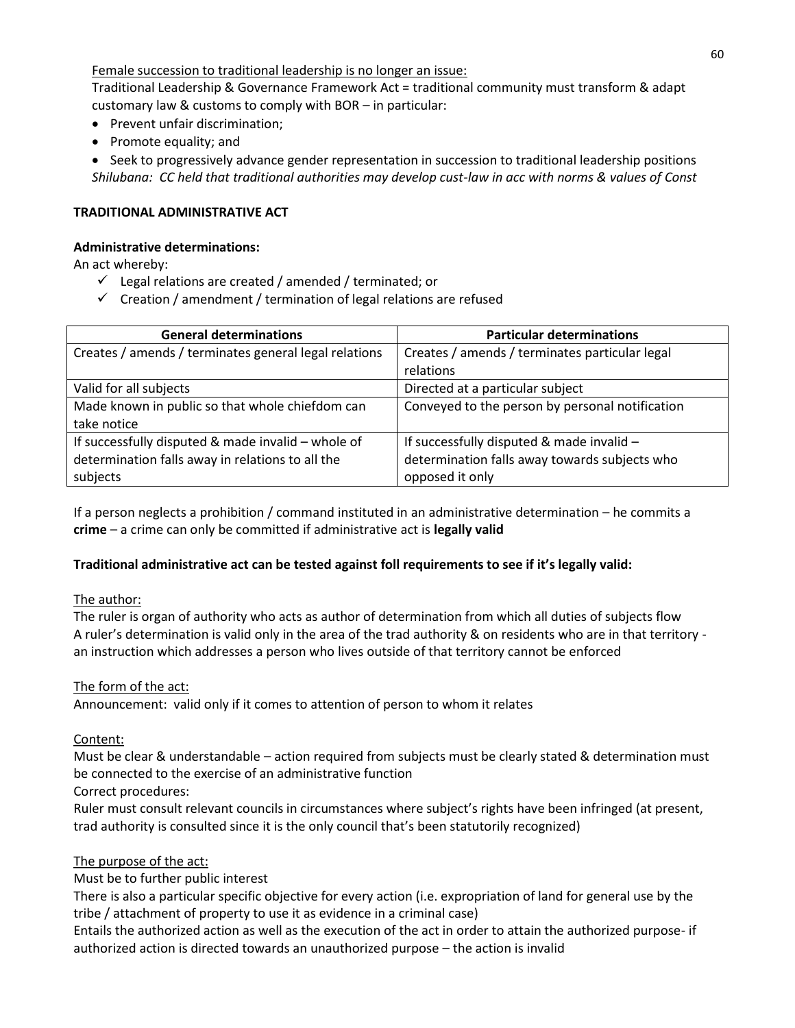Female succession to traditional leadership is no longer an issue:

Traditional Leadership & Governance Framework Act = traditional community must transform & adapt customary law & customs to comply with BOR – in particular:

- Prevent unfair discrimination;
- Promote equality; and

• Seek to progressively advance gender representation in succession to traditional leadership positions *Shilubana: CC held that traditional authorities may develop cust-law in acc with norms & values of Const*

### **TRADITIONAL ADMINISTRATIVE ACT**

#### **Administrative determinations:**

An act whereby:

- $\checkmark$  Legal relations are created / amended / terminated; or
- $\checkmark$  Creation / amendment / termination of legal relations are refused

| <b>General determinations</b>                         | <b>Particular determinations</b>                |  |
|-------------------------------------------------------|-------------------------------------------------|--|
| Creates / amends / terminates general legal relations | Creates / amends / terminates particular legal  |  |
|                                                       | relations                                       |  |
| Valid for all subjects                                | Directed at a particular subject                |  |
| Made known in public so that whole chiefdom can       | Conveyed to the person by personal notification |  |
| take notice                                           |                                                 |  |
| If successfully disputed & made invalid - whole of    | If successfully disputed & made invalid -       |  |
| determination falls away in relations to all the      | determination falls away towards subjects who   |  |
| subjects                                              | opposed it only                                 |  |

If a person neglects a prohibition / command instituted in an administrative determination – he commits a **crime** – a crime can only be committed if administrative act is **legally valid**

#### **Traditional administrative act can be tested against foll requirements to see if it's legally valid:**

#### The author:

The ruler is organ of authority who acts as author of determination from which all duties of subjects flow A ruler's determination is valid only in the area of the trad authority & on residents who are in that territory an instruction which addresses a person who lives outside of that territory cannot be enforced

#### The form of the act:

Announcement: valid only if it comes to attention of person to whom it relates

Content:

Must be clear & understandable – action required from subjects must be clearly stated & determination must be connected to the exercise of an administrative function

#### Correct procedures:

Ruler must consult relevant councils in circumstances where subject's rights have been infringed (at present, trad authority is consulted since it is the only council that's been statutorily recognized)

#### The purpose of the act:

Must be to further public interest

There is also a particular specific objective for every action (i.e. expropriation of land for general use by the tribe / attachment of property to use it as evidence in a criminal case)

Entails the authorized action as well as the execution of the act in order to attain the authorized purpose- if authorized action is directed towards an unauthorized purpose – the action is invalid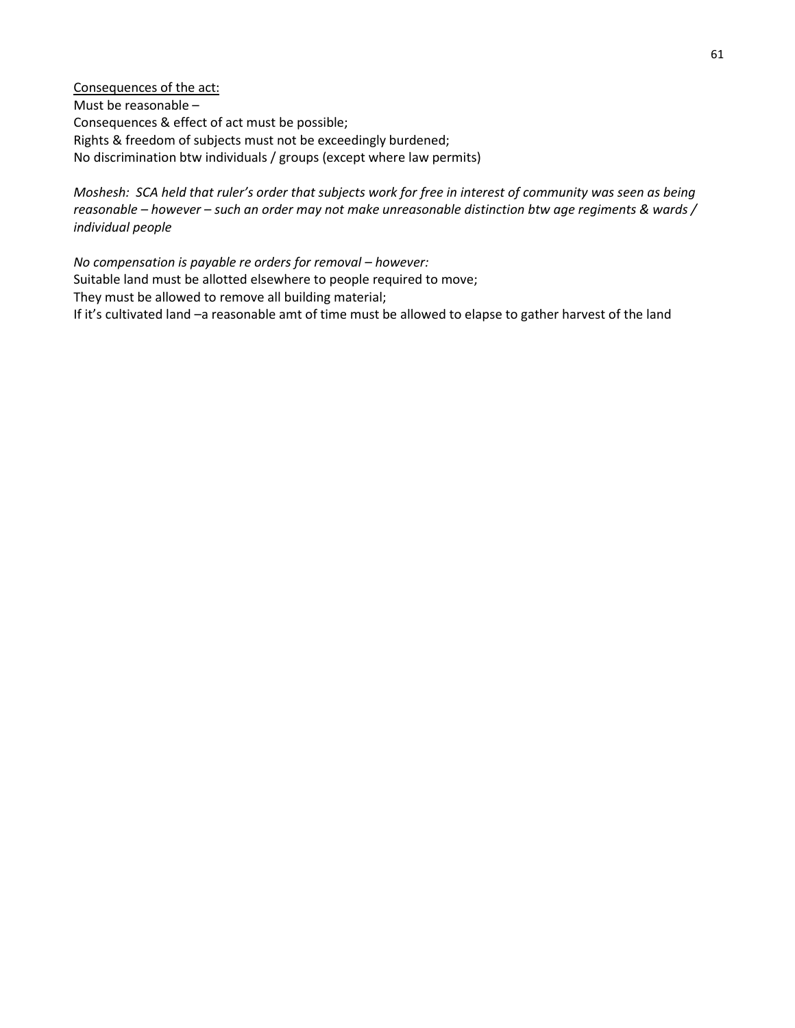Consequences of the act: Must be reasonable – Consequences & effect of act must be possible; Rights & freedom of subjects must not be exceedingly burdened; No discrimination btw individuals / groups (except where law permits)

*Moshesh: SCA held that ruler's order that subjects work for free in interest of community was seen as being reasonable – however – such an order may not make unreasonable distinction btw age regiments & wards / individual people*

*No compensation is payable re orders for removal – however:* Suitable land must be allotted elsewhere to people required to move; They must be allowed to remove all building material; If it's cultivated land –a reasonable amt of time must be allowed to elapse to gather harvest of the land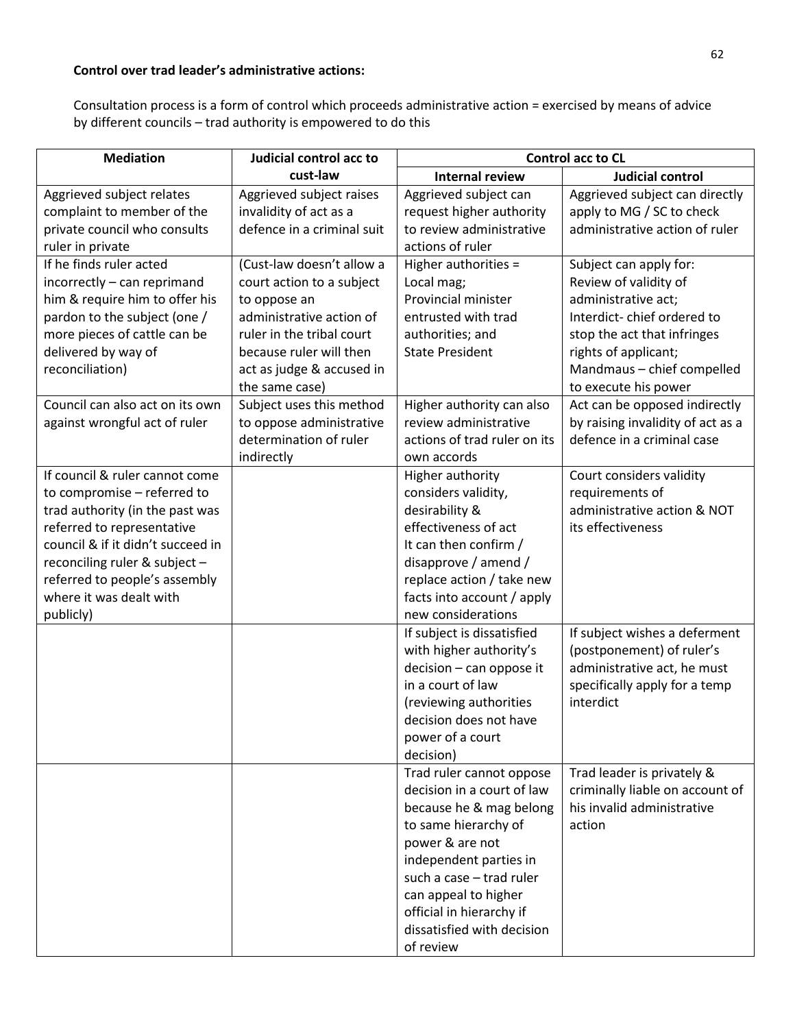## **Control over trad leader's administrative actions:**

Consultation process is a form of control which proceeds administrative action = exercised by means of advice by different councils – trad authority is empowered to do this

| <b>Mediation</b>                                                                                                                                                                                                                                                              | Judicial control acc to                                                                                                                                                                                   | <b>Control acc to CL</b>                                                                                                                                                                                                                                                          |                                                                                                                                                                                                                   |
|-------------------------------------------------------------------------------------------------------------------------------------------------------------------------------------------------------------------------------------------------------------------------------|-----------------------------------------------------------------------------------------------------------------------------------------------------------------------------------------------------------|-----------------------------------------------------------------------------------------------------------------------------------------------------------------------------------------------------------------------------------------------------------------------------------|-------------------------------------------------------------------------------------------------------------------------------------------------------------------------------------------------------------------|
|                                                                                                                                                                                                                                                                               | cust-law                                                                                                                                                                                                  | <b>Internal review</b>                                                                                                                                                                                                                                                            | <b>Judicial control</b>                                                                                                                                                                                           |
| Aggrieved subject relates<br>complaint to member of the<br>private council who consults<br>ruler in private                                                                                                                                                                   | Aggrieved subject raises<br>invalidity of act as a<br>defence in a criminal suit                                                                                                                          | Aggrieved subject can<br>request higher authority<br>to review administrative<br>actions of ruler                                                                                                                                                                                 | Aggrieved subject can directly<br>apply to MG / SC to check<br>administrative action of ruler                                                                                                                     |
| If he finds ruler acted<br>incorrectly - can reprimand<br>him & require him to offer his<br>pardon to the subject (one /<br>more pieces of cattle can be<br>delivered by way of<br>reconciliation)                                                                            | (Cust-law doesn't allow a<br>court action to a subject<br>to oppose an<br>administrative action of<br>ruler in the tribal court<br>because ruler will then<br>act as judge & accused in<br>the same case) | Higher authorities =<br>Local mag;<br>Provincial minister<br>entrusted with trad<br>authorities; and<br><b>State President</b>                                                                                                                                                    | Subject can apply for:<br>Review of validity of<br>administrative act;<br>Interdict-chief ordered to<br>stop the act that infringes<br>rights of applicant;<br>Mandmaus - chief compelled<br>to execute his power |
| Council can also act on its own<br>against wrongful act of ruler                                                                                                                                                                                                              | Subject uses this method<br>to oppose administrative<br>determination of ruler<br>indirectly                                                                                                              | Higher authority can also<br>review administrative<br>actions of trad ruler on its<br>own accords                                                                                                                                                                                 | Act can be opposed indirectly<br>by raising invalidity of act as a<br>defence in a criminal case                                                                                                                  |
| If council & ruler cannot come<br>to compromise - referred to<br>trad authority (in the past was<br>referred to representative<br>council & if it didn't succeed in<br>reconciling ruler & subject -<br>referred to people's assembly<br>where it was dealt with<br>publicly) |                                                                                                                                                                                                           | Higher authority<br>considers validity,<br>desirability &<br>effectiveness of act<br>It can then confirm /<br>disapprove / amend /<br>replace action / take new<br>facts into account / apply<br>new considerations                                                               | Court considers validity<br>requirements of<br>administrative action & NOT<br>its effectiveness                                                                                                                   |
|                                                                                                                                                                                                                                                                               |                                                                                                                                                                                                           | If subject is dissatisfied<br>with higher authority's<br>decision - can oppose it<br>in a court of law<br>(reviewing authorities<br>decision does not have<br>power of a court<br>decision)                                                                                       | If subject wishes a deferment<br>(postponement) of ruler's<br>administrative act, he must<br>specifically apply for a temp<br>interdict                                                                           |
|                                                                                                                                                                                                                                                                               |                                                                                                                                                                                                           | Trad ruler cannot oppose<br>decision in a court of law<br>because he & mag belong<br>to same hierarchy of<br>power & are not<br>independent parties in<br>such a case - trad ruler<br>can appeal to higher<br>official in hierarchy if<br>dissatisfied with decision<br>of review | Trad leader is privately &<br>criminally liable on account of<br>his invalid administrative<br>action                                                                                                             |